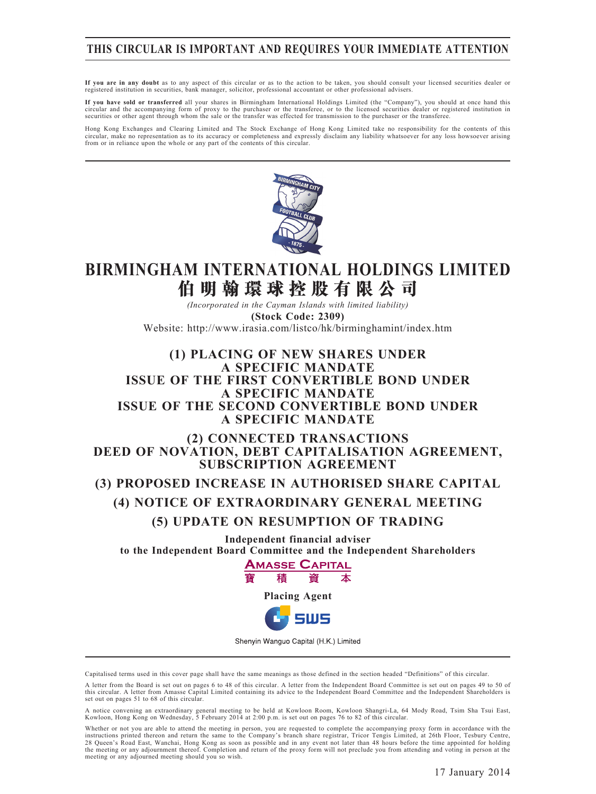## **THIS CIRCULAR IS IMPORTANT AND REQUIRES YOUR IMMEDIATE ATTENTION**

**If you are in any doubt** as to any aspect of this circular or as to the action to be taken, you should consult your licensed securities dealer or registered institution in securities, bank manager, solicitor, professional accountant or other professional advisers.

**If you have sold or transferred** all your shares in Birmingham International Holdings Limited (the "Company"), you should at once hand this circular and the accompanying form of proxy to the purchaser or the transferee, or to the licensed securities dealer or registered institution in<br>securities or other agent through whom the sale or the transfer was effected

Hong Kong Exchanges and Clearing Limited and The Stock Exchange of Hong Kong Limited take no responsibility for the contents of this circular, make no representation as to its accuracy or completeness and expressly disclaim any liability whatsoever for any loss howsoever arising from or in reliance upon the whole or any part of the contents of this circular.



## **BIRMINGHAM INTERNATIONAL HOLDINGS LIMITED 伯 明 翰 環 球 控 股 有 限 公 司**

*(Incorporated in the Cayman Islands with limited liability)* **(Stock Code: 2309)**

Website: http://www.irasia.com/listco/hk/birminghamint/index.htm

## **(1) PLACING OF NEW SHARES UNDER A SPECIFIC MANDATE ISSUE OF THE FIRST CONVERTIBLE BOND UNDER A SPECIFIC MANDATE ISSUE OF THE SECOND CONVERTIBLE BOND UNDER A SPECIFIC MANDATE**

### **(2) CONNECTED TRANSACTIONS DEED OF NOVATION, DEBT CAPITALISATION AGREEMENT, SUBSCRIPTION AGREEMENT**

## **(3) PROPOSED INCREASE IN AUTHORISED SHARE CAPITAL (4) NOTICE OF EXTRAORDINARY GENERAL MEETING (5) UPDATE ON RESUMPTION OF TRADING**

**Independent financial adviser to the Independent Board Committee and the Independent Shareholders**



Shenyin Wanguo Capital (H.K.) Limited

Capitalised terms used in this cover page shall have the same meanings as those defined in the section headed "Definitions" of this circular.

A letter from the Board is set out on pages 6 to 48 of this circular. A letter from the Independent Board Committee is set out on pages 49 to 50 of this circular. A letter from Amasse Capital Limited containing its advice to the Independent Board Committee and the Independent Shareholders is set out on pages 51 to 68 of this circular.

A notice convening an extraordinary general meeting to be held at Kowloon Room, Kowloon Shangri-La, 64 Mody Road, Tsim Sha Tsui East,<br>Kowloon, Hong Kong on Wednesday, 5 February 2014 at 2:00 p.m. is set out on pages 76 to

Whether or not you are able to attend the meeting in person, you are requested to complete the accompanying proxy form in accordance with the instructions printed thereon and return the same to the Company's branch share registrar, Tricor Tengis Limited, at 26th Floor, Tesbury Centre,<br>28 Queen's Road East, Wanchai, Hong Kong as soon as possible and in any event meeting or any adjourned meeting should you so wish.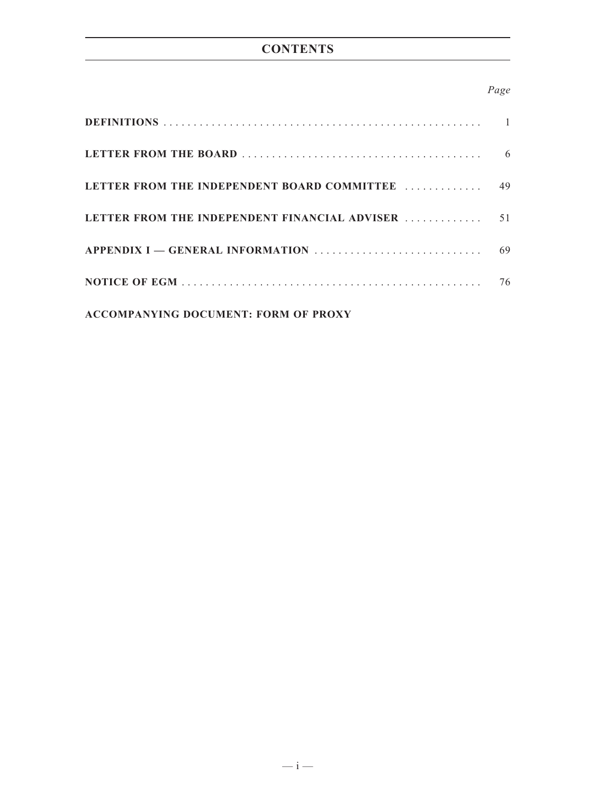## *Page*

| LETTER FROM THE INDEPENDENT BOARD COMMITTEE   | 49 |
|-----------------------------------------------|----|
| LETTER FROM THE INDEPENDENT FINANCIAL ADVISER | 51 |
|                                               | 69 |
|                                               | 76 |
| <b>ACCOMPANYING DOCUMENT: FORM OF PROXY</b>   |    |

 $- i -$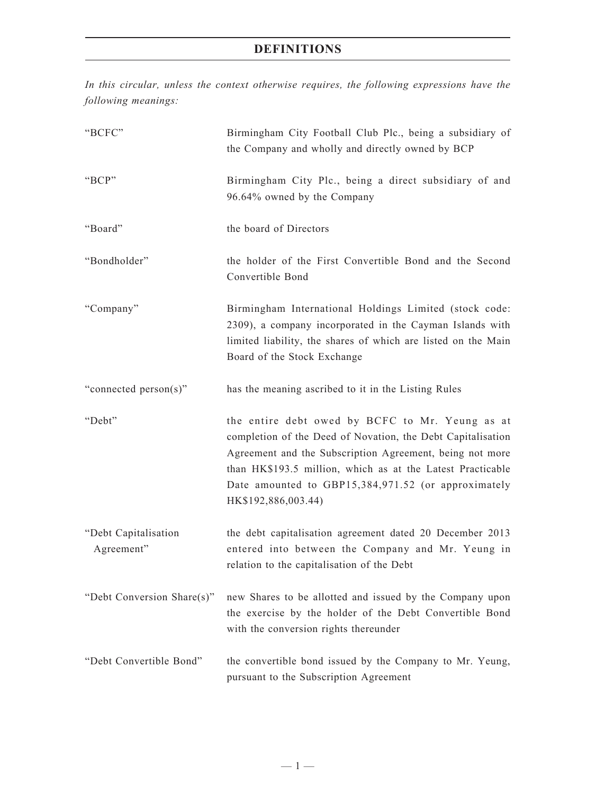*In this circular, unless the context otherwise requires, the following expressions have the following meanings:*

| "BCFC"                             | Birmingham City Football Club Plc., being a subsidiary of<br>the Company and wholly and directly owned by BCP                                                                                                                                                                                                          |
|------------------------------------|------------------------------------------------------------------------------------------------------------------------------------------------------------------------------------------------------------------------------------------------------------------------------------------------------------------------|
| "BCP"                              | Birmingham City Plc., being a direct subsidiary of and<br>96.64% owned by the Company                                                                                                                                                                                                                                  |
| "Board"                            | the board of Directors                                                                                                                                                                                                                                                                                                 |
| "Bondholder"                       | the holder of the First Convertible Bond and the Second<br>Convertible Bond                                                                                                                                                                                                                                            |
| "Company"                          | Birmingham International Holdings Limited (stock code:<br>2309), a company incorporated in the Cayman Islands with<br>limited liability, the shares of which are listed on the Main<br>Board of the Stock Exchange                                                                                                     |
| "connected person(s)"              | has the meaning ascribed to it in the Listing Rules                                                                                                                                                                                                                                                                    |
| "Debt"                             | the entire debt owed by BCFC to Mr. Yeung as at<br>completion of the Deed of Novation, the Debt Capitalisation<br>Agreement and the Subscription Agreement, being not more<br>than HK\$193.5 million, which as at the Latest Practicable<br>Date amounted to GBP15,384,971.52 (or approximately<br>HK\$192,886,003.44) |
| "Debt Capitalisation<br>Agreement" | the debt capitalisation agreement dated 20 December 2013<br>entered into between the Company and Mr. Yeung in<br>relation to the capitalisation of the Debt                                                                                                                                                            |
| "Debt Conversion Share(s)"         | new Shares to be allotted and issued by the Company upon<br>the exercise by the holder of the Debt Convertible Bond<br>with the conversion rights thereunder                                                                                                                                                           |
| "Debt Convertible Bond"            | the convertible bond issued by the Company to Mr. Yeung,<br>pursuant to the Subscription Agreement                                                                                                                                                                                                                     |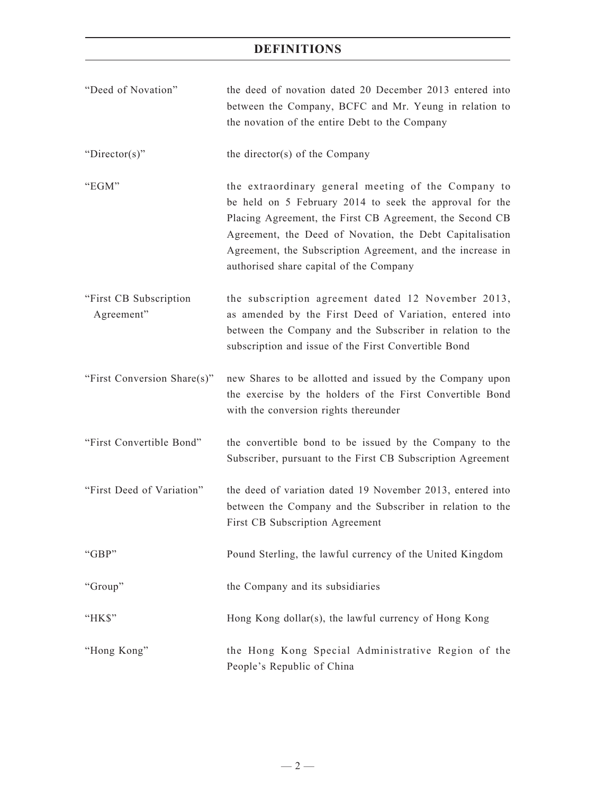- "Deed of Novation" the deed of novation dated 20 December 2013 entered into between the Company, BCFC and Mr. Yeung in relation to the novation of the entire Debt to the Company
- "Director(s)" the director(s) of the Company
- "EGM" the extraordinary general meeting of the Company to be held on 5 February 2014 to seek the approval for the Placing Agreement, the First CB Agreement, the Second CB Agreement, the Deed of Novation, the Debt Capitalisation Agreement, the Subscription Agreement, and the increase in authorised share capital of the Company
- "First CB Subscription Agreement" the subscription agreement dated 12 November 2013, as amended by the First Deed of Variation, entered into between the Company and the Subscriber in relation to the subscription and issue of the First Convertible Bond
- "First Conversion Share(s)" new Shares to be allotted and issued by the Company upon the exercise by the holders of the First Convertible Bond with the conversion rights thereunder
- "First Convertible Bond" the convertible bond to be issued by the Company to the Subscriber, pursuant to the First CB Subscription Agreement
- "First Deed of Variation" the deed of variation dated 19 November 2013, entered into between the Company and the Subscriber in relation to the First CB Subscription Agreement
- "GBP" Pound Sterling, the lawful currency of the United Kingdom
- "Group" the Company and its subsidiaries
- "HK\$" Hong Kong dollar(s), the lawful currency of Hong Kong
- "Hong Kong" the Hong Kong Special Administrative Region of the People's Republic of China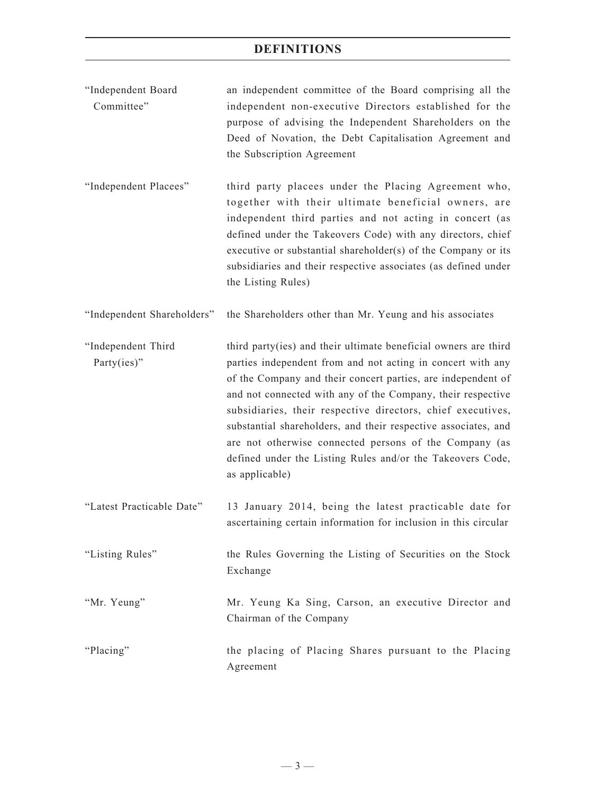- "Independent Board Committee" an independent committee of the Board comprising all the independent non-executive Directors established for the purpose of advising the Independent Shareholders on the Deed of Novation, the Debt Capitalisation Agreement and the Subscription Agreement
- "Independent Placees" third party placees under the Placing Agreement who, together with their ultimate beneficial owners, are independent third parties and not acting in concert (as defined under the Takeovers Code) with any directors, chief executive or substantial shareholder(s) of the Company or its subsidiaries and their respective associates (as defined under the Listing Rules)

"Independent Shareholders" the Shareholders other than Mr. Yeung and his associates

- "Independent Third Party(ies)" third party(ies) and their ultimate beneficial owners are third parties independent from and not acting in concert with any of the Company and their concert parties, are independent of and not connected with any of the Company, their respective subsidiaries, their respective directors, chief executives, substantial shareholders, and their respective associates, and are not otherwise connected persons of the Company (as defined under the Listing Rules and/or the Takeovers Code, as applicable)
- "Latest Practicable Date" 13 January 2014, being the latest practicable date for ascertaining certain information for inclusion in this circular
- "Listing Rules" the Rules Governing the Listing of Securities on the Stock Exchange
- "Mr. Yeung" Mr. Yeung Ka Sing, Carson, an executive Director and Chairman of the Company
- "Placing" the placing of Placing Shares pursuant to the Placing Agreement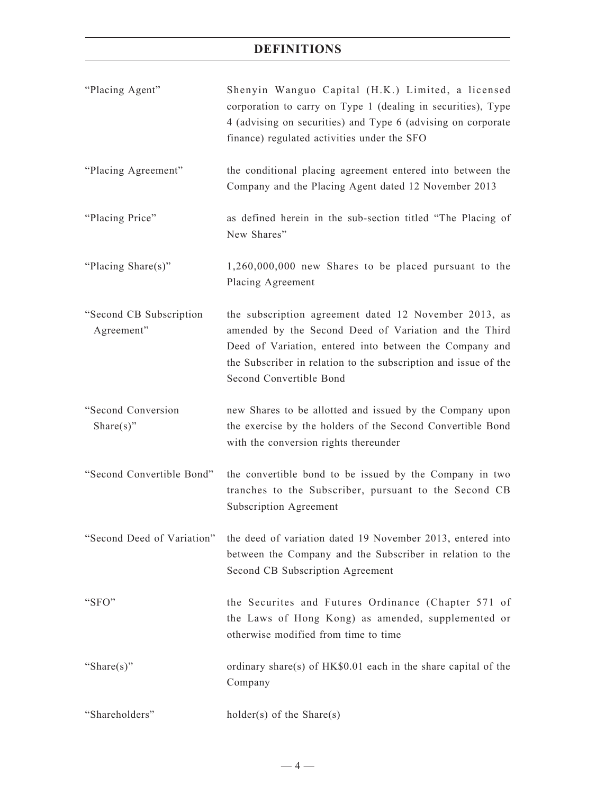| "Placing Agent"                       | Shenyin Wanguo Capital (H.K.) Limited, a licensed<br>corporation to carry on Type 1 (dealing in securities), Type<br>4 (advising on securities) and Type 6 (advising on corporate<br>finance) regulated activities under the SFO                                        |
|---------------------------------------|-------------------------------------------------------------------------------------------------------------------------------------------------------------------------------------------------------------------------------------------------------------------------|
| "Placing Agreement"                   | the conditional placing agreement entered into between the<br>Company and the Placing Agent dated 12 November 2013                                                                                                                                                      |
| "Placing Price"                       | as defined herein in the sub-section titled "The Placing of<br>New Shares"                                                                                                                                                                                              |
| "Placing Share(s)"                    | $1,260,000,000$ new Shares to be placed pursuant to the<br>Placing Agreement                                                                                                                                                                                            |
| "Second CB Subscription<br>Agreement" | the subscription agreement dated 12 November 2013, as<br>amended by the Second Deed of Variation and the Third<br>Deed of Variation, entered into between the Company and<br>the Subscriber in relation to the subscription and issue of the<br>Second Convertible Bond |
| "Second Conversion<br>Share $(s)$ "   | new Shares to be allotted and issued by the Company upon<br>the exercise by the holders of the Second Convertible Bond<br>with the conversion rights thereunder                                                                                                         |
| "Second Convertible Bond"             | the convertible bond to be issued by the Company in two<br>tranches to the Subscriber, pursuant to the Second CB<br>Subscription Agreement                                                                                                                              |
| "Second Deed of Variation"            | the deed of variation dated 19 November 2013, entered into<br>between the Company and the Subscriber in relation to the<br>Second CB Subscription Agreement                                                                                                             |
| "SFO"                                 | the Securites and Futures Ordinance (Chapter 571 of<br>the Laws of Hong Kong) as amended, supplemented or<br>otherwise modified from time to time                                                                                                                       |
| "Share $(s)$ "                        | ordinary share(s) of HK\$0.01 each in the share capital of the<br>Company                                                                                                                                                                                               |
| "Shareholders"                        | $holder(s)$ of the Share(s)                                                                                                                                                                                                                                             |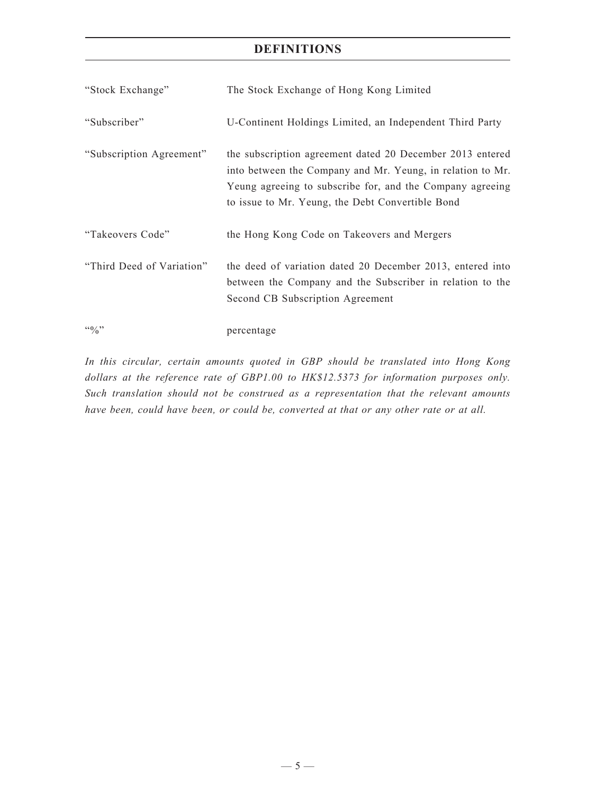| "Stock Exchange"                       | The Stock Exchange of Hong Kong Limited                                                                                                                                                                                                  |
|----------------------------------------|------------------------------------------------------------------------------------------------------------------------------------------------------------------------------------------------------------------------------------------|
| "Subscriber"                           | U-Continent Holdings Limited, an Independent Third Party                                                                                                                                                                                 |
| "Subscription Agreement"               | the subscription agreement dated 20 December 2013 entered<br>into between the Company and Mr. Yeung, in relation to Mr.<br>Yeung agreeing to subscribe for, and the Company agreeing<br>to issue to Mr. Yeung, the Debt Convertible Bond |
| "Takeovers Code"                       | the Hong Kong Code on Takeovers and Mergers                                                                                                                                                                                              |
| "Third Deed of Variation"              | the deed of variation dated 20 December 2013, entered into<br>between the Company and the Subscriber in relation to the<br>Second CB Subscription Agreement                                                                              |
| $\cdot \cdot \cdot \cdot$ <sup>3</sup> | percentage                                                                                                                                                                                                                               |

*In this circular, certain amounts quoted in GBP should be translated into Hong Kong dollars at the reference rate of GBP1.00 to HK\$12.5373 for information purposes only. Such translation should not be construed as a representation that the relevant amounts have been, could have been, or could be, converted at that or any other rate or at all.*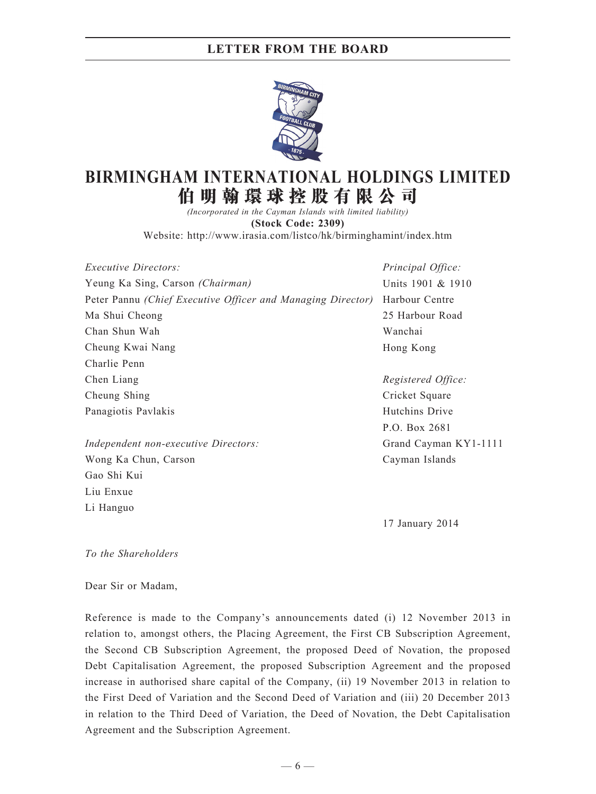

# **BIRMINGHAM INTERNATIONAL HOLDINGS LIMITED 伯 明 翰 環 球 控 股 有 限 公 司**

*(Incorporated in the Cayman Islands with limited liability)* **(Stock Code: 2309)** Website: http://www.irasia.com/listco/hk/birminghamint/index.htm

| <i>Executive Directors:</i>                                 | Principal Office:  |
|-------------------------------------------------------------|--------------------|
| Yeung Ka Sing, Carson (Chairman)                            | Units 1901 & 1910  |
| Peter Pannu (Chief Executive Officer and Managing Director) | Harbour Centre     |
| Ma Shui Cheong                                              | 25 Harbour Road    |
| Chan Shun Wah                                               | Wanchai            |
| Cheung Kwai Nang                                            | Hong Kong          |
| Charlie Penn                                                |                    |
| Chen Liang                                                  | Registered Office: |
| Cheung Shing                                                | Cricket Square     |
| Panagiotis Pavlakis                                         | Hutchins Drive     |
|                                                             |                    |

*Independent non-executive Directors:* Wong Ka Chun, Carson Gao Shi Kui Liu Enxue Li Hanguo

P.O. Box 2681 Grand Cayman KY1-1111 Cayman Islands

17 January 2014

#### *To the Shareholders*

#### Dear Sir or Madam,

Reference is made to the Company's announcements dated (i) 12 November 2013 in relation to, amongst others, the Placing Agreement, the First CB Subscription Agreement, the Second CB Subscription Agreement, the proposed Deed of Novation, the proposed Debt Capitalisation Agreement, the proposed Subscription Agreement and the proposed increase in authorised share capital of the Company, (ii) 19 November 2013 in relation to the First Deed of Variation and the Second Deed of Variation and (iii) 20 December 2013 in relation to the Third Deed of Variation, the Deed of Novation, the Debt Capitalisation Agreement and the Subscription Agreement.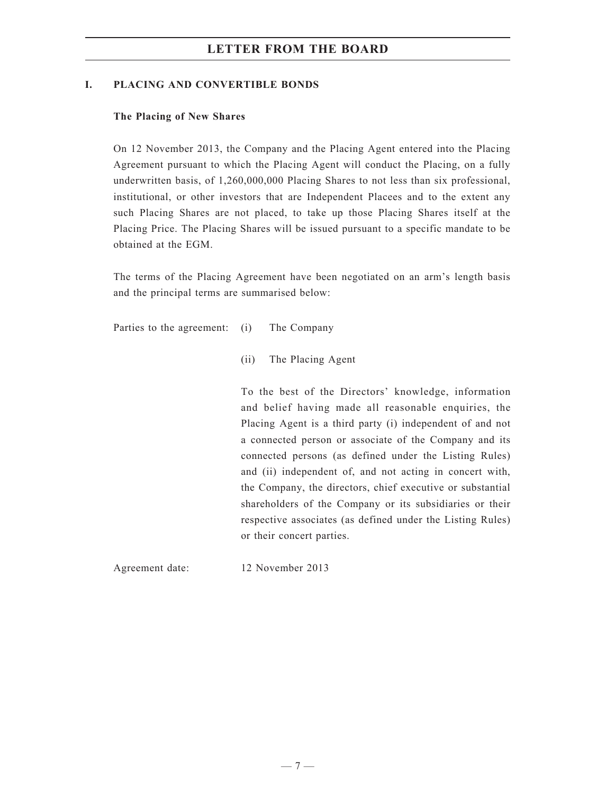#### **I. PLACING AND CONVERTIBLE BONDS**

#### **The Placing of New Shares**

On 12 November 2013, the Company and the Placing Agent entered into the Placing Agreement pursuant to which the Placing Agent will conduct the Placing, on a fully underwritten basis, of 1,260,000,000 Placing Shares to not less than six professional, institutional, or other investors that are Independent Placees and to the extent any such Placing Shares are not placed, to take up those Placing Shares itself at the Placing Price. The Placing Shares will be issued pursuant to a specific mandate to be obtained at the EGM.

The terms of the Placing Agreement have been negotiated on an arm's length basis and the principal terms are summarised below:

Parties to the agreement: (i) The Company

(ii) The Placing Agent

To the best of the Directors' knowledge, information and belief having made all reasonable enquiries, the Placing Agent is a third party (i) independent of and not a connected person or associate of the Company and its connected persons (as defined under the Listing Rules) and (ii) independent of, and not acting in concert with, the Company, the directors, chief executive or substantial shareholders of the Company or its subsidiaries or their respective associates (as defined under the Listing Rules) or their concert parties.

Agreement date: 12 November 2013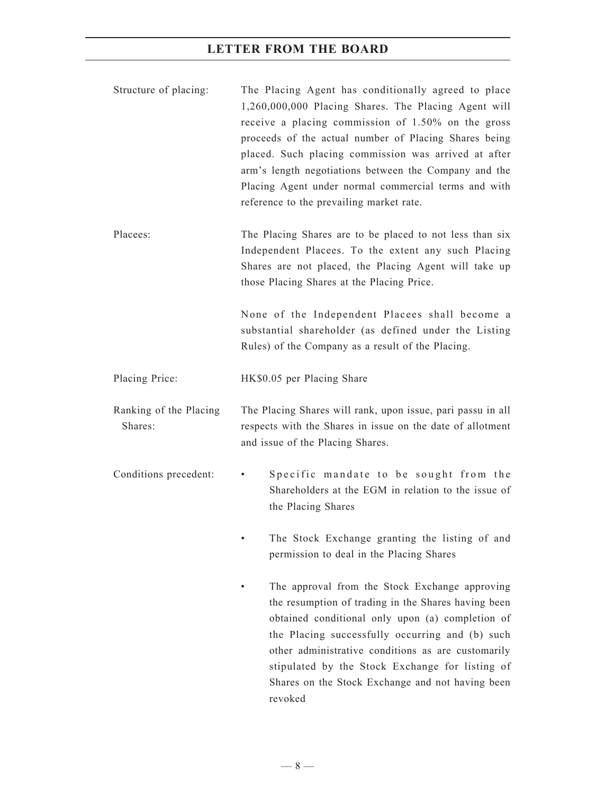- Structure of placing: The Placing Agent has conditionally agreed to place 1,260,000,000 Placing Shares. The Placing Agent will receive a placing commission of 1.50% on the gross proceeds of the actual number of Placing Shares being placed. Such placing commission was arrived at after arm's length negotiations between the Company and the Placing Agent under normal commercial terms and with reference to the prevailing market rate.
- Placees: The Placing Shares are to be placed to not less than six Independent Placees. To the extent any such Placing Shares are not placed, the Placing Agent will take up those Placing Shares at the Placing Price.

None of the Independent Placees shall become a substantial shareholder (as defined under the Listing Rules) of the Company as a result of the Placing.

Placing Price: HK\$0.05 per Placing Share

- Ranking of the Placing Shares: The Placing Shares will rank, upon issue, pari passu in all respects with the Shares in issue on the date of allotment and issue of the Placing Shares.
- Conditions precedent: Specific mandate to be sought from the Shareholders at the EGM in relation to the issue of the Placing Shares
	- The Stock Exchange granting the listing of and permission to deal in the Placing Shares
	- The approval from the Stock Exchange approving the resumption of trading in the Shares having been obtained conditional only upon (a) completion of the Placing successfully occurring and (b) such other administrative conditions as are customarily stipulated by the Stock Exchange for listing of Shares on the Stock Exchange and not having been revoked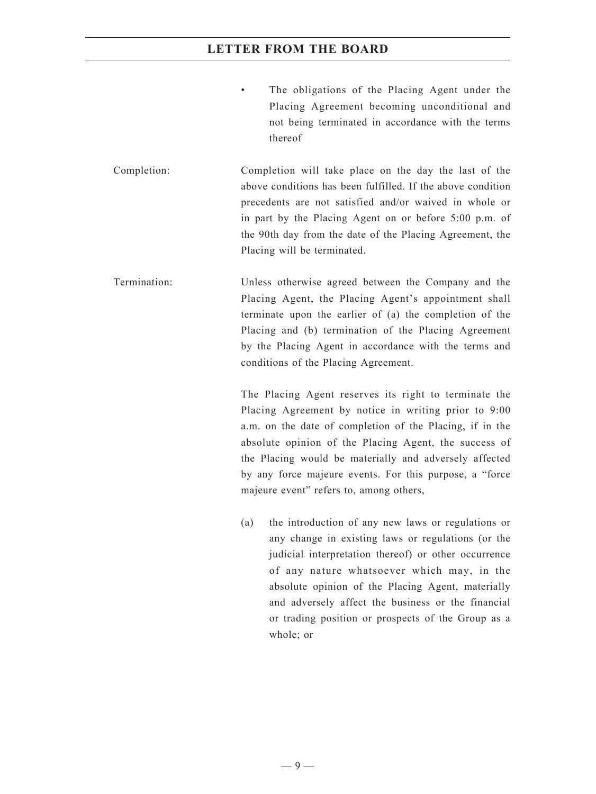- The obligations of the Placing Agent under the Placing Agreement becoming unconditional and not being terminated in accordance with the terms thereof
- Completion: Completion will take place on the day the last of the above conditions has been fulfilled. If the above condition precedents are not satisfied and/or waived in whole or in part by the Placing Agent on or before 5:00 p.m. of the 90th day from the date of the Placing Agreement, the Placing will be terminated.
- Termination: Unless otherwise agreed between the Company and the Placing Agent, the Placing Agent's appointment shall terminate upon the earlier of (a) the completion of the Placing and (b) termination of the Placing Agreement by the Placing Agent in accordance with the terms and conditions of the Placing Agreement.

The Placing Agent reserves its right to terminate the Placing Agreement by notice in writing prior to 9:00 a.m. on the date of completion of the Placing, if in the absolute opinion of the Placing Agent, the success of the Placing would be materially and adversely affected by any force majeure events. For this purpose, a "force majeure event" refers to, among others,

(a) the introduction of any new laws or regulations or any change in existing laws or regulations (or the judicial interpretation thereof) or other occurrence of any nature whatsoever which may, in the absolute opinion of the Placing Agent, materially and adversely affect the business or the financial or trading position or prospects of the Group as a whole; or

 $-9-$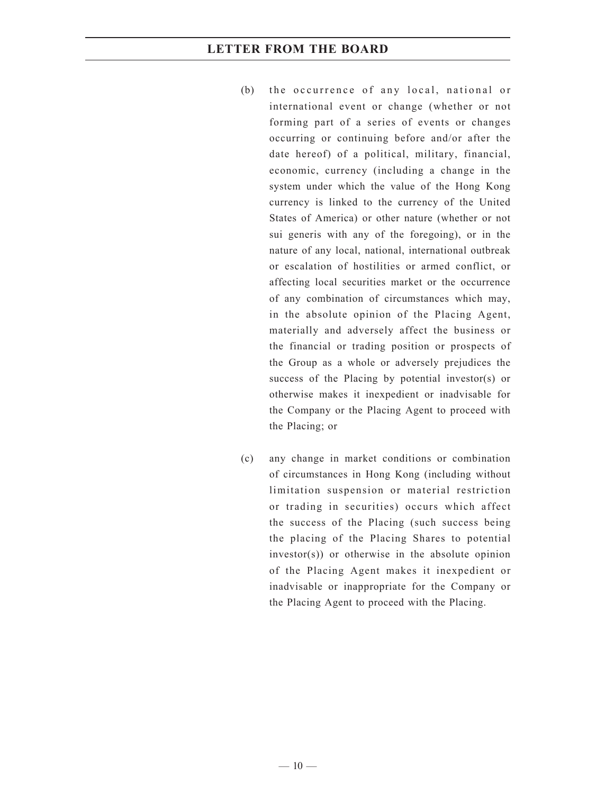- (b) the occurrence of any local, national or international event or change (whether or not forming part of a series of events or changes occurring or continuing before and/or after the date hereof) of a political, military, financial, economic, currency (including a change in the system under which the value of the Hong Kong currency is linked to the currency of the United States of America) or other nature (whether or not sui generis with any of the foregoing), or in the nature of any local, national, international outbreak or escalation of hostilities or armed conflict, or affecting local securities market or the occurrence of any combination of circumstances which may, in the absolute opinion of the Placing Agent, materially and adversely affect the business or the financial or trading position or prospects of the Group as a whole or adversely prejudices the success of the Placing by potential investor(s) or otherwise makes it inexpedient or inadvisable for the Company or the Placing Agent to proceed with the Placing; or
- (c) any change in market conditions or combination of circumstances in Hong Kong (including without limitation suspension or material restriction or trading in securities) occurs which affect the success of the Placing (such success being the placing of the Placing Shares to potential investor(s)) or otherwise in the absolute opinion of the Placing Agent makes it inexpedient or inadvisable or inappropriate for the Company or the Placing Agent to proceed with the Placing.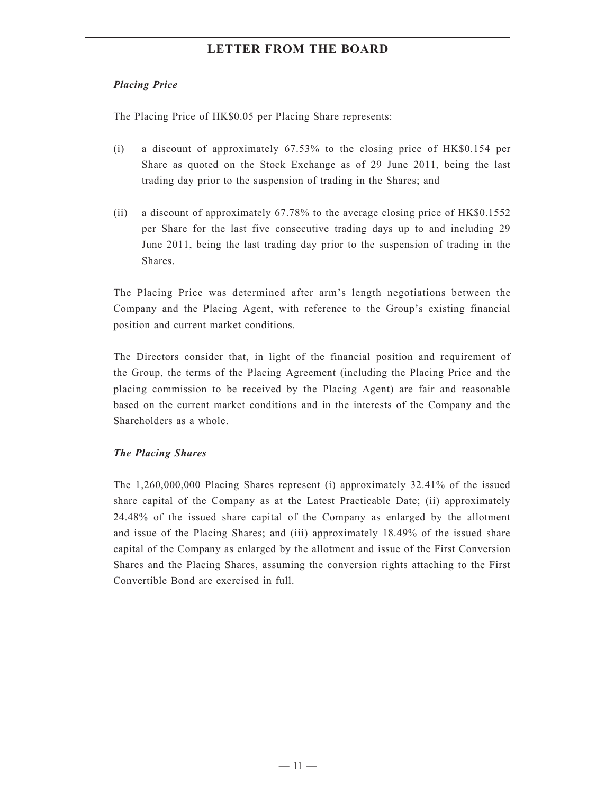#### *Placing Price*

The Placing Price of HK\$0.05 per Placing Share represents:

- (i) a discount of approximately 67.53% to the closing price of HK\$0.154 per Share as quoted on the Stock Exchange as of 29 June 2011, being the last trading day prior to the suspension of trading in the Shares; and
- (ii) a discount of approximately 67.78% to the average closing price of HK\$0.1552 per Share for the last five consecutive trading days up to and including 29 June 2011, being the last trading day prior to the suspension of trading in the Shares.

The Placing Price was determined after arm's length negotiations between the Company and the Placing Agent, with reference to the Group's existing financial position and current market conditions.

The Directors consider that, in light of the financial position and requirement of the Group, the terms of the Placing Agreement (including the Placing Price and the placing commission to be received by the Placing Agent) are fair and reasonable based on the current market conditions and in the interests of the Company and the Shareholders as a whole.

### *The Placing Shares*

The 1,260,000,000 Placing Shares represent (i) approximately 32.41% of the issued share capital of the Company as at the Latest Practicable Date; (ii) approximately 24.48% of the issued share capital of the Company as enlarged by the allotment and issue of the Placing Shares; and (iii) approximately 18.49% of the issued share capital of the Company as enlarged by the allotment and issue of the First Conversion Shares and the Placing Shares, assuming the conversion rights attaching to the First Convertible Bond are exercised in full.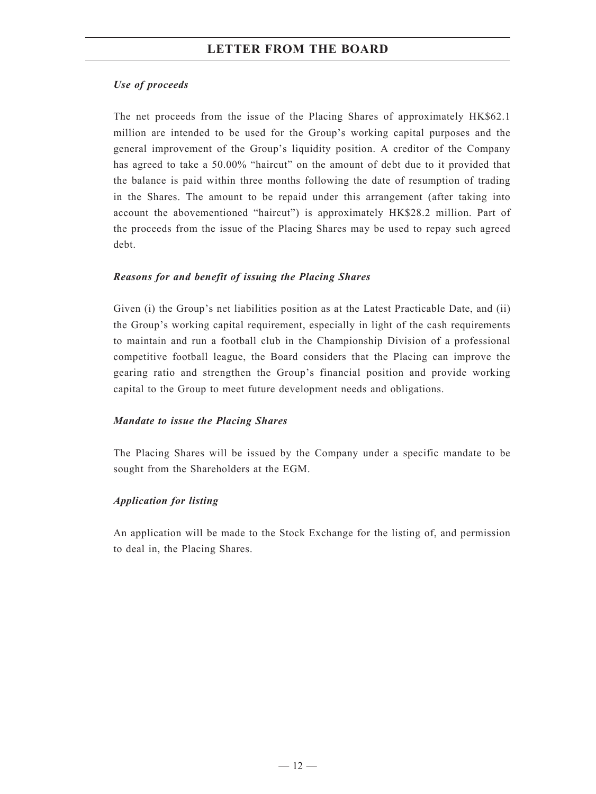#### *Use of proceeds*

The net proceeds from the issue of the Placing Shares of approximately HK\$62.1 million are intended to be used for the Group's working capital purposes and the general improvement of the Group's liquidity position. A creditor of the Company has agreed to take a 50.00% "haircut" on the amount of debt due to it provided that the balance is paid within three months following the date of resumption of trading in the Shares. The amount to be repaid under this arrangement (after taking into account the abovementioned "haircut") is approximately HK\$28.2 million. Part of the proceeds from the issue of the Placing Shares may be used to repay such agreed debt.

#### *Reasons for and benefit of issuing the Placing Shares*

Given (i) the Group's net liabilities position as at the Latest Practicable Date, and (ii) the Group's working capital requirement, especially in light of the cash requirements to maintain and run a football club in the Championship Division of a professional competitive football league, the Board considers that the Placing can improve the gearing ratio and strengthen the Group's financial position and provide working capital to the Group to meet future development needs and obligations.

#### *Mandate to issue the Placing Shares*

The Placing Shares will be issued by the Company under a specific mandate to be sought from the Shareholders at the EGM.

#### *Application for listing*

An application will be made to the Stock Exchange for the listing of, and permission to deal in, the Placing Shares.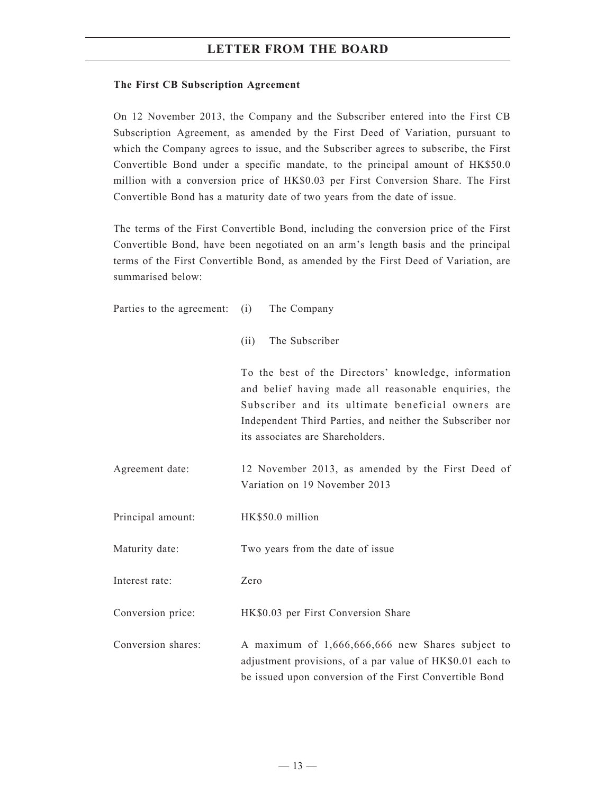#### **The First CB Subscription Agreement**

On 12 November 2013, the Company and the Subscriber entered into the First CB Subscription Agreement, as amended by the First Deed of Variation, pursuant to which the Company agrees to issue, and the Subscriber agrees to subscribe, the First Convertible Bond under a specific mandate, to the principal amount of HK\$50.0 million with a conversion price of HK\$0.03 per First Conversion Share. The First Convertible Bond has a maturity date of two years from the date of issue.

The terms of the First Convertible Bond, including the conversion price of the First Convertible Bond, have been negotiated on an arm's length basis and the principal terms of the First Convertible Bond, as amended by the First Deed of Variation, are summarised below:

| Parties to the agreement: | (i)<br>The Company                                                                                                                                                                                                                                                 |
|---------------------------|--------------------------------------------------------------------------------------------------------------------------------------------------------------------------------------------------------------------------------------------------------------------|
|                           | The Subscriber<br>(ii)                                                                                                                                                                                                                                             |
|                           | To the best of the Directors' knowledge, information<br>and belief having made all reasonable enquiries, the<br>Subscriber and its ultimate beneficial owners are<br>Independent Third Parties, and neither the Subscriber nor<br>its associates are Shareholders. |
| Agreement date:           | 12 November 2013, as amended by the First Deed of<br>Variation on 19 November 2013                                                                                                                                                                                 |
| Principal amount:         | HK\$50.0 million                                                                                                                                                                                                                                                   |
| Maturity date:            | Two years from the date of issue                                                                                                                                                                                                                                   |
| Interest rate:            | Zero                                                                                                                                                                                                                                                               |
| Conversion price:         | HK\$0.03 per First Conversion Share                                                                                                                                                                                                                                |
| Conversion shares:        | A maximum of 1,666,666,666 new Shares subject to<br>adjustment provisions, of a par value of HK\$0.01 each to                                                                                                                                                      |

be issued upon conversion of the First Convertible Bond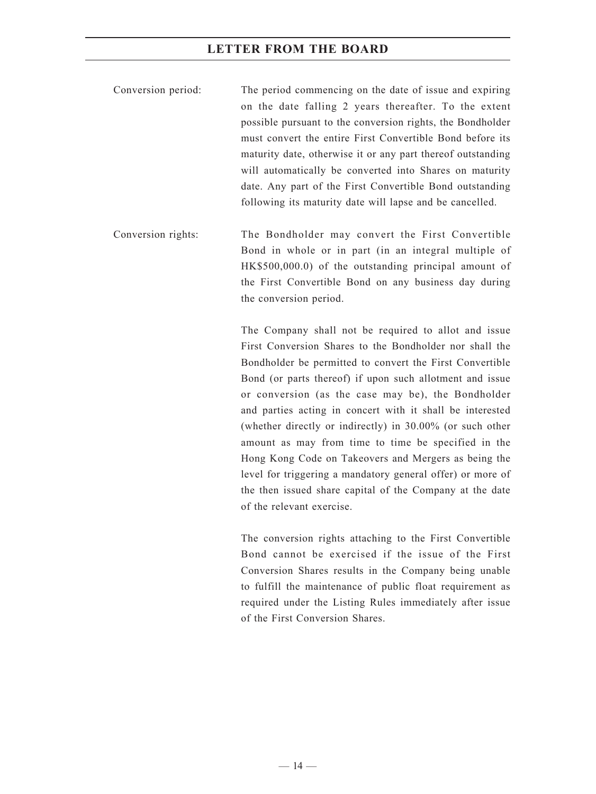- Conversion period: The period commencing on the date of issue and expiring on the date falling 2 years thereafter. To the extent possible pursuant to the conversion rights, the Bondholder must convert the entire First Convertible Bond before its maturity date, otherwise it or any part thereof outstanding will automatically be converted into Shares on maturity date. Any part of the First Convertible Bond outstanding following its maturity date will lapse and be cancelled.
- Conversion rights: The Bondholder may convert the First Convertible Bond in whole or in part (in an integral multiple of HK\$500,000.0) of the outstanding principal amount of the First Convertible Bond on any business day during the conversion period.

The Company shall not be required to allot and issue First Conversion Shares to the Bondholder nor shall the Bondholder be permitted to convert the First Convertible Bond (or parts thereof) if upon such allotment and issue or conversion (as the case may be), the Bondholder and parties acting in concert with it shall be interested (whether directly or indirectly) in 30.00% (or such other amount as may from time to time be specified in the Hong Kong Code on Takeovers and Mergers as being the level for triggering a mandatory general offer) or more of the then issued share capital of the Company at the date of the relevant exercise.

The conversion rights attaching to the First Convertible Bond cannot be exercised if the issue of the First Conversion Shares results in the Company being unable to fulfill the maintenance of public float requirement as required under the Listing Rules immediately after issue of the First Conversion Shares.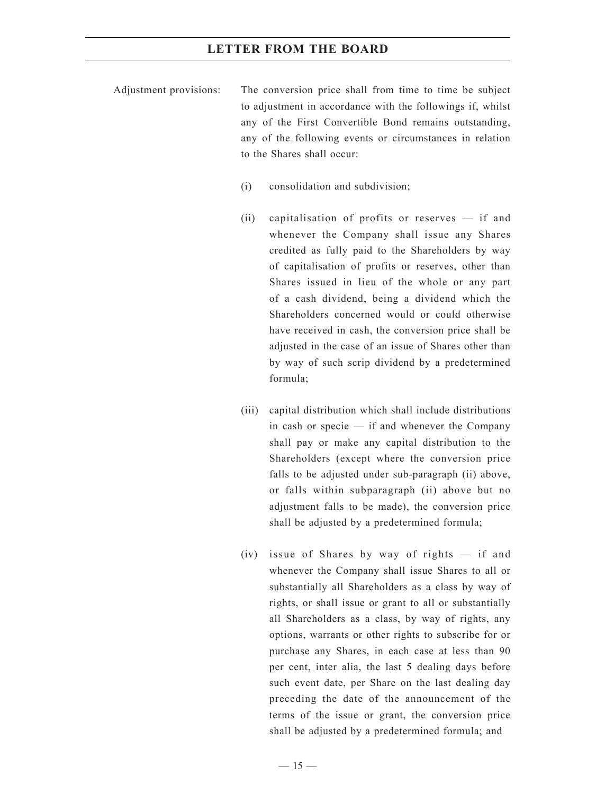- Adjustment provisions: The conversion price shall from time to time be subject to adjustment in accordance with the followings if, whilst any of the First Convertible Bond remains outstanding, any of the following events or circumstances in relation to the Shares shall occur:
	- (i) consolidation and subdivision;
	- (ii) capitalisation of profits or reserves if and whenever the Company shall issue any Shares credited as fully paid to the Shareholders by way of capitalisation of profits or reserves, other than Shares issued in lieu of the whole or any part of a cash dividend, being a dividend which the Shareholders concerned would or could otherwise have received in cash, the conversion price shall be adjusted in the case of an issue of Shares other than by way of such scrip dividend by a predetermined formula;
	- (iii) capital distribution which shall include distributions in cash or specie — if and whenever the Company shall pay or make any capital distribution to the Shareholders (except where the conversion price falls to be adjusted under sub-paragraph (ii) above, or falls within subparagraph (ii) above but no adjustment falls to be made), the conversion price shall be adjusted by a predetermined formula;
	- (iv) issue of Shares by way of rights if and whenever the Company shall issue Shares to all or substantially all Shareholders as a class by way of rights, or shall issue or grant to all or substantially all Shareholders as a class, by way of rights, any options, warrants or other rights to subscribe for or purchase any Shares, in each case at less than 90 per cent, inter alia, the last 5 dealing days before such event date, per Share on the last dealing day preceding the date of the announcement of the terms of the issue or grant, the conversion price shall be adjusted by a predetermined formula; and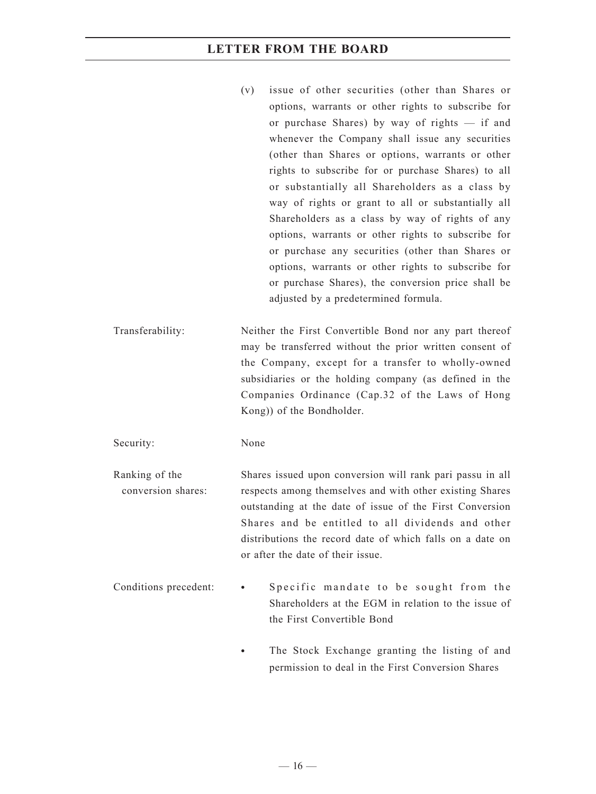- (v) issue of other securities (other than Shares or options, warrants or other rights to subscribe for or purchase Shares) by way of rights — if and whenever the Company shall issue any securities (other than Shares or options, warrants or other rights to subscribe for or purchase Shares) to all or substantially all Shareholders as a class by way of rights or grant to all or substantially all Shareholders as a class by way of rights of any options, warrants or other rights to subscribe for or purchase any securities (other than Shares or options, warrants or other rights to subscribe for or purchase Shares), the conversion price shall be adjusted by a predetermined formula.
- Transferability: Neither the First Convertible Bond nor any part thereof may be transferred without the prior written consent of the Company, except for a transfer to wholly-owned subsidiaries or the holding company (as defined in the Companies Ordinance (Cap.32 of the Laws of Hong Kong)) of the Bondholder.

Security: None

Ranking of the conversion shares: Shares issued upon conversion will rank pari passu in all respects among themselves and with other existing Shares outstanding at the date of issue of the First Conversion Shares and be entitled to all dividends and other distributions the record date of which falls on a date on or after the date of their issue.

- Conditions precedent: **•** Specific mandate to be sought from the Shareholders at the EGM in relation to the issue of the First Convertible Bond
	- **•** The Stock Exchange granting the listing of and permission to deal in the First Conversion Shares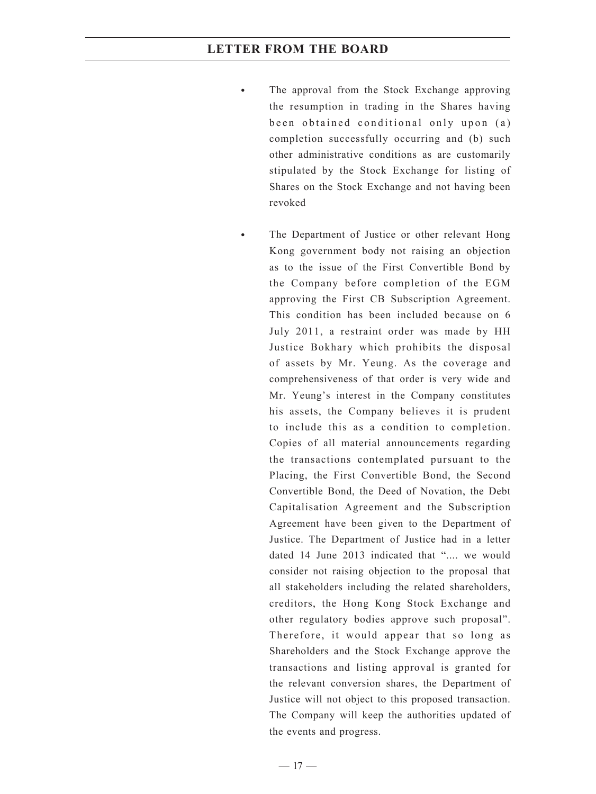- The approval from the Stock Exchange approving the resumption in trading in the Shares having been obtained conditional only upon (a) completion successfully occurring and (b) such other administrative conditions as are customarily stipulated by the Stock Exchange for listing of Shares on the Stock Exchange and not having been revoked
- **•** The Department of Justice or other relevant Hong Kong government body not raising an objection as to the issue of the First Convertible Bond by the Company before completion of the EGM approving the First CB Subscription Agreement. This condition has been included because on 6 July 2011, a restraint order was made by HH Justice Bokhary which prohibits the disposal of assets by Mr. Yeung. As the coverage and comprehensiveness of that order is very wide and Mr. Yeung's interest in the Company constitutes his assets, the Company believes it is prudent to include this as a condition to completion. Copies of all material announcements regarding the transactions contemplated pursuant to the Placing, the First Convertible Bond, the Second Convertible Bond, the Deed of Novation, the Debt Capitalisation Agreement and the Subscription Agreement have been given to the Department of Justice. The Department of Justice had in a letter dated 14 June 2013 indicated that ".... we would consider not raising objection to the proposal that all stakeholders including the related shareholders, creditors, the Hong Kong Stock Exchange and other regulatory bodies approve such proposal". Therefore, it would appear that so long as Shareholders and the Stock Exchange approve the transactions and listing approval is granted for the relevant conversion shares, the Department of Justice will not object to this proposed transaction. The Company will keep the authorities updated of the events and progress.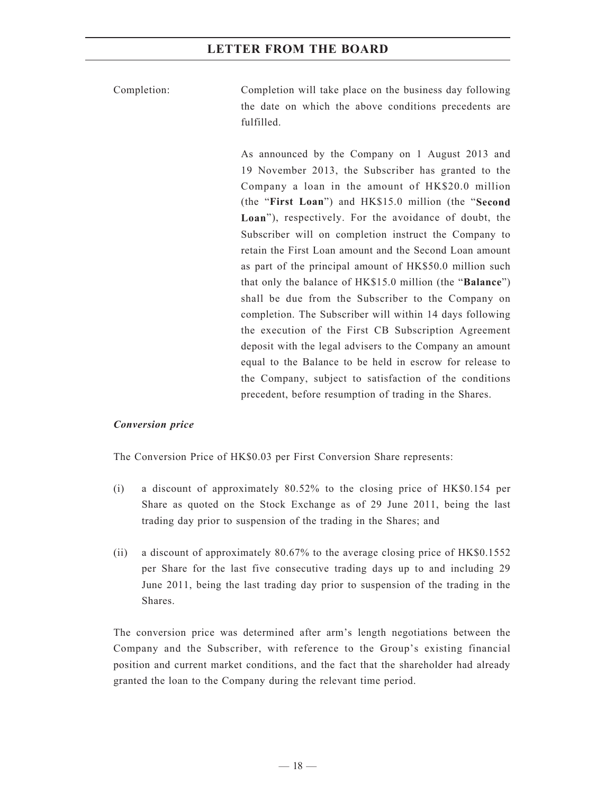Completion: Completion will take place on the business day following the date on which the above conditions precedents are fulfilled.

> As announced by the Company on 1 August 2013 and 19 November 2013, the Subscriber has granted to the Company a loan in the amount of HK\$20.0 million (the "**First Loan**") and HK\$15.0 million (the "**Second Loan**"), respectively. For the avoidance of doubt, the Subscriber will on completion instruct the Company to retain the First Loan amount and the Second Loan amount as part of the principal amount of HK\$50.0 million such that only the balance of HK\$15.0 million (the "**Balance**") shall be due from the Subscriber to the Company on completion. The Subscriber will within 14 days following the execution of the First CB Subscription Agreement deposit with the legal advisers to the Company an amount equal to the Balance to be held in escrow for release to the Company, subject to satisfaction of the conditions precedent, before resumption of trading in the Shares.

#### *Conversion price*

The Conversion Price of HK\$0.03 per First Conversion Share represents:

- (i) a discount of approximately 80.52% to the closing price of HK\$0.154 per Share as quoted on the Stock Exchange as of 29 June 2011, being the last trading day prior to suspension of the trading in the Shares; and
- (ii) a discount of approximately 80.67% to the average closing price of HK\$0.1552 per Share for the last five consecutive trading days up to and including 29 June 2011, being the last trading day prior to suspension of the trading in the Shares.

The conversion price was determined after arm's length negotiations between the Company and the Subscriber, with reference to the Group's existing financial position and current market conditions, and the fact that the shareholder had already granted the loan to the Company during the relevant time period.

 $-18-$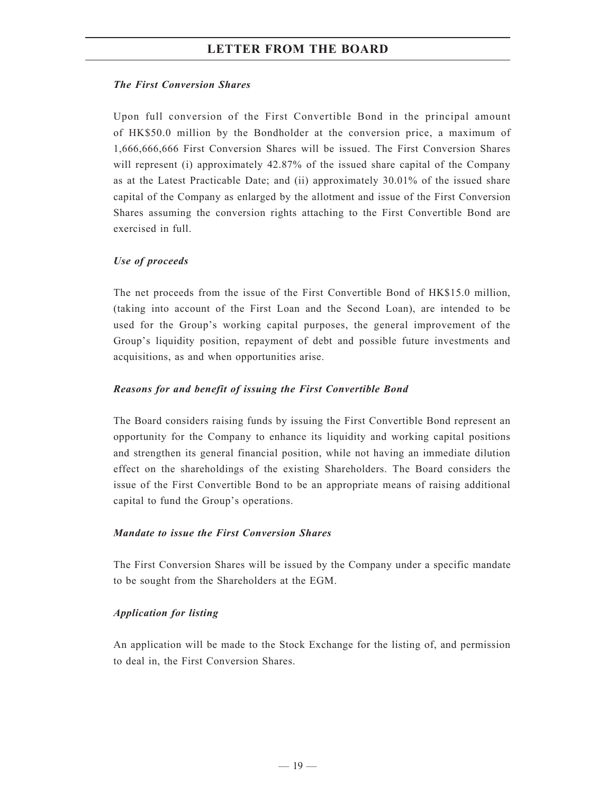#### *The First Conversion Shares*

Upon full conversion of the First Convertible Bond in the principal amount of HK\$50.0 million by the Bondholder at the conversion price, a maximum of 1,666,666,666 First Conversion Shares will be issued. The First Conversion Shares will represent (i) approximately 42.87% of the issued share capital of the Company as at the Latest Practicable Date; and (ii) approximately 30.01% of the issued share capital of the Company as enlarged by the allotment and issue of the First Conversion Shares assuming the conversion rights attaching to the First Convertible Bond are exercised in full.

#### *Use of proceeds*

The net proceeds from the issue of the First Convertible Bond of HK\$15.0 million, (taking into account of the First Loan and the Second Loan), are intended to be used for the Group's working capital purposes, the general improvement of the Group's liquidity position, repayment of debt and possible future investments and acquisitions, as and when opportunities arise.

#### *Reasons for and benefit of issuing the First Convertible Bond*

The Board considers raising funds by issuing the First Convertible Bond represent an opportunity for the Company to enhance its liquidity and working capital positions and strengthen its general financial position, while not having an immediate dilution effect on the shareholdings of the existing Shareholders. The Board considers the issue of the First Convertible Bond to be an appropriate means of raising additional capital to fund the Group's operations.

#### *Mandate to issue the First Conversion Shares*

The First Conversion Shares will be issued by the Company under a specific mandate to be sought from the Shareholders at the EGM.

#### *Application for listing*

An application will be made to the Stock Exchange for the listing of, and permission to deal in, the First Conversion Shares.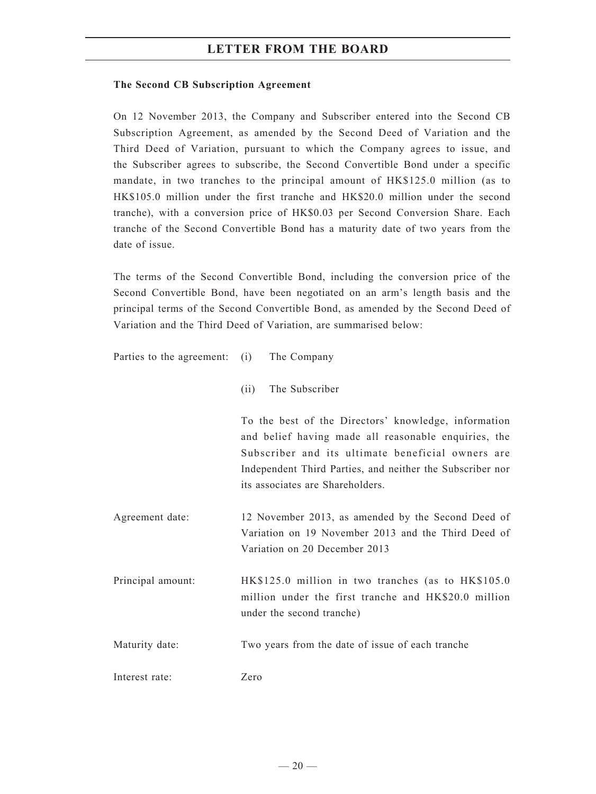#### **The Second CB Subscription Agreement**

On 12 November 2013, the Company and Subscriber entered into the Second CB Subscription Agreement, as amended by the Second Deed of Variation and the Third Deed of Variation, pursuant to which the Company agrees to issue, and the Subscriber agrees to subscribe, the Second Convertible Bond under a specific mandate, in two tranches to the principal amount of HK\$125.0 million (as to HK\$105.0 million under the first tranche and HK\$20.0 million under the second tranche), with a conversion price of HK\$0.03 per Second Conversion Share. Each tranche of the Second Convertible Bond has a maturity date of two years from the date of issue.

The terms of the Second Convertible Bond, including the conversion price of the Second Convertible Bond, have been negotiated on an arm's length basis and the principal terms of the Second Convertible Bond, as amended by the Second Deed of Variation and the Third Deed of Variation, are summarised below:

| Parties to the agreement: (i) | The Company                                                                                                                                                                                                                                                        |
|-------------------------------|--------------------------------------------------------------------------------------------------------------------------------------------------------------------------------------------------------------------------------------------------------------------|
|                               | The Subscriber<br>(i)                                                                                                                                                                                                                                              |
|                               | To the best of the Directors' knowledge, information<br>and belief having made all reasonable enquiries, the<br>Subscriber and its ultimate beneficial owners are<br>Independent Third Parties, and neither the Subscriber nor<br>its associates are Shareholders. |
| Agreement date:               | 12 November 2013, as amended by the Second Deed of<br>Variation on 19 November 2013 and the Third Deed of<br>Variation on 20 December 2013                                                                                                                         |
| Principal amount:             | HK\$125.0 million in two tranches (as to HK\$105.0<br>million under the first tranche and HK\$20.0 million<br>under the second tranche)                                                                                                                            |
| Maturity date:                | Two years from the date of issue of each tranche                                                                                                                                                                                                                   |
| Interest rate:                | Zero                                                                                                                                                                                                                                                               |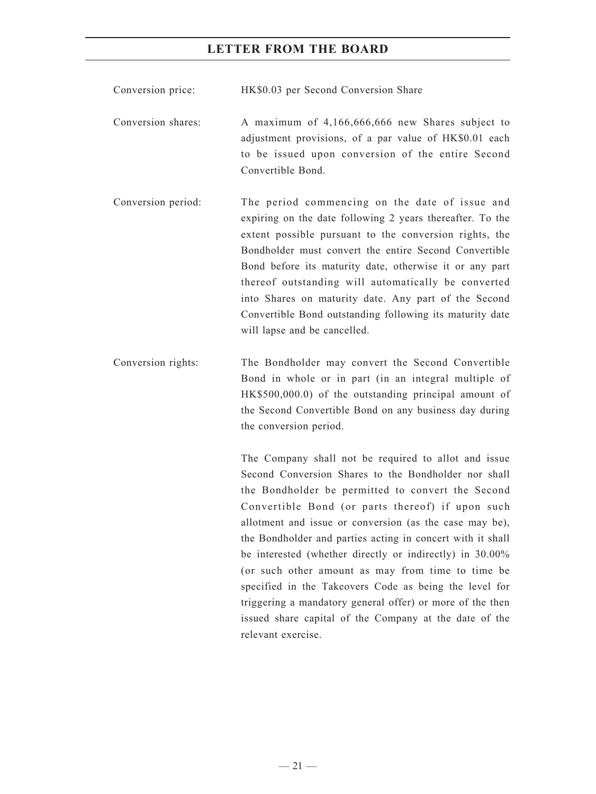Conversion price: HK\$0.03 per Second Conversion Share

- Conversion shares: A maximum of 4,166,666,666 new Shares subject to adjustment provisions, of a par value of HK\$0.01 each to be issued upon conversion of the entire Second Convertible Bond.
- Conversion period: The period commencing on the date of issue and expiring on the date following 2 years thereafter. To the extent possible pursuant to the conversion rights, the Bondholder must convert the entire Second Convertible Bond before its maturity date, otherwise it or any part thereof outstanding will automatically be converted into Shares on maturity date. Any part of the Second Convertible Bond outstanding following its maturity date will lapse and be cancelled.
- Conversion rights: The Bondholder may convert the Second Convertible Bond in whole or in part (in an integral multiple of HK\$500,000.0) of the outstanding principal amount of the Second Convertible Bond on any business day during the conversion period.

The Company shall not be required to allot and issue Second Conversion Shares to the Bondholder nor shall the Bondholder be permitted to convert the Second Convertible Bond (or parts thereof) if upon such allotment and issue or conversion (as the case may be), the Bondholder and parties acting in concert with it shall be interested (whether directly or indirectly) in 30.00% (or such other amount as may from time to time be specified in the Takeovers Code as being the level for triggering a mandatory general offer) or more of the then issued share capital of the Company at the date of the relevant exercise.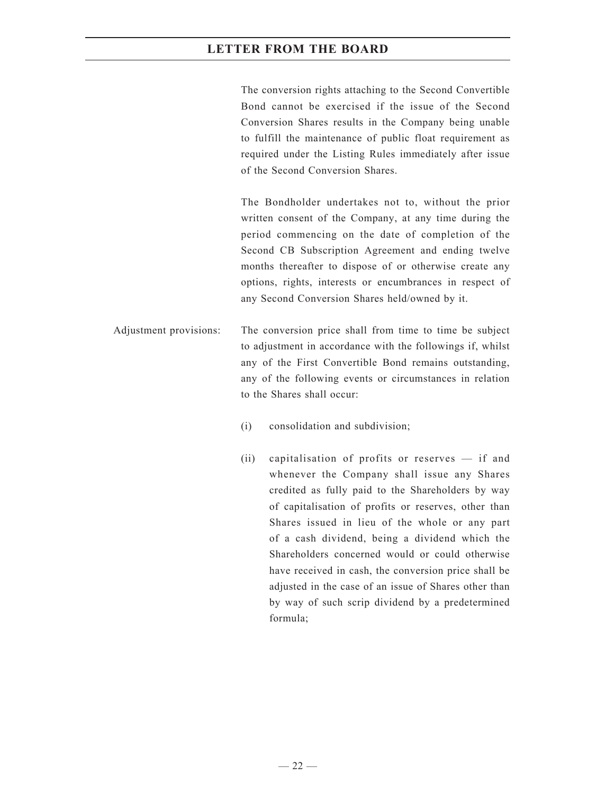The conversion rights attaching to the Second Convertible Bond cannot be exercised if the issue of the Second Conversion Shares results in the Company being unable to fulfill the maintenance of public float requirement as required under the Listing Rules immediately after issue of the Second Conversion Shares.

The Bondholder undertakes not to, without the prior written consent of the Company, at any time during the period commencing on the date of completion of the Second CB Subscription Agreement and ending twelve months thereafter to dispose of or otherwise create any options, rights, interests or encumbrances in respect of any Second Conversion Shares held/owned by it.

Adjustment provisions: The conversion price shall from time to time be subject to adjustment in accordance with the followings if, whilst any of the First Convertible Bond remains outstanding, any of the following events or circumstances in relation to the Shares shall occur:

- (i) consolidation and subdivision;
- (ii) capitalisation of profits or reserves if and whenever the Company shall issue any Shares credited as fully paid to the Shareholders by way of capitalisation of profits or reserves, other than Shares issued in lieu of the whole or any part of a cash dividend, being a dividend which the Shareholders concerned would or could otherwise have received in cash, the conversion price shall be adjusted in the case of an issue of Shares other than by way of such scrip dividend by a predetermined formula;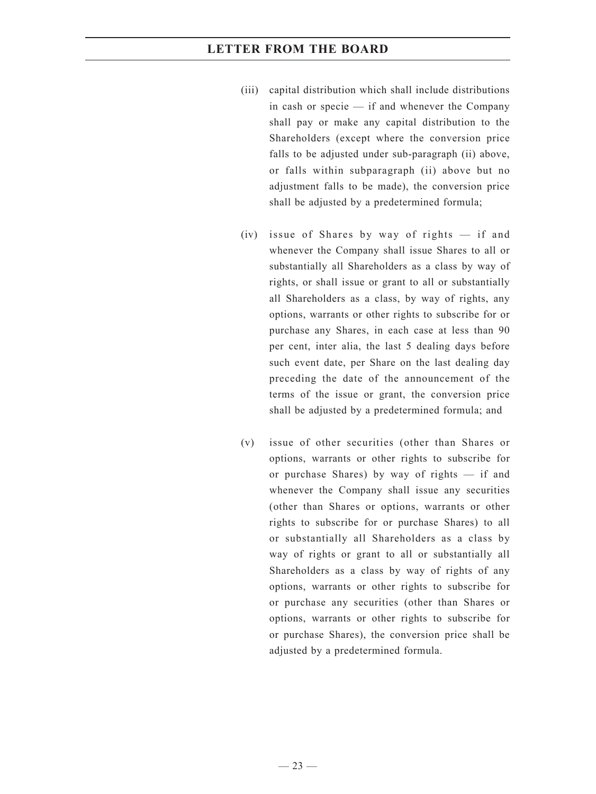- (iii) capital distribution which shall include distributions in cash or specie — if and whenever the Company shall pay or make any capital distribution to the Shareholders (except where the conversion price falls to be adjusted under sub-paragraph (ii) above, or falls within subparagraph (ii) above but no adjustment falls to be made), the conversion price shall be adjusted by a predetermined formula;
- (iv) issue of Shares by way of rights if and whenever the Company shall issue Shares to all or substantially all Shareholders as a class by way of rights, or shall issue or grant to all or substantially all Shareholders as a class, by way of rights, any options, warrants or other rights to subscribe for or purchase any Shares, in each case at less than 90 per cent, inter alia, the last 5 dealing days before such event date, per Share on the last dealing day preceding the date of the announcement of the terms of the issue or grant, the conversion price shall be adjusted by a predetermined formula; and
- (v) issue of other securities (other than Shares or options, warrants or other rights to subscribe for or purchase Shares) by way of rights — if and whenever the Company shall issue any securities (other than Shares or options, warrants or other rights to subscribe for or purchase Shares) to all or substantially all Shareholders as a class by way of rights or grant to all or substantially all Shareholders as a class by way of rights of any options, warrants or other rights to subscribe for or purchase any securities (other than Shares or options, warrants or other rights to subscribe for or purchase Shares), the conversion price shall be adjusted by a predetermined formula.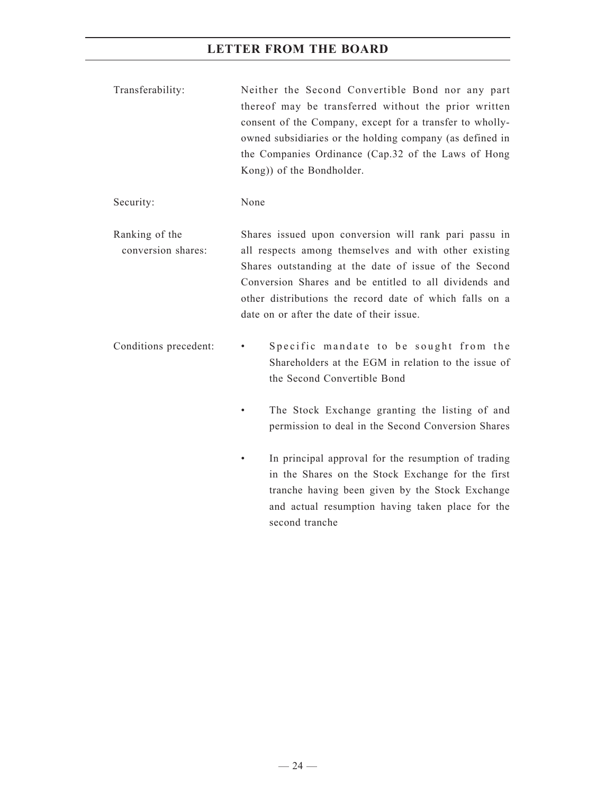Transferability: Neither the Second Convertible Bond nor any part thereof may be transferred without the prior written consent of the Company, except for a transfer to whollyowned subsidiaries or the holding company (as defined in the Companies Ordinance (Cap.32 of the Laws of Hong Kong)) of the Bondholder.

Security: None

Ranking of the conversion shares: Shares issued upon conversion will rank pari passu in all respects among themselves and with other existing Shares outstanding at the date of issue of the Second Conversion Shares and be entitled to all dividends and other distributions the record date of which falls on a date on or after the date of their issue.

Conditions precedent: • Specific mandate to be sought from the Shareholders at the EGM in relation to the issue of the Second Convertible Bond

- The Stock Exchange granting the listing of and permission to deal in the Second Conversion Shares
- In principal approval for the resumption of trading in the Shares on the Stock Exchange for the first tranche having been given by the Stock Exchange and actual resumption having taken place for the second tranche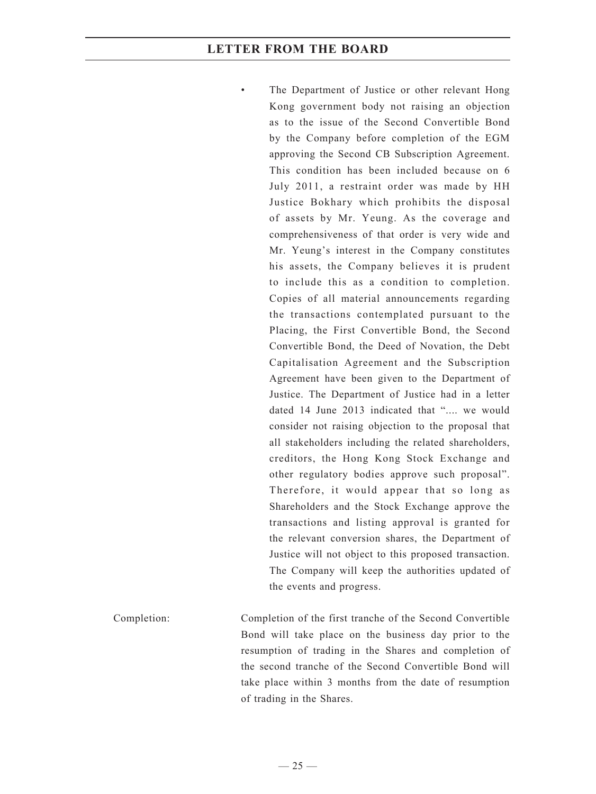The Department of Justice or other relevant Hong Kong government body not raising an objection as to the issue of the Second Convertible Bond by the Company before completion of the EGM approving the Second CB Subscription Agreement. This condition has been included because on 6 July 2011, a restraint order was made by HH Justice Bokhary which prohibits the disposal of assets by Mr. Yeung. As the coverage and comprehensiveness of that order is very wide and Mr. Yeung's interest in the Company constitutes his assets, the Company believes it is prudent to include this as a condition to completion. Copies of all material announcements regarding the transactions contemplated pursuant to the Placing, the First Convertible Bond, the Second Convertible Bond, the Deed of Novation, the Debt Capitalisation Agreement and the Subscription Agreement have been given to the Department of Justice. The Department of Justice had in a letter dated 14 June 2013 indicated that "..., we would consider not raising objection to the proposal that all stakeholders including the related shareholders, creditors, the Hong Kong Stock Exchange and other regulatory bodies approve such proposal". Therefore, it would appear that so long as Shareholders and the Stock Exchange approve the transactions and listing approval is granted for the relevant conversion shares, the Department of Justice will not object to this proposed transaction. The Company will keep the authorities updated of the events and progress.

Completion: Completion of the first tranche of the Second Convertible Bond will take place on the business day prior to the resumption of trading in the Shares and completion of the second tranche of the Second Convertible Bond will take place within 3 months from the date of resumption of trading in the Shares.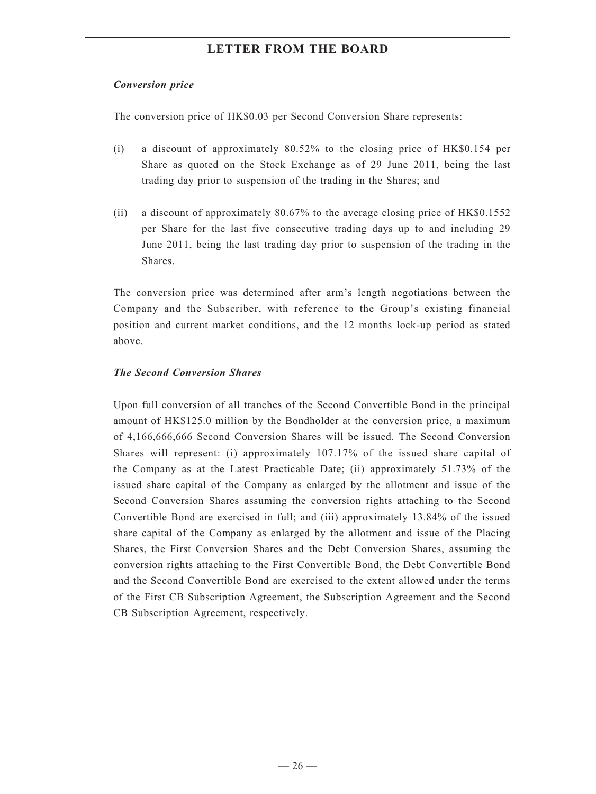#### *Conversion price*

The conversion price of HK\$0.03 per Second Conversion Share represents:

- (i) a discount of approximately 80.52% to the closing price of HK\$0.154 per Share as quoted on the Stock Exchange as of 29 June 2011, being the last trading day prior to suspension of the trading in the Shares; and
- (ii) a discount of approximately 80.67% to the average closing price of HK\$0.1552 per Share for the last five consecutive trading days up to and including 29 June 2011, being the last trading day prior to suspension of the trading in the Shares.

The conversion price was determined after arm's length negotiations between the Company and the Subscriber, with reference to the Group's existing financial position and current market conditions, and the 12 months lock-up period as stated above.

#### *The Second Conversion Shares*

Upon full conversion of all tranches of the Second Convertible Bond in the principal amount of HK\$125.0 million by the Bondholder at the conversion price, a maximum of 4,166,666,666 Second Conversion Shares will be issued. The Second Conversion Shares will represent: (i) approximately 107.17% of the issued share capital of the Company as at the Latest Practicable Date; (ii) approximately 51.73% of the issued share capital of the Company as enlarged by the allotment and issue of the Second Conversion Shares assuming the conversion rights attaching to the Second Convertible Bond are exercised in full; and (iii) approximately 13.84% of the issued share capital of the Company as enlarged by the allotment and issue of the Placing Shares, the First Conversion Shares and the Debt Conversion Shares, assuming the conversion rights attaching to the First Convertible Bond, the Debt Convertible Bond and the Second Convertible Bond are exercised to the extent allowed under the terms of the First CB Subscription Agreement, the Subscription Agreement and the Second CB Subscription Agreement, respectively.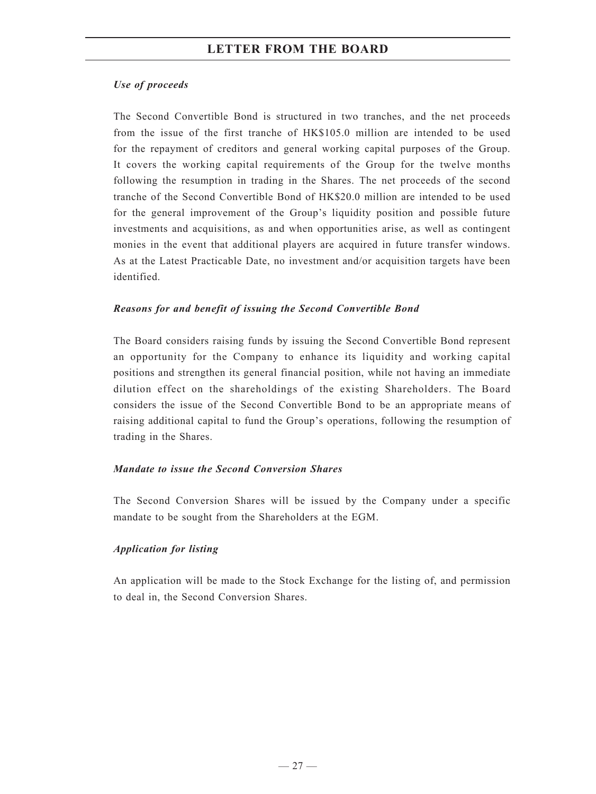#### *Use of proceeds*

The Second Convertible Bond is structured in two tranches, and the net proceeds from the issue of the first tranche of HK\$105.0 million are intended to be used for the repayment of creditors and general working capital purposes of the Group. It covers the working capital requirements of the Group for the twelve months following the resumption in trading in the Shares. The net proceeds of the second tranche of the Second Convertible Bond of HK\$20.0 million are intended to be used for the general improvement of the Group's liquidity position and possible future investments and acquisitions, as and when opportunities arise, as well as contingent monies in the event that additional players are acquired in future transfer windows. As at the Latest Practicable Date, no investment and/or acquisition targets have been identified.

#### *Reasons for and benefit of issuing the Second Convertible Bond*

The Board considers raising funds by issuing the Second Convertible Bond represent an opportunity for the Company to enhance its liquidity and working capital positions and strengthen its general financial position, while not having an immediate dilution effect on the shareholdings of the existing Shareholders. The Board considers the issue of the Second Convertible Bond to be an appropriate means of raising additional capital to fund the Group's operations, following the resumption of trading in the Shares.

#### *Mandate to issue the Second Conversion Shares*

The Second Conversion Shares will be issued by the Company under a specific mandate to be sought from the Shareholders at the EGM.

#### *Application for listing*

An application will be made to the Stock Exchange for the listing of, and permission to deal in, the Second Conversion Shares.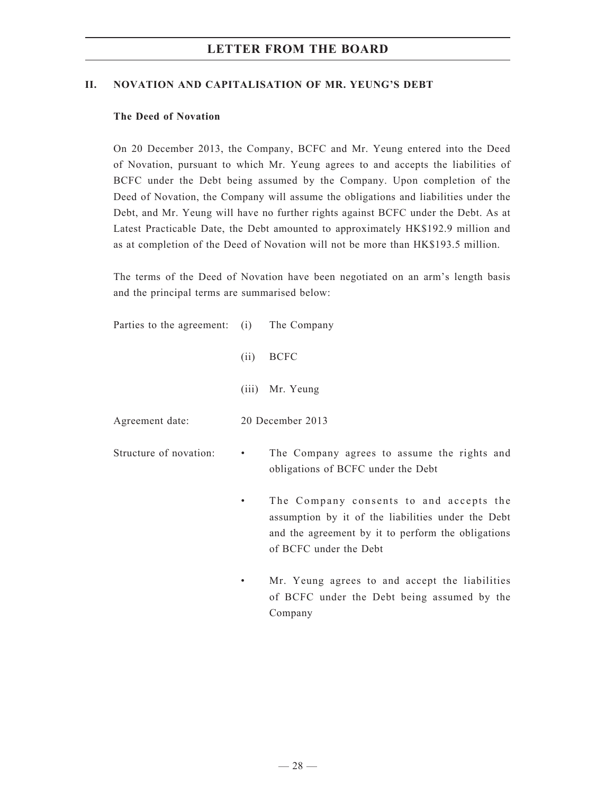#### **II. NOVATION AND CAPITALISATION OF MR. YEUNG'S DEBT**

#### **The Deed of Novation**

On 20 December 2013, the Company, BCFC and Mr. Yeung entered into the Deed of Novation, pursuant to which Mr. Yeung agrees to and accepts the liabilities of BCFC under the Debt being assumed by the Company. Upon completion of the Deed of Novation, the Company will assume the obligations and liabilities under the Debt, and Mr. Yeung will have no further rights against BCFC under the Debt. As at Latest Practicable Date, the Debt amounted to approximately HK\$192.9 million and as at completion of the Deed of Novation will not be more than HK\$193.5 million.

The terms of the Deed of Novation have been negotiated on an arm's length basis and the principal terms are summarised below:

| Parties to the agreement: (i) The Company |       |                                                                                                                                                     |
|-------------------------------------------|-------|-----------------------------------------------------------------------------------------------------------------------------------------------------|
|                                           | (ii)  | <b>BCFC</b>                                                                                                                                         |
|                                           | (111) | Mr. Yeung                                                                                                                                           |
| Agreement date:                           |       | 20 December 2013                                                                                                                                    |
| Structure of novation:                    | ٠     | The Company agrees to assume the rights and<br>obligations of BCFC under the Debt                                                                   |
|                                           | ٠     | The Company consents to and accepts the<br>assumption by it of the liabilities under the Debt<br>and the agreement by it to perform the obligations |

Mr. Yeung agrees to and accept the liabilities of BCFC under the Debt being assumed by the Company

of BCFC under the Debt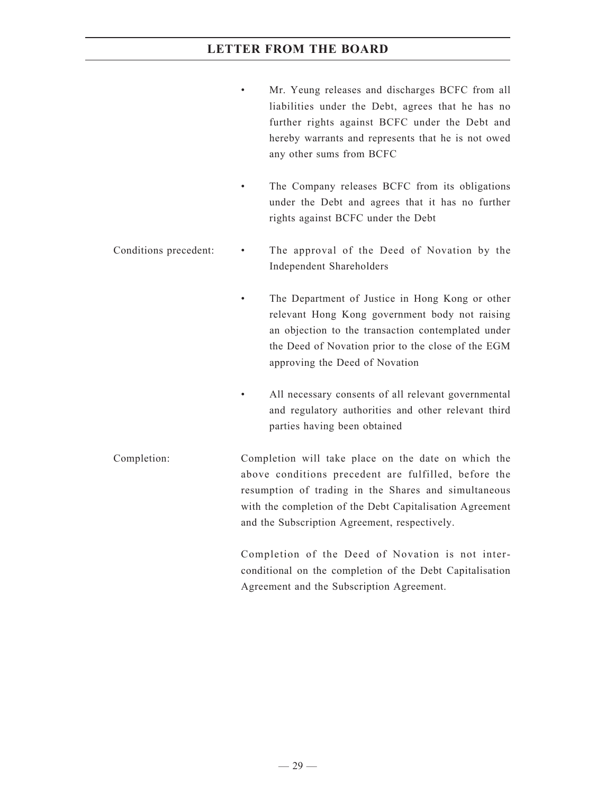- Mr. Yeung releases and discharges BCFC from all liabilities under the Debt, agrees that he has no further rights against BCFC under the Debt and hereby warrants and represents that he is not owed any other sums from BCFC
- The Company releases BCFC from its obligations under the Debt and agrees that it has no further rights against BCFC under the Debt
- Conditions precedent: The approval of the Deed of Novation by the Independent Shareholders
	- The Department of Justice in Hong Kong or other relevant Hong Kong government body not raising an objection to the transaction contemplated under the Deed of Novation prior to the close of the EGM approving the Deed of Novation
	- All necessary consents of all relevant governmental and regulatory authorities and other relevant third parties having been obtained
- Completion: Completion will take place on the date on which the above conditions precedent are fulfilled, before the resumption of trading in the Shares and simultaneous with the completion of the Debt Capitalisation Agreement and the Subscription Agreement, respectively.

Completion of the Deed of Novation is not interconditional on the completion of the Debt Capitalisation Agreement and the Subscription Agreement.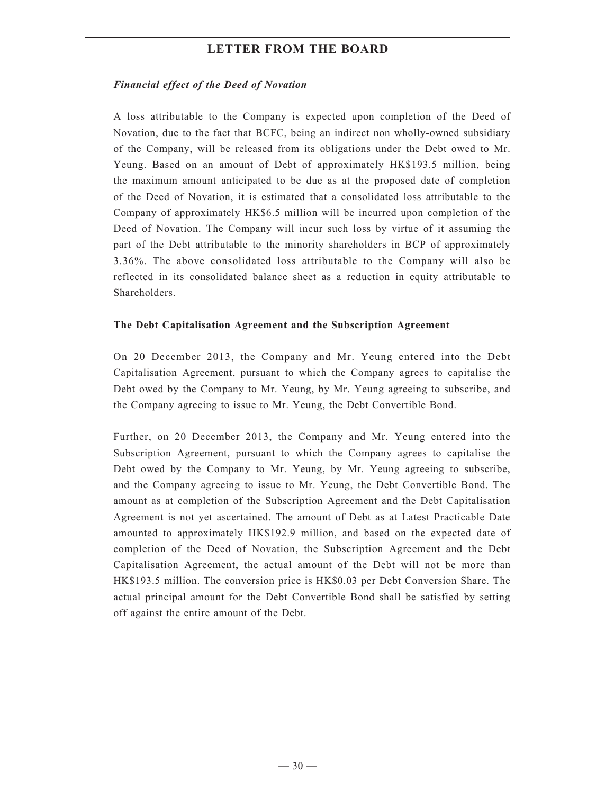#### *Financial effect of the Deed of Novation*

A loss attributable to the Company is expected upon completion of the Deed of Novation, due to the fact that BCFC, being an indirect non wholly-owned subsidiary of the Company, will be released from its obligations under the Debt owed to Mr. Yeung. Based on an amount of Debt of approximately HK\$193.5 million, being the maximum amount anticipated to be due as at the proposed date of completion of the Deed of Novation, it is estimated that a consolidated loss attributable to the Company of approximately HK\$6.5 million will be incurred upon completion of the Deed of Novation. The Company will incur such loss by virtue of it assuming the part of the Debt attributable to the minority shareholders in BCP of approximately 3.36%. The above consolidated loss attributable to the Company will also be reflected in its consolidated balance sheet as a reduction in equity attributable to Shareholders.

#### **The Debt Capitalisation Agreement and the Subscription Agreement**

On 20 December 2013, the Company and Mr. Yeung entered into the Debt Capitalisation Agreement, pursuant to which the Company agrees to capitalise the Debt owed by the Company to Mr. Yeung, by Mr. Yeung agreeing to subscribe, and the Company agreeing to issue to Mr. Yeung, the Debt Convertible Bond.

Further, on 20 December 2013, the Company and Mr. Yeung entered into the Subscription Agreement, pursuant to which the Company agrees to capitalise the Debt owed by the Company to Mr. Yeung, by Mr. Yeung agreeing to subscribe, and the Company agreeing to issue to Mr. Yeung, the Debt Convertible Bond. The amount as at completion of the Subscription Agreement and the Debt Capitalisation Agreement is not yet ascertained. The amount of Debt as at Latest Practicable Date amounted to approximately HK\$192.9 million, and based on the expected date of completion of the Deed of Novation, the Subscription Agreement and the Debt Capitalisation Agreement, the actual amount of the Debt will not be more than HK\$193.5 million. The conversion price is HK\$0.03 per Debt Conversion Share. The actual principal amount for the Debt Convertible Bond shall be satisfied by setting off against the entire amount of the Debt.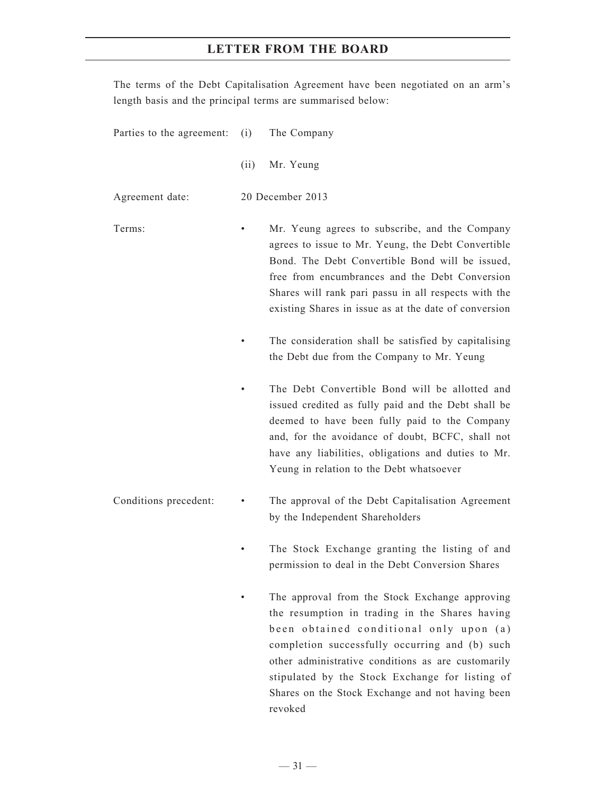The terms of the Debt Capitalisation Agreement have been negotiated on an arm's length basis and the principal terms are summarised below:

| Parties to the agreement: | (i)  | The Company                                                                                                                                                                                                                                                                                                                |
|---------------------------|------|----------------------------------------------------------------------------------------------------------------------------------------------------------------------------------------------------------------------------------------------------------------------------------------------------------------------------|
|                           | (ii) | Mr. Yeung                                                                                                                                                                                                                                                                                                                  |
| Agreement date:           |      | 20 December 2013                                                                                                                                                                                                                                                                                                           |
| Terms:                    |      | Mr. Yeung agrees to subscribe, and the Company<br>agrees to issue to Mr. Yeung, the Debt Convertible<br>Bond. The Debt Convertible Bond will be issued,<br>free from encumbrances and the Debt Conversion<br>Shares will rank pari passu in all respects with the<br>existing Shares in issue as at the date of conversion |
|                           |      | The consideration shall be satisfied by capitalising<br>the Debt due from the Company to Mr. Yeung                                                                                                                                                                                                                         |
|                           |      | The Debt Convertible Bond will be allotted and<br>issued credited as fully paid and the Debt shall be<br>deemed to have been fully paid to the Company<br>and, for the avoidance of doubt, BCFC, shall not<br>have any liabilities, obligations and duties to Mr.<br>Yeung in relation to the Debt whatsoever              |
| Conditions precedent:     |      | The approval of the Debt Capitalisation Agreement<br>by the Independent Shareholders                                                                                                                                                                                                                                       |
|                           |      | The Stock Exchange granting the listing of and<br>permission to deal in the Debt Conversion Shares                                                                                                                                                                                                                         |
|                           |      | The approval from the Stock Exchange approving<br>the resumption in trading in the Shares having<br>been obtained conditional only upon (a)<br>completion successfully occurring and (b) such                                                                                                                              |

other administrative conditions as are customarily stipulated by the Stock Exchange for listing of Shares on the Stock Exchange and not having been revoked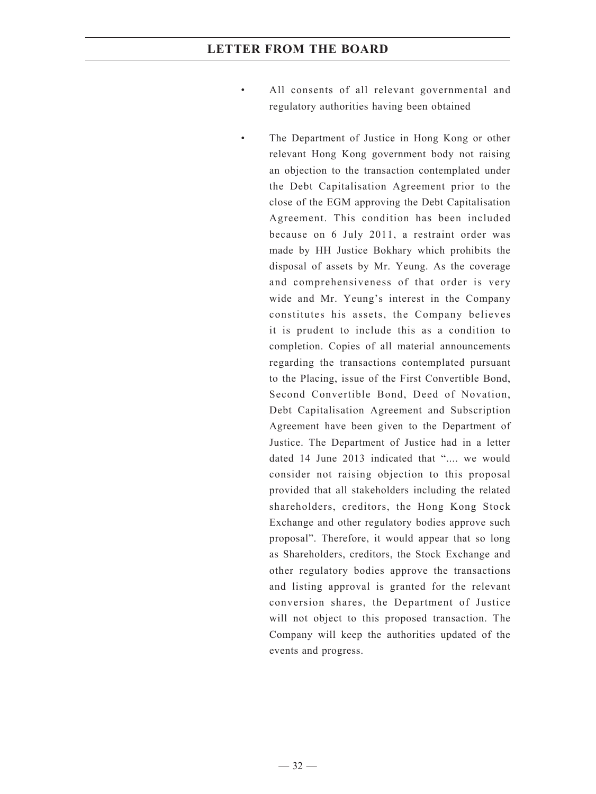- All consents of all relevant governmental and regulatory authorities having been obtained
	- The Department of Justice in Hong Kong or other relevant Hong Kong government body not raising an objection to the transaction contemplated under the Debt Capitalisation Agreement prior to the close of the EGM approving the Debt Capitalisation Agreement. This condition has been included because on 6 July 2011, a restraint order was made by HH Justice Bokhary which prohibits the disposal of assets by Mr. Yeung. As the coverage and comprehensiveness of that order is very wide and Mr. Yeung's interest in the Company constitutes his assets, the Company believes it is prudent to include this as a condition to completion. Copies of all material announcements regarding the transactions contemplated pursuant to the Placing, issue of the First Convertible Bond, Second Convertible Bond, Deed of Novation, Debt Capitalisation Agreement and Subscription Agreement have been given to the Department of Justice. The Department of Justice had in a letter dated 14 June 2013 indicated that ".... we would consider not raising objection to this proposal provided that all stakeholders including the related shareholders, creditors, the Hong Kong Stock Exchange and other regulatory bodies approve such proposal". Therefore, it would appear that so long as Shareholders, creditors, the Stock Exchange and other regulatory bodies approve the transactions and listing approval is granted for the relevant conversion shares, the Department of Justice will not object to this proposed transaction. The Company will keep the authorities updated of the events and progress.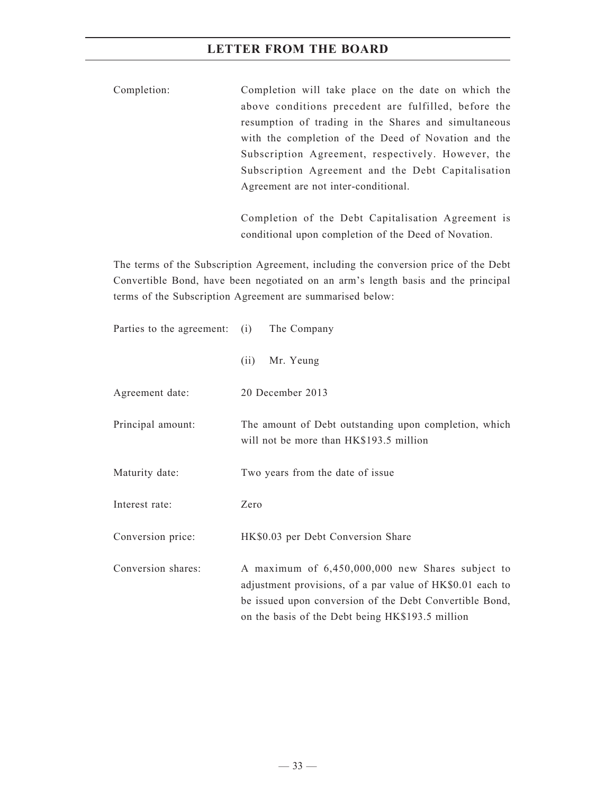Completion: Completion will take place on the date on which the above conditions precedent are fulfilled, before the resumption of trading in the Shares and simultaneous with the completion of the Deed of Novation and the Subscription Agreement, respectively. However, the Subscription Agreement and the Debt Capitalisation Agreement are not inter-conditional.

> Completion of the Debt Capitalisation Agreement is conditional upon completion of the Deed of Novation.

The terms of the Subscription Agreement, including the conversion price of the Debt Convertible Bond, have been negotiated on an arm's length basis and the principal terms of the Subscription Agreement are summarised below:

| Parties to the agreement: (i) | The Company                                                                                                                                                                                                                  |
|-------------------------------|------------------------------------------------------------------------------------------------------------------------------------------------------------------------------------------------------------------------------|
|                               | (ii)<br>Mr. Yeung                                                                                                                                                                                                            |
| Agreement date:               | 20 December 2013                                                                                                                                                                                                             |
| Principal amount:             | The amount of Debt outstanding upon completion, which<br>will not be more than HK\$193.5 million                                                                                                                             |
| Maturity date:                | Two years from the date of issue                                                                                                                                                                                             |
| Interest rate:                | Zero                                                                                                                                                                                                                         |
| Conversion price:             | HK\$0.03 per Debt Conversion Share                                                                                                                                                                                           |
| Conversion shares:            | A maximum of 6,450,000,000 new Shares subject to<br>adjustment provisions, of a par value of HK\$0.01 each to<br>be issued upon conversion of the Debt Convertible Bond,<br>on the basis of the Debt being HK\$193.5 million |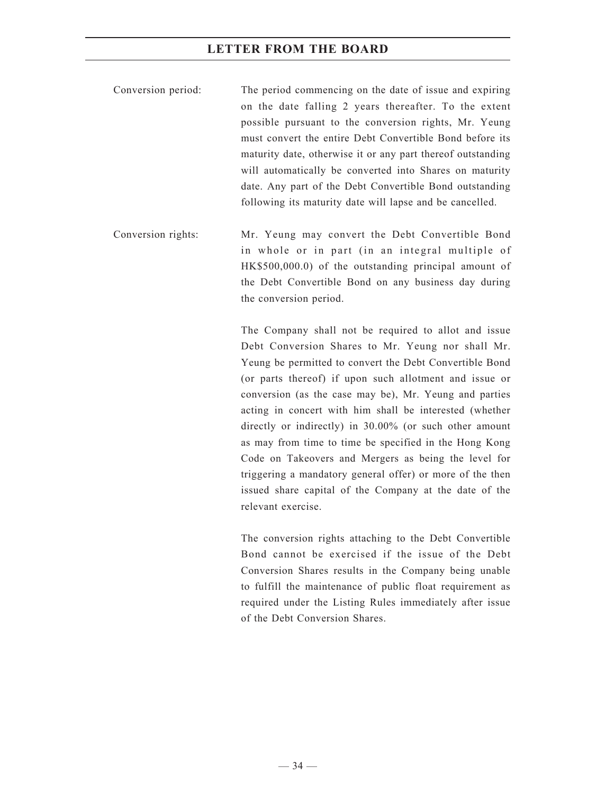- Conversion period: The period commencing on the date of issue and expiring on the date falling 2 years thereafter. To the extent possible pursuant to the conversion rights, Mr. Yeung must convert the entire Debt Convertible Bond before its maturity date, otherwise it or any part thereof outstanding will automatically be converted into Shares on maturity date. Any part of the Debt Convertible Bond outstanding following its maturity date will lapse and be cancelled.
- Conversion rights: Mr. Yeung may convert the Debt Convertible Bond in whole or in part (in an integral multiple of HK\$500,000.0) of the outstanding principal amount of the Debt Convertible Bond on any business day during the conversion period.

The Company shall not be required to allot and issue Debt Conversion Shares to Mr. Yeung nor shall Mr. Yeung be permitted to convert the Debt Convertible Bond (or parts thereof) if upon such allotment and issue or conversion (as the case may be), Mr. Yeung and parties acting in concert with him shall be interested (whether directly or indirectly) in 30.00% (or such other amount as may from time to time be specified in the Hong Kong Code on Takeovers and Mergers as being the level for triggering a mandatory general offer) or more of the then issued share capital of the Company at the date of the relevant exercise.

The conversion rights attaching to the Debt Convertible Bond cannot be exercised if the issue of the Debt Conversion Shares results in the Company being unable to fulfill the maintenance of public float requirement as required under the Listing Rules immediately after issue of the Debt Conversion Shares.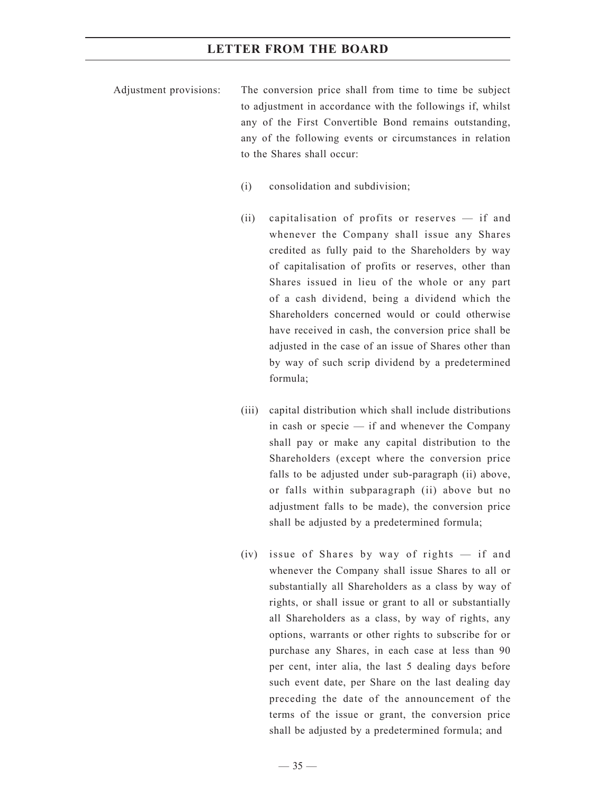- Adjustment provisions: The conversion price shall from time to time be subject to adjustment in accordance with the followings if, whilst any of the First Convertible Bond remains outstanding, any of the following events or circumstances in relation to the Shares shall occur:
	- (i) consolidation and subdivision;
	- (ii) capitalisation of profits or reserves if and whenever the Company shall issue any Shares credited as fully paid to the Shareholders by way of capitalisation of profits or reserves, other than Shares issued in lieu of the whole or any part of a cash dividend, being a dividend which the Shareholders concerned would or could otherwise have received in cash, the conversion price shall be adjusted in the case of an issue of Shares other than by way of such scrip dividend by a predetermined formula;
	- (iii) capital distribution which shall include distributions in cash or specie — if and whenever the Company shall pay or make any capital distribution to the Shareholders (except where the conversion price falls to be adjusted under sub-paragraph (ii) above, or falls within subparagraph (ii) above but no adjustment falls to be made), the conversion price shall be adjusted by a predetermined formula;
	- (iv) issue of Shares by way of rights if and whenever the Company shall issue Shares to all or substantially all Shareholders as a class by way of rights, or shall issue or grant to all or substantially all Shareholders as a class, by way of rights, any options, warrants or other rights to subscribe for or purchase any Shares, in each case at less than 90 per cent, inter alia, the last 5 dealing days before such event date, per Share on the last dealing day preceding the date of the announcement of the terms of the issue or grant, the conversion price shall be adjusted by a predetermined formula; and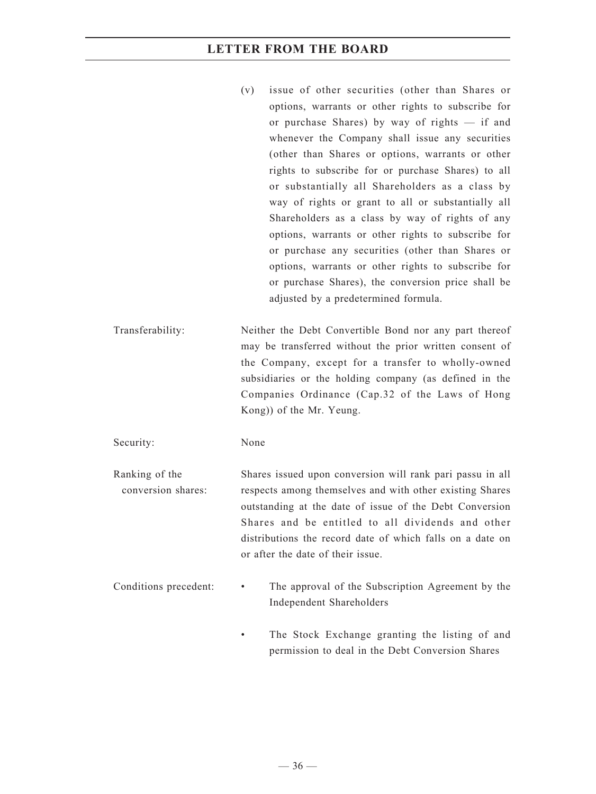- (v) issue of other securities (other than Shares or options, warrants or other rights to subscribe for or purchase Shares) by way of rights — if and whenever the Company shall issue any securities (other than Shares or options, warrants or other rights to subscribe for or purchase Shares) to all or substantially all Shareholders as a class by way of rights or grant to all or substantially all Shareholders as a class by way of rights of any options, warrants or other rights to subscribe for or purchase any securities (other than Shares or options, warrants or other rights to subscribe for or purchase Shares), the conversion price shall be adjusted by a predetermined formula.
- Transferability: Neither the Debt Convertible Bond nor any part thereof may be transferred without the prior written consent of the Company, except for a transfer to wholly-owned subsidiaries or the holding company (as defined in the Companies Ordinance (Cap.32 of the Laws of Hong Kong)) of the Mr. Yeung.

Security: None

Ranking of the conversion shares: Shares issued upon conversion will rank pari passu in all respects among themselves and with other existing Shares outstanding at the date of issue of the Debt Conversion Shares and be entitled to all dividends and other distributions the record date of which falls on a date on or after the date of their issue.

- Conditions precedent: The approval of the Subscription Agreement by the Independent Shareholders
	- The Stock Exchange granting the listing of and permission to deal in the Debt Conversion Shares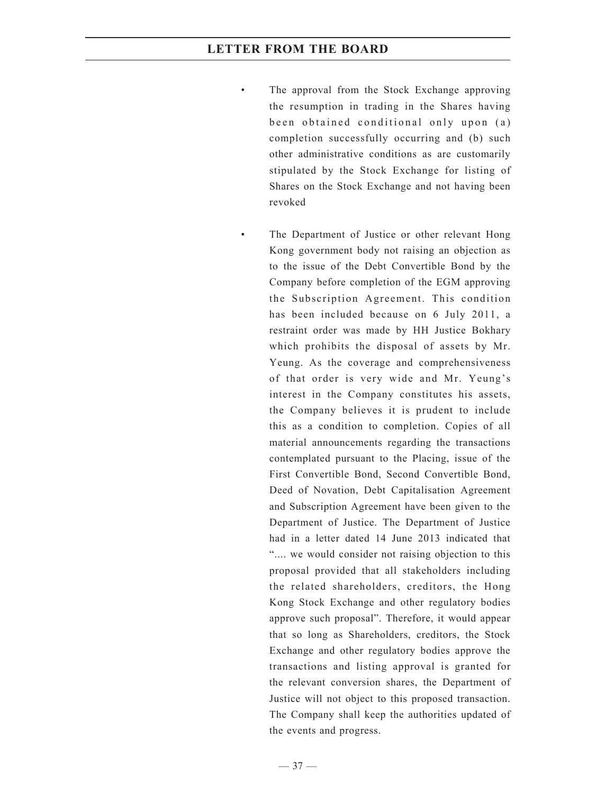- The approval from the Stock Exchange approving the resumption in trading in the Shares having been obtained conditional only upon (a) completion successfully occurring and (b) such other administrative conditions as are customarily stipulated by the Stock Exchange for listing of Shares on the Stock Exchange and not having been revoked
- The Department of Justice or other relevant Hong Kong government body not raising an objection as to the issue of the Debt Convertible Bond by the Company before completion of the EGM approving the Subscription Agreement. This condition has been included because on 6 July 2011, a restraint order was made by HH Justice Bokhary which prohibits the disposal of assets by Mr. Yeung. As the coverage and comprehensiveness of that order is very wide and Mr. Yeung's interest in the Company constitutes his assets, the Company believes it is prudent to include this as a condition to completion. Copies of all material announcements regarding the transactions contemplated pursuant to the Placing, issue of the First Convertible Bond, Second Convertible Bond, Deed of Novation, Debt Capitalisation Agreement and Subscription Agreement have been given to the Department of Justice. The Department of Justice had in a letter dated 14 June 2013 indicated that ".... we would consider not raising objection to this proposal provided that all stakeholders including the related shareholders, creditors, the Hong Kong Stock Exchange and other regulatory bodies approve such proposal". Therefore, it would appear that so long as Shareholders, creditors, the Stock Exchange and other regulatory bodies approve the transactions and listing approval is granted for the relevant conversion shares, the Department of Justice will not object to this proposed transaction. The Company shall keep the authorities updated of the events and progress.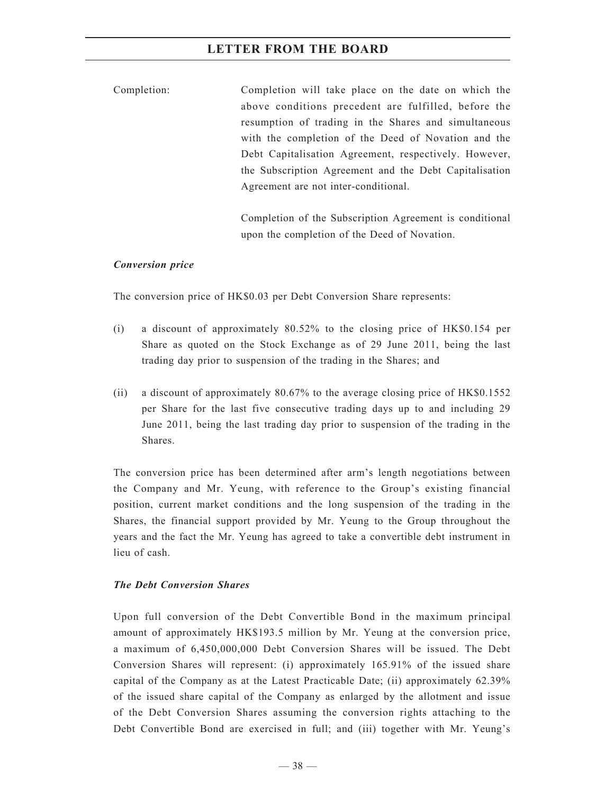Completion: Completion will take place on the date on which the above conditions precedent are fulfilled, before the resumption of trading in the Shares and simultaneous with the completion of the Deed of Novation and the Debt Capitalisation Agreement, respectively. However, the Subscription Agreement and the Debt Capitalisation Agreement are not inter-conditional.

> Completion of the Subscription Agreement is conditional upon the completion of the Deed of Novation.

#### *Conversion price*

The conversion price of HK\$0.03 per Debt Conversion Share represents:

- (i) a discount of approximately 80.52% to the closing price of HK\$0.154 per Share as quoted on the Stock Exchange as of 29 June 2011, being the last trading day prior to suspension of the trading in the Shares; and
- (ii) a discount of approximately 80.67% to the average closing price of HK\$0.1552 per Share for the last five consecutive trading days up to and including 29 June 2011, being the last trading day prior to suspension of the trading in the Shares.

The conversion price has been determined after arm's length negotiations between the Company and Mr. Yeung, with reference to the Group's existing financial position, current market conditions and the long suspension of the trading in the Shares, the financial support provided by Mr. Yeung to the Group throughout the years and the fact the Mr. Yeung has agreed to take a convertible debt instrument in lieu of cash.

#### *The Debt Conversion Shares*

Upon full conversion of the Debt Convertible Bond in the maximum principal amount of approximately HK\$193.5 million by Mr. Yeung at the conversion price, a maximum of 6,450,000,000 Debt Conversion Shares will be issued. The Debt Conversion Shares will represent: (i) approximately 165.91% of the issued share capital of the Company as at the Latest Practicable Date; (ii) approximately 62.39% of the issued share capital of the Company as enlarged by the allotment and issue of the Debt Conversion Shares assuming the conversion rights attaching to the Debt Convertible Bond are exercised in full; and (iii) together with Mr. Yeung's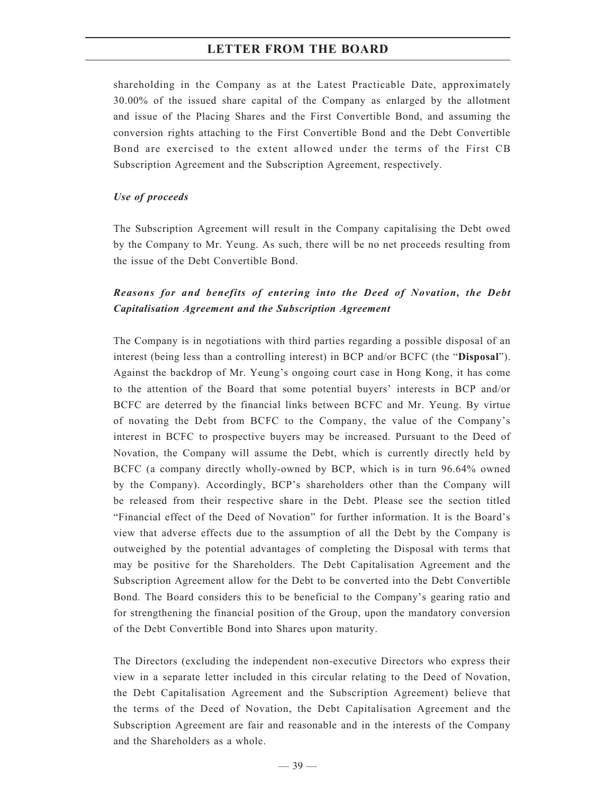shareholding in the Company as at the Latest Practicable Date, approximately 30.00% of the issued share capital of the Company as enlarged by the allotment and issue of the Placing Shares and the First Convertible Bond, and assuming the conversion rights attaching to the First Convertible Bond and the Debt Convertible Bond are exercised to the extent allowed under the terms of the First CB Subscription Agreement and the Subscription Agreement, respectively.

#### *Use of proceeds*

The Subscription Agreement will result in the Company capitalising the Debt owed by the Company to Mr. Yeung. As such, there will be no net proceeds resulting from the issue of the Debt Convertible Bond.

## *Reasons for and benefits of entering into the Deed of Novation, the Debt Capitalisation Agreement and the Subscription Agreement*

The Company is in negotiations with third parties regarding a possible disposal of an interest (being less than a controlling interest) in BCP and/or BCFC (the "**Disposal**"). Against the backdrop of Mr. Yeung's ongoing court case in Hong Kong, it has come to the attention of the Board that some potential buyers' interests in BCP and/or BCFC are deterred by the financial links between BCFC and Mr. Yeung. By virtue of novating the Debt from BCFC to the Company, the value of the Company's interest in BCFC to prospective buyers may be increased. Pursuant to the Deed of Novation, the Company will assume the Debt, which is currently directly held by BCFC (a company directly wholly-owned by BCP, which is in turn 96.64% owned by the Company). Accordingly, BCP's shareholders other than the Company will be released from their respective share in the Debt. Please see the section titled "Financial effect of the Deed of Novation" for further information. It is the Board's view that adverse effects due to the assumption of all the Debt by the Company is outweighed by the potential advantages of completing the Disposal with terms that may be positive for the Shareholders. The Debt Capitalisation Agreement and the Subscription Agreement allow for the Debt to be converted into the Debt Convertible Bond. The Board considers this to be beneficial to the Company's gearing ratio and for strengthening the financial position of the Group, upon the mandatory conversion of the Debt Convertible Bond into Shares upon maturity.

The Directors (excluding the independent non-executive Directors who express their view in a separate letter included in this circular relating to the Deed of Novation, the Debt Capitalisation Agreement and the Subscription Agreement) believe that the terms of the Deed of Novation, the Debt Capitalisation Agreement and the Subscription Agreement are fair and reasonable and in the interests of the Company and the Shareholders as a whole.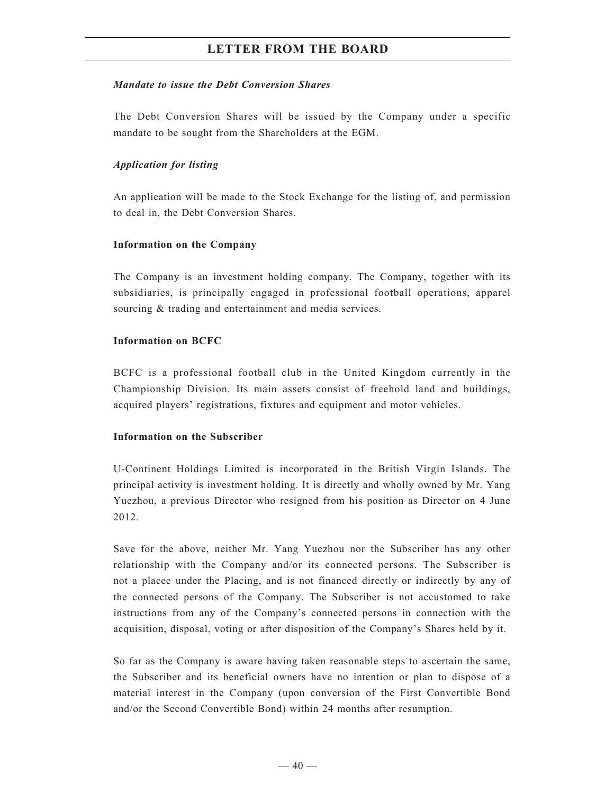#### *Mandate to issue the Debt Conversion Shares*

The Debt Conversion Shares will be issued by the Company under a specific mandate to be sought from the Shareholders at the EGM.

#### *Application for listing*

An application will be made to the Stock Exchange for the listing of, and permission to deal in, the Debt Conversion Shares.

#### **Information on the Company**

The Company is an investment holding company. The Company, together with its subsidiaries, is principally engaged in professional football operations, apparel sourcing  $&$  trading and entertainment and media services.

#### **Information on BCFC**

BCFC is a professional football club in the United Kingdom currently in the Championship Division. Its main assets consist of freehold land and buildings, acquired players' registrations, fixtures and equipment and motor vehicles.

#### **Information on the Subscriber**

U-Continent Holdings Limited is incorporated in the British Virgin Islands. The principal activity is investment holding. It is directly and wholly owned by Mr. Yang Yuezhou, a previous Director who resigned from his position as Director on 4 June 2012.

Save for the above, neither Mr. Yang Yuezhou nor the Subscriber has any other relationship with the Company and/or its connected persons. The Subscriber is not a placee under the Placing, and is not financed directly or indirectly by any of the connected persons of the Company. The Subscriber is not accustomed to take instructions from any of the Company's connected persons in connection with the acquisition, disposal, voting or after disposition of the Company's Shares held by it.

So far as the Company is aware having taken reasonable steps to ascertain the same, the Subscriber and its beneficial owners have no intention or plan to dispose of a material interest in the Company (upon conversion of the First Convertible Bond and/or the Second Convertible Bond) within 24 months after resumption.

 $-40-$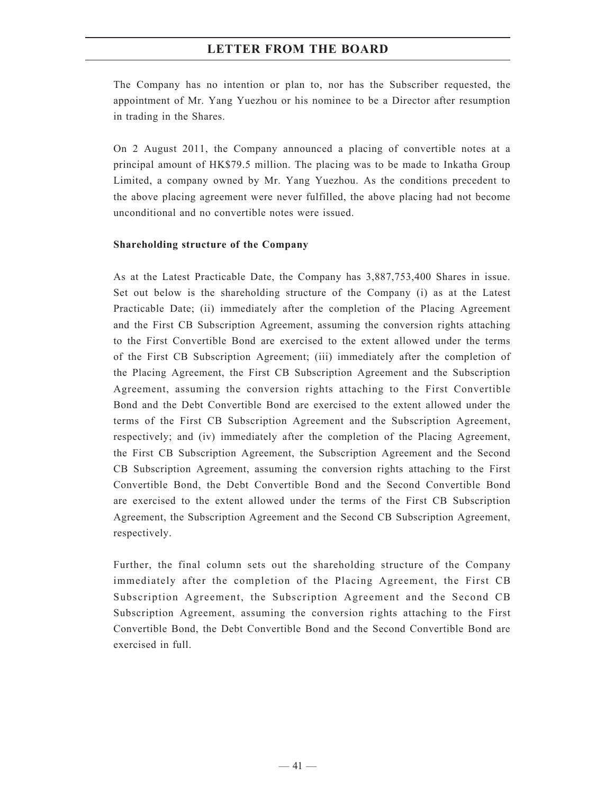The Company has no intention or plan to, nor has the Subscriber requested, the appointment of Mr. Yang Yuezhou or his nominee to be a Director after resumption in trading in the Shares.

On 2 August 2011, the Company announced a placing of convertible notes at a principal amount of HK\$79.5 million. The placing was to be made to Inkatha Group Limited, a company owned by Mr. Yang Yuezhou. As the conditions precedent to the above placing agreement were never fulfilled, the above placing had not become unconditional and no convertible notes were issued.

#### **Shareholding structure of the Company**

As at the Latest Practicable Date, the Company has 3,887,753,400 Shares in issue. Set out below is the shareholding structure of the Company (i) as at the Latest Practicable Date; (ii) immediately after the completion of the Placing Agreement and the First CB Subscription Agreement, assuming the conversion rights attaching to the First Convertible Bond are exercised to the extent allowed under the terms of the First CB Subscription Agreement; (iii) immediately after the completion of the Placing Agreement, the First CB Subscription Agreement and the Subscription Agreement, assuming the conversion rights attaching to the First Convertible Bond and the Debt Convertible Bond are exercised to the extent allowed under the terms of the First CB Subscription Agreement and the Subscription Agreement, respectively; and (iv) immediately after the completion of the Placing Agreement, the First CB Subscription Agreement, the Subscription Agreement and the Second CB Subscription Agreement, assuming the conversion rights attaching to the First Convertible Bond, the Debt Convertible Bond and the Second Convertible Bond are exercised to the extent allowed under the terms of the First CB Subscription Agreement, the Subscription Agreement and the Second CB Subscription Agreement, respectively.

Further, the final column sets out the shareholding structure of the Company immediately after the completion of the Placing Agreement, the First CB Subscription Agreement, the Subscription Agreement and the Second CB Subscription Agreement, assuming the conversion rights attaching to the First Convertible Bond, the Debt Convertible Bond and the Second Convertible Bond are exercised in full.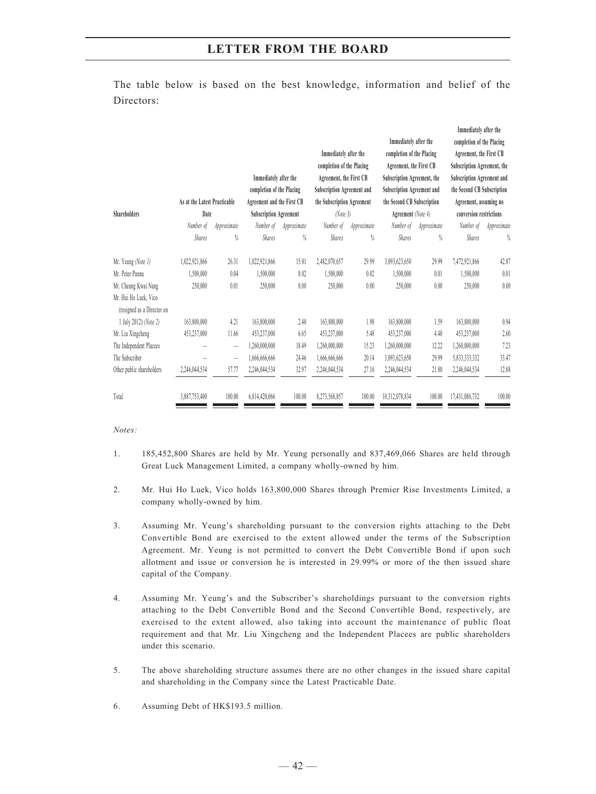The table below is based on the best knowledge, information and belief of the Directors:

| <b>Shareholders</b>                                 | As at the Latest Practicable<br>Date |                          | Immediately after the<br>completion of the Placing<br>Agreement and the First CB<br><b>Subscription Agreement</b> |        | Immediately after the<br>completion of the Placing<br>Agreement, the First CB<br>Subscription Agreement and<br>the Subscription Agreement<br>(Note 3) |        | Immediately after the<br>completion of the Placing<br>Agreement, the First CB<br>Subscription Agreement, the<br>Subscription Agreement and<br>the Second CB Subscription<br>Agreement (Note 4) |        | Immediately after the<br>completion of the Placing<br>Agreement, the First CB<br>Subscription Agreement, the<br>Subscription Agreement and<br>the Second CB Subscription<br>Agreement, assuming no<br>conversion restrictions |        |
|-----------------------------------------------------|--------------------------------------|--------------------------|-------------------------------------------------------------------------------------------------------------------|--------|-------------------------------------------------------------------------------------------------------------------------------------------------------|--------|------------------------------------------------------------------------------------------------------------------------------------------------------------------------------------------------|--------|-------------------------------------------------------------------------------------------------------------------------------------------------------------------------------------------------------------------------------|--------|
|                                                     | Number of<br>Approximate             |                          | Number of<br>Approximate                                                                                          |        | Number of<br>Approximate                                                                                                                              |        | Number of<br>Approximate                                                                                                                                                                       |        | Number of<br>Approximate                                                                                                                                                                                                      |        |
|                                                     | <b>Shares</b>                        | %                        | <b>Shares</b>                                                                                                     | $\%$   | <b>Shares</b>                                                                                                                                         | %      | <b>Shares</b>                                                                                                                                                                                  | %      | <b>Shares</b>                                                                                                                                                                                                                 | $\%$   |
| Mr. Yeung (Note 1)                                  | 1,022,921,866                        | 26.31                    | 1,022,921,866                                                                                                     | 15.01  | 2,482,070,657                                                                                                                                         | 29.99  | 3,093,623,650                                                                                                                                                                                  | 29.99  | 7,472,921,866                                                                                                                                                                                                                 | 42.87  |
| Mr. Peter Pannu                                     | 1,500,000                            | 0.04                     | 1,500,000                                                                                                         | 0.02   | 1,500,000                                                                                                                                             | 0.02   | 1,500,000                                                                                                                                                                                      | 0.01   | 1,500,000                                                                                                                                                                                                                     | 0.01   |
| Mr. Cheung Kwai Nang                                | 250,000                              | 0.01                     | 250,000                                                                                                           | 0.00   | 250,000                                                                                                                                               | 0.00   | 250,000                                                                                                                                                                                        | 0.00   | 250,000                                                                                                                                                                                                                       | 0.00   |
| Mr. Hui Ho Luek, Vico<br>(resigned as a Director on |                                      |                          |                                                                                                                   |        |                                                                                                                                                       |        |                                                                                                                                                                                                |        |                                                                                                                                                                                                                               |        |
| 1 July 2012) (Note 2)                               | 163,800,000                          | 4.21                     | 163,800,000                                                                                                       | 2.40   | 163,800,000                                                                                                                                           | 1.98   | 163,800,000                                                                                                                                                                                    | 1.59   | 163,800,000                                                                                                                                                                                                                   | 0.94   |
| Mr. Liu Xingcheng                                   | 453,237,000                          | 11.66                    | 453,237,000                                                                                                       | 6.65   | 453,237,000                                                                                                                                           | 5.48   | 453,237,000                                                                                                                                                                                    | 4.40   | 453,237,000                                                                                                                                                                                                                   | 2.60   |
| The Independent Placees                             |                                      | $\overline{\phantom{0}}$ | 1,260,000,000                                                                                                     | 18.49  | 1,260,000,000                                                                                                                                         | 15.23  | 1,260,000,000                                                                                                                                                                                  | 12.22  | 1,260,000,000                                                                                                                                                                                                                 | 7.23   |
| The Subscriber                                      |                                      | $\overline{\phantom{0}}$ | 1,666,666,666                                                                                                     | 24.46  | 1,666,666,666                                                                                                                                         | 20.14  | 3,093,623,650                                                                                                                                                                                  | 29.99  | 5,833,333,332                                                                                                                                                                                                                 | 33.47  |
| Other public shareholders                           | 2,246,044,534                        | 57.77                    | 2,246,044,534                                                                                                     | 32.97  | 2,246,044,534                                                                                                                                         | 27.16  | 2,246,044,534                                                                                                                                                                                  | 21.80  | 2,246,044,534                                                                                                                                                                                                                 | 12.88  |
| Total                                               | 3,887,753,400                        | 100.00                   | 6,814,420,066                                                                                                     | 100.00 | 8,273,568,857                                                                                                                                         | 100.00 | 10,312,078,834                                                                                                                                                                                 | 100.00 | 17,431,086,732                                                                                                                                                                                                                | 100.00 |

#### *Notes:*

- 1. 185,452,800 Shares are held by Mr. Yeung personally and 837,469,066 Shares are held through Great Luck Management Limited, a company wholly-owned by him.
- 2. Mr. Hui Ho Luek, Vico holds 163,800,000 Shares through Premier Rise Investments Limited, a company wholly-owned by him.
- 3. Assuming Mr. Yeung's shareholding pursuant to the conversion rights attaching to the Debt Convertible Bond are exercised to the extent allowed under the terms of the Subscription Agreement. Mr. Yeung is not permitted to convert the Debt Convertible Bond if upon such allotment and issue or conversion he is interested in 29.99% or more of the then issued share capital of the Company.
- 4. Assuming Mr. Yeung's and the Subscriber's shareholdings pursuant to the conversion rights attaching to the Debt Convertible Bond and the Second Convertible Bond, respectively, are exercised to the extent allowed, also taking into account the maintenance of public float requirement and that Mr. Liu Xingcheng and the Independent Placees are public shareholders under this scenario.
- 5. The above shareholding structure assumes there are no other changes in the issued share capital and shareholding in the Company since the Latest Practicable Date.
- 6. Assuming Debt of HK\$193.5 million.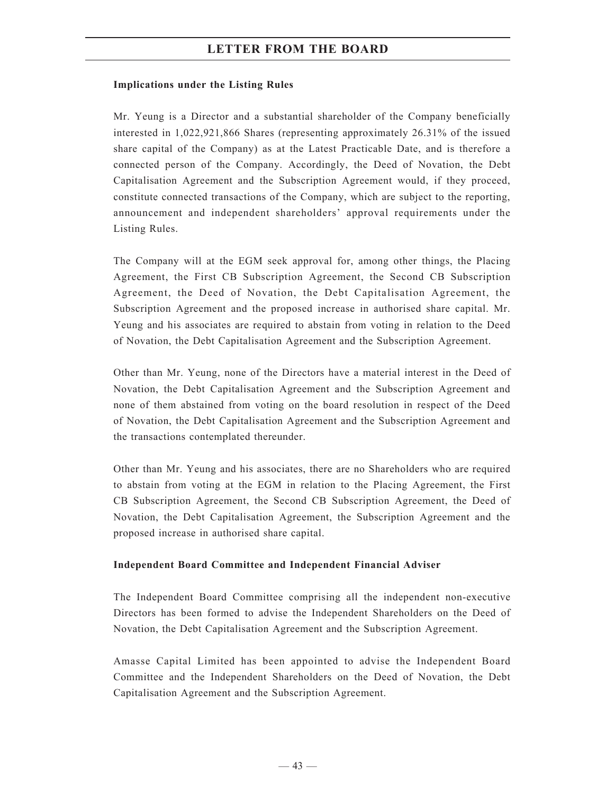#### **Implications under the Listing Rules**

Mr. Yeung is a Director and a substantial shareholder of the Company beneficially interested in 1,022,921,866 Shares (representing approximately 26.31% of the issued share capital of the Company) as at the Latest Practicable Date, and is therefore a connected person of the Company. Accordingly, the Deed of Novation, the Debt Capitalisation Agreement and the Subscription Agreement would, if they proceed, constitute connected transactions of the Company, which are subject to the reporting, announcement and independent shareholders' approval requirements under the Listing Rules.

The Company will at the EGM seek approval for, among other things, the Placing Agreement, the First CB Subscription Agreement, the Second CB Subscription Agreement, the Deed of Novation, the Debt Capitalisation Agreement, the Subscription Agreement and the proposed increase in authorised share capital. Mr. Yeung and his associates are required to abstain from voting in relation to the Deed of Novation, the Debt Capitalisation Agreement and the Subscription Agreement.

Other than Mr. Yeung, none of the Directors have a material interest in the Deed of Novation, the Debt Capitalisation Agreement and the Subscription Agreement and none of them abstained from voting on the board resolution in respect of the Deed of Novation, the Debt Capitalisation Agreement and the Subscription Agreement and the transactions contemplated thereunder.

Other than Mr. Yeung and his associates, there are no Shareholders who are required to abstain from voting at the EGM in relation to the Placing Agreement, the First CB Subscription Agreement, the Second CB Subscription Agreement, the Deed of Novation, the Debt Capitalisation Agreement, the Subscription Agreement and the proposed increase in authorised share capital.

#### **Independent Board Committee and Independent Financial Adviser**

The Independent Board Committee comprising all the independent non-executive Directors has been formed to advise the Independent Shareholders on the Deed of Novation, the Debt Capitalisation Agreement and the Subscription Agreement.

Amasse Capital Limited has been appointed to advise the Independent Board Committee and the Independent Shareholders on the Deed of Novation, the Debt Capitalisation Agreement and the Subscription Agreement.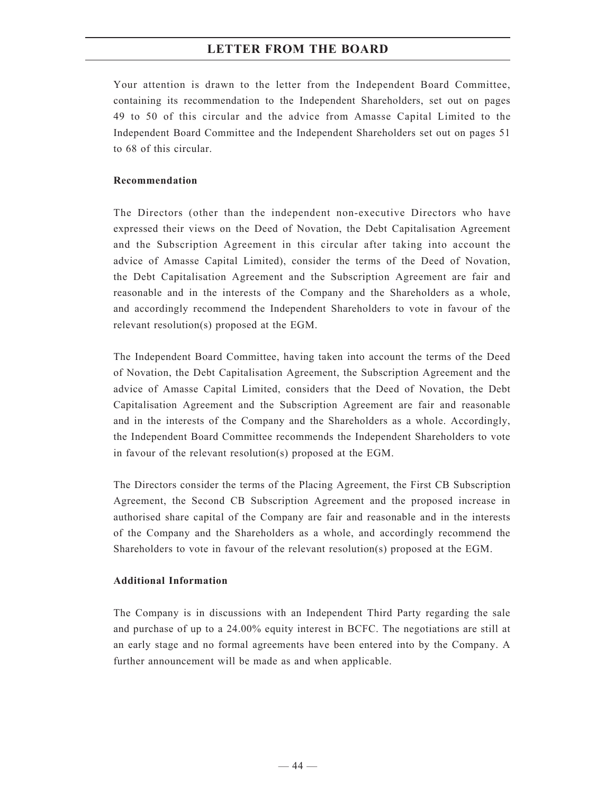Your attention is drawn to the letter from the Independent Board Committee, containing its recommendation to the Independent Shareholders, set out on pages 49 to 50 of this circular and the advice from Amasse Capital Limited to the Independent Board Committee and the Independent Shareholders set out on pages 51 to 68 of this circular.

#### **Recommendation**

The Directors (other than the independent non-executive Directors who have expressed their views on the Deed of Novation, the Debt Capitalisation Agreement and the Subscription Agreement in this circular after taking into account the advice of Amasse Capital Limited), consider the terms of the Deed of Novation, the Debt Capitalisation Agreement and the Subscription Agreement are fair and reasonable and in the interests of the Company and the Shareholders as a whole, and accordingly recommend the Independent Shareholders to vote in favour of the relevant resolution(s) proposed at the EGM.

The Independent Board Committee, having taken into account the terms of the Deed of Novation, the Debt Capitalisation Agreement, the Subscription Agreement and the advice of Amasse Capital Limited, considers that the Deed of Novation, the Debt Capitalisation Agreement and the Subscription Agreement are fair and reasonable and in the interests of the Company and the Shareholders as a whole. Accordingly, the Independent Board Committee recommends the Independent Shareholders to vote in favour of the relevant resolution(s) proposed at the EGM.

The Directors consider the terms of the Placing Agreement, the First CB Subscription Agreement, the Second CB Subscription Agreement and the proposed increase in authorised share capital of the Company are fair and reasonable and in the interests of the Company and the Shareholders as a whole, and accordingly recommend the Shareholders to vote in favour of the relevant resolution(s) proposed at the EGM.

## **Additional Information**

The Company is in discussions with an Independent Third Party regarding the sale and purchase of up to a 24.00% equity interest in BCFC. The negotiations are still at an early stage and no formal agreements have been entered into by the Company. A further announcement will be made as and when applicable.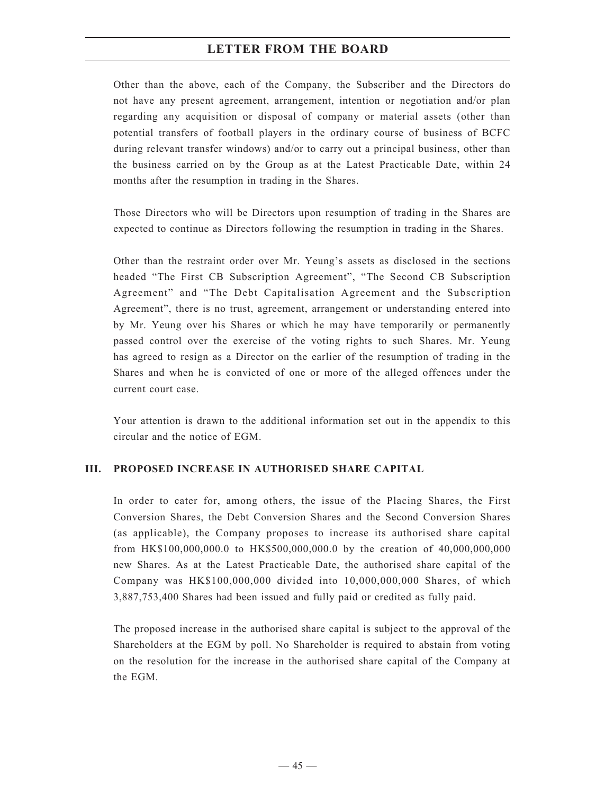Other than the above, each of the Company, the Subscriber and the Directors do not have any present agreement, arrangement, intention or negotiation and/or plan regarding any acquisition or disposal of company or material assets (other than potential transfers of football players in the ordinary course of business of BCFC during relevant transfer windows) and/or to carry out a principal business, other than the business carried on by the Group as at the Latest Practicable Date, within 24 months after the resumption in trading in the Shares.

Those Directors who will be Directors upon resumption of trading in the Shares are expected to continue as Directors following the resumption in trading in the Shares.

Other than the restraint order over Mr. Yeung's assets as disclosed in the sections headed "The First CB Subscription Agreement", "The Second CB Subscription Agreement" and "The Debt Capitalisation Agreement and the Subscription Agreement", there is no trust, agreement, arrangement or understanding entered into by Mr. Yeung over his Shares or which he may have temporarily or permanently passed control over the exercise of the voting rights to such Shares. Mr. Yeung has agreed to resign as a Director on the earlier of the resumption of trading in the Shares and when he is convicted of one or more of the alleged offences under the current court case.

Your attention is drawn to the additional information set out in the appendix to this circular and the notice of EGM.

#### **III. PROPOSED INCREASE IN AUTHORISED SHARE CAPITAL**

In order to cater for, among others, the issue of the Placing Shares, the First Conversion Shares, the Debt Conversion Shares and the Second Conversion Shares (as applicable), the Company proposes to increase its authorised share capital from HK\$100,000,000.0 to HK\$500,000,000.0 by the creation of 40,000,000,000 new Shares. As at the Latest Practicable Date, the authorised share capital of the Company was HK\$100,000,000 divided into 10,000,000,000 Shares, of which 3,887,753,400 Shares had been issued and fully paid or credited as fully paid.

The proposed increase in the authorised share capital is subject to the approval of the Shareholders at the EGM by poll. No Shareholder is required to abstain from voting on the resolution for the increase in the authorised share capital of the Company at the EGM.

 $-45-$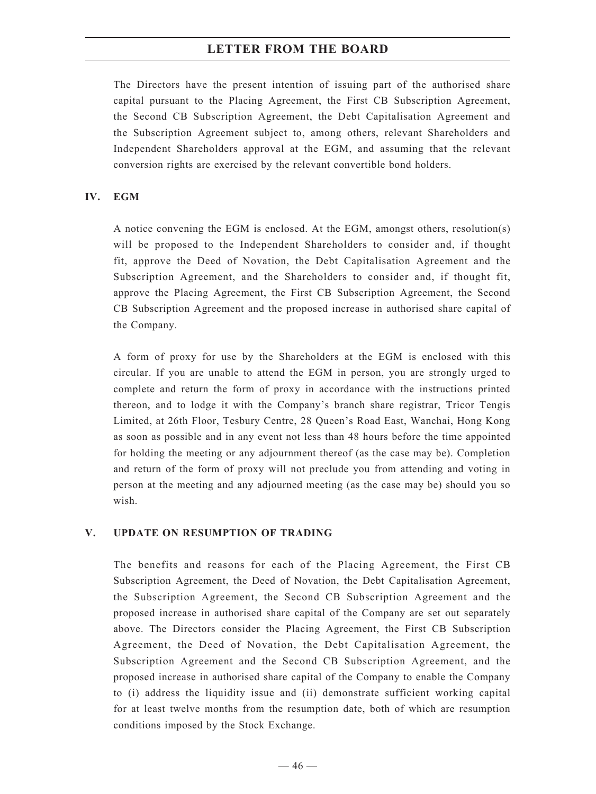The Directors have the present intention of issuing part of the authorised share capital pursuant to the Placing Agreement, the First CB Subscription Agreement, the Second CB Subscription Agreement, the Debt Capitalisation Agreement and the Subscription Agreement subject to, among others, relevant Shareholders and Independent Shareholders approval at the EGM, and assuming that the relevant conversion rights are exercised by the relevant convertible bond holders.

#### **IV. EGM**

A notice convening the EGM is enclosed. At the EGM, amongst others, resolution(s) will be proposed to the Independent Shareholders to consider and, if thought fit, approve the Deed of Novation, the Debt Capitalisation Agreement and the Subscription Agreement, and the Shareholders to consider and, if thought fit, approve the Placing Agreement, the First CB Subscription Agreement, the Second CB Subscription Agreement and the proposed increase in authorised share capital of the Company.

A form of proxy for use by the Shareholders at the EGM is enclosed with this circular. If you are unable to attend the EGM in person, you are strongly urged to complete and return the form of proxy in accordance with the instructions printed thereon, and to lodge it with the Company's branch share registrar, Tricor Tengis Limited, at 26th Floor, Tesbury Centre, 28 Queen's Road East, Wanchai, Hong Kong as soon as possible and in any event not less than 48 hours before the time appointed for holding the meeting or any adjournment thereof (as the case may be). Completion and return of the form of proxy will not preclude you from attending and voting in person at the meeting and any adjourned meeting (as the case may be) should you so wish.

#### **V. UPDATE ON RESUMPTION OF TRADING**

The benefits and reasons for each of the Placing Agreement, the First CB Subscription Agreement, the Deed of Novation, the Debt Capitalisation Agreement, the Subscription Agreement, the Second CB Subscription Agreement and the proposed increase in authorised share capital of the Company are set out separately above. The Directors consider the Placing Agreement, the First CB Subscription Agreement, the Deed of Novation, the Debt Capitalisation Agreement, the Subscription Agreement and the Second CB Subscription Agreement, and the proposed increase in authorised share capital of the Company to enable the Company to (i) address the liquidity issue and (ii) demonstrate sufficient working capital for at least twelve months from the resumption date, both of which are resumption conditions imposed by the Stock Exchange.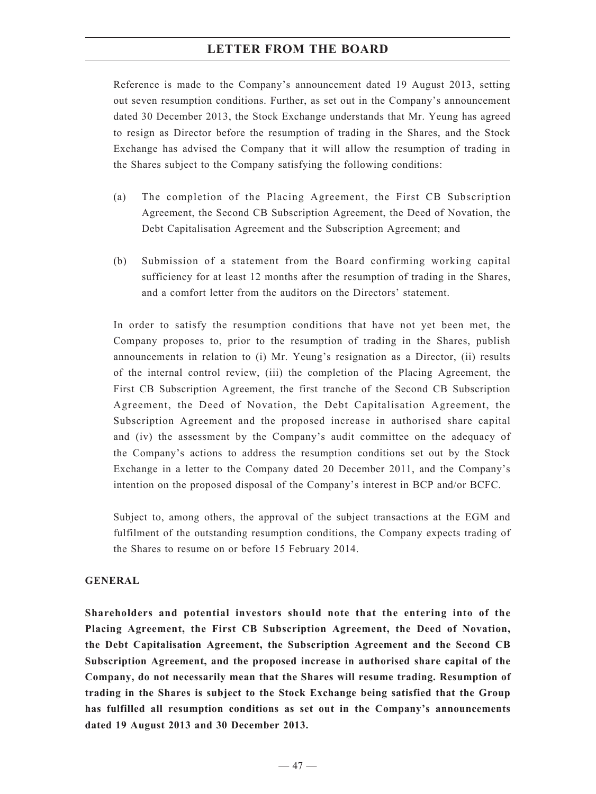Reference is made to the Company's announcement dated 19 August 2013, setting out seven resumption conditions. Further, as set out in the Company's announcement dated 30 December 2013, the Stock Exchange understands that Mr. Yeung has agreed to resign as Director before the resumption of trading in the Shares, and the Stock Exchange has advised the Company that it will allow the resumption of trading in the Shares subject to the Company satisfying the following conditions:

- (a) The completion of the Placing Agreement, the First CB Subscription Agreement, the Second CB Subscription Agreement, the Deed of Novation, the Debt Capitalisation Agreement and the Subscription Agreement; and
- (b) Submission of a statement from the Board confirming working capital sufficiency for at least 12 months after the resumption of trading in the Shares, and a comfort letter from the auditors on the Directors' statement.

In order to satisfy the resumption conditions that have not yet been met, the Company proposes to, prior to the resumption of trading in the Shares, publish announcements in relation to (i) Mr. Yeung's resignation as a Director, (ii) results of the internal control review, (iii) the completion of the Placing Agreement, the First CB Subscription Agreement, the first tranche of the Second CB Subscription Agreement, the Deed of Novation, the Debt Capitalisation Agreement, the Subscription Agreement and the proposed increase in authorised share capital and (iv) the assessment by the Company's audit committee on the adequacy of the Company's actions to address the resumption conditions set out by the Stock Exchange in a letter to the Company dated 20 December 2011, and the Company's intention on the proposed disposal of the Company's interest in BCP and/or BCFC.

Subject to, among others, the approval of the subject transactions at the EGM and fulfilment of the outstanding resumption conditions, the Company expects trading of the Shares to resume on or before 15 February 2014.

#### **GENERAL**

**Shareholders and potential investors should note that the entering into of the Placing Agreement, the First CB Subscription Agreement, the Deed of Novation, the Debt Capitalisation Agreement, the Subscription Agreement and the Second CB Subscription Agreement, and the proposed increase in authorised share capital of the Company, do not necessarily mean that the Shares will resume trading. Resumption of trading in the Shares is subject to the Stock Exchange being satisfied that the Group has fulfilled all resumption conditions as set out in the Company's announcements dated 19 August 2013 and 30 December 2013.**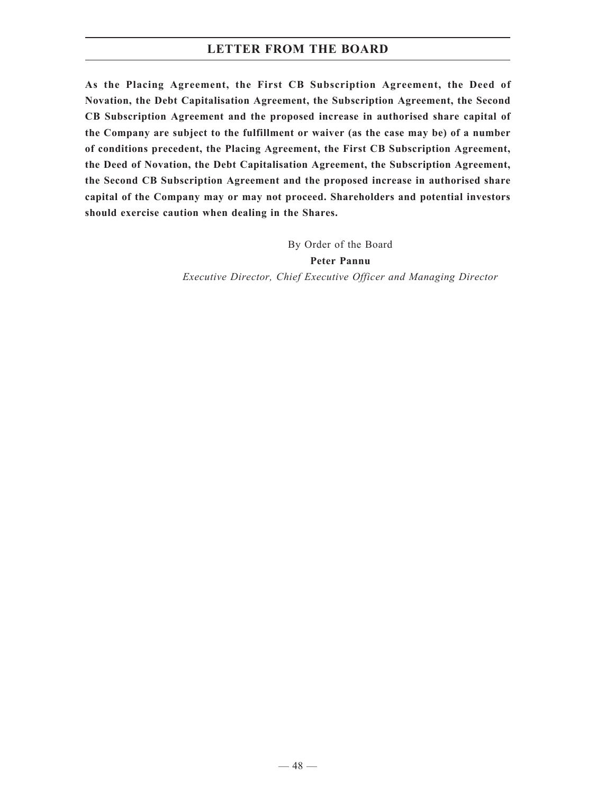**As the Placing Agreement, the First CB Subscription Agreement, the Deed of Novation, the Debt Capitalisation Agreement, the Subscription Agreement, the Second CB Subscription Agreement and the proposed increase in authorised share capital of the Company are subject to the fulfillment or waiver (as the case may be) of a number of conditions precedent, the Placing Agreement, the First CB Subscription Agreement, the Deed of Novation, the Debt Capitalisation Agreement, the Subscription Agreement, the Second CB Subscription Agreement and the proposed increase in authorised share capital of the Company may or may not proceed. Shareholders and potential investors should exercise caution when dealing in the Shares.**

> By Order of the Board **Peter Pannu** *Executive Director, Chief Executive Officer and Managing Director*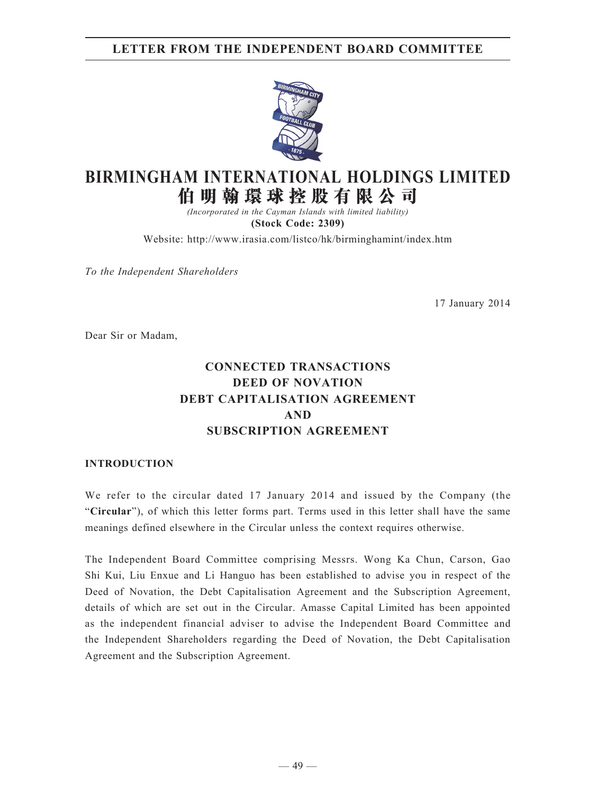## **LETTER FROM THE INDEPENDENT BOARD COMMITTEE**



# **BIRMINGHAM INTERNATIONAL HOLDINGS LIMITED 伯 明 翰 環 球 控 股 有 限 公 司**

*(Incorporated in the Cayman Islands with limited liability)* **(Stock Code: 2309)**

Website: http://www.irasia.com/listco/hk/birminghamint/index.htm

*To the Independent Shareholders*

17 January 2014

Dear Sir or Madam,

## **CONNECTED TRANSACTIONS DEED OF NOVATION DEBT CAPITALISATION AGREEMENT AND SUBSCRIPTION AGREEMENT**

#### **INTRODUCTION**

We refer to the circular dated 17 January 2014 and issued by the Company (the "**Circular**"), of which this letter forms part. Terms used in this letter shall have the same meanings defined elsewhere in the Circular unless the context requires otherwise.

The Independent Board Committee comprising Messrs. Wong Ka Chun, Carson, Gao Shi Kui, Liu Enxue and Li Hanguo has been established to advise you in respect of the Deed of Novation, the Debt Capitalisation Agreement and the Subscription Agreement, details of which are set out in the Circular. Amasse Capital Limited has been appointed as the independent financial adviser to advise the Independent Board Committee and the Independent Shareholders regarding the Deed of Novation, the Debt Capitalisation Agreement and the Subscription Agreement.

 $-49-$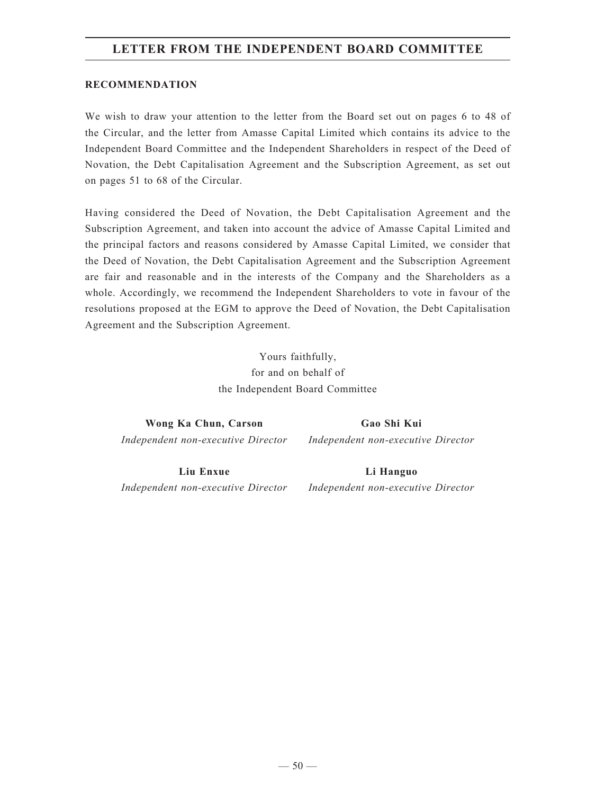## **LETTER FROM THE INDEPENDENT BOARD COMMITTEE**

#### **RECOMMENDATION**

We wish to draw your attention to the letter from the Board set out on pages 6 to 48 of the Circular, and the letter from Amasse Capital Limited which contains its advice to the Independent Board Committee and the Independent Shareholders in respect of the Deed of Novation, the Debt Capitalisation Agreement and the Subscription Agreement, as set out on pages 51 to 68 of the Circular.

Having considered the Deed of Novation, the Debt Capitalisation Agreement and the Subscription Agreement, and taken into account the advice of Amasse Capital Limited and the principal factors and reasons considered by Amasse Capital Limited, we consider that the Deed of Novation, the Debt Capitalisation Agreement and the Subscription Agreement are fair and reasonable and in the interests of the Company and the Shareholders as a whole. Accordingly, we recommend the Independent Shareholders to vote in favour of the resolutions proposed at the EGM to approve the Deed of Novation, the Debt Capitalisation Agreement and the Subscription Agreement.

> Yours faithfully, for and on behalf of the Independent Board Committee

**Wong Ka Chun, Carson** *Independent non-executive Director* **Gao Shi Kui**

*Independent non-executive Director*

**Liu Enxue** *Independent non-executive Director* **Li Hanguo**

*Independent non-executive Director*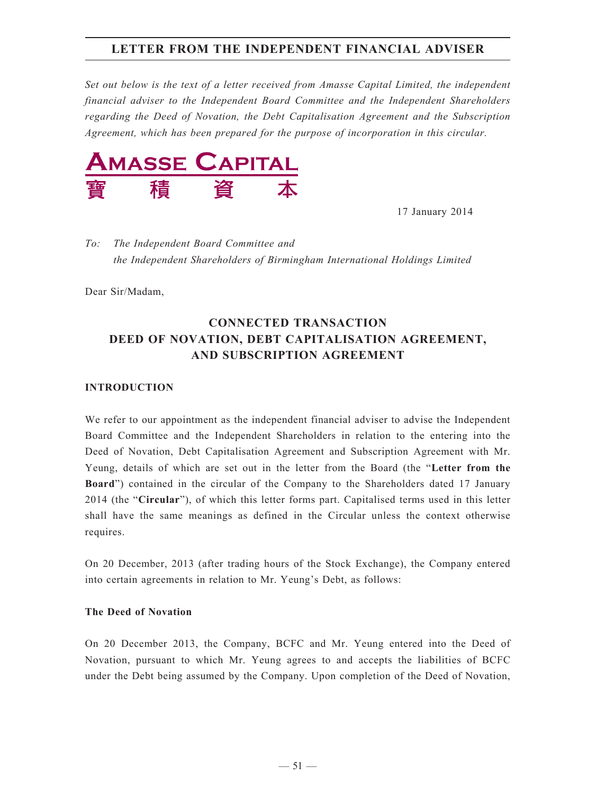*Set out below is the text of a letter received from Amasse Capital Limited, the independent financial adviser to the Independent Board Committee and the Independent Shareholders regarding the Deed of Novation, the Debt Capitalisation Agreement and the Subscription Agreement, which has been prepared for the purpose of incorporation in this circular.*



17 January 2014

*To: The Independent Board Committee and the Independent Shareholders of Birmingham International Holdings Limited*

Dear Sir/Madam,

## **CONNECTED TRANSACTION DEED OF NOVATION, DEBT CAPITALISATION AGREEMENT, AND SUBSCRIPTION AGREEMENT**

#### **Introduction**

We refer to our appointment as the independent financial adviser to advise the Independent Board Committee and the Independent Shareholders in relation to the entering into the Deed of Novation, Debt Capitalisation Agreement and Subscription Agreement with Mr. Yeung, details of which are set out in the letter from the Board (the "**Letter from the Board**") contained in the circular of the Company to the Shareholders dated 17 January 2014 (the "**Circular**"), of which this letter forms part. Capitalised terms used in this letter shall have the same meanings as defined in the Circular unless the context otherwise requires.

On 20 December, 2013 (after trading hours of the Stock Exchange), the Company entered into certain agreements in relation to Mr. Yeung's Debt, as follows:

#### **The Deed of Novation**

On 20 December 2013, the Company, BCFC and Mr. Yeung entered into the Deed of Novation, pursuant to which Mr. Yeung agrees to and accepts the liabilities of BCFC under the Debt being assumed by the Company. Upon completion of the Deed of Novation,

 $-51-$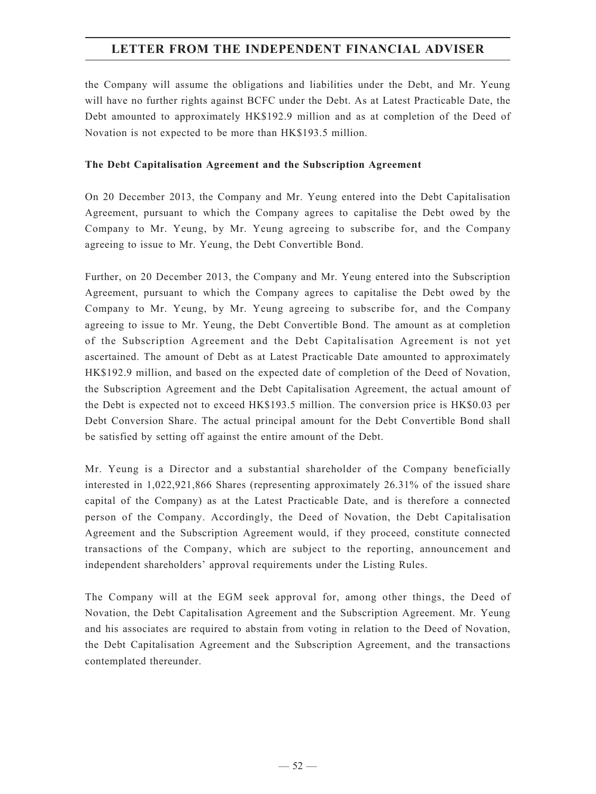the Company will assume the obligations and liabilities under the Debt, and Mr. Yeung will have no further rights against BCFC under the Debt. As at Latest Practicable Date, the Debt amounted to approximately HK\$192.9 million and as at completion of the Deed of Novation is not expected to be more than HK\$193.5 million.

#### **The Debt Capitalisation Agreement and the Subscription Agreement**

On 20 December 2013, the Company and Mr. Yeung entered into the Debt Capitalisation Agreement, pursuant to which the Company agrees to capitalise the Debt owed by the Company to Mr. Yeung, by Mr. Yeung agreeing to subscribe for, and the Company agreeing to issue to Mr. Yeung, the Debt Convertible Bond.

Further, on 20 December 2013, the Company and Mr. Yeung entered into the Subscription Agreement, pursuant to which the Company agrees to capitalise the Debt owed by the Company to Mr. Yeung, by Mr. Yeung agreeing to subscribe for, and the Company agreeing to issue to Mr. Yeung, the Debt Convertible Bond. The amount as at completion of the Subscription Agreement and the Debt Capitalisation Agreement is not yet ascertained. The amount of Debt as at Latest Practicable Date amounted to approximately HK\$192.9 million, and based on the expected date of completion of the Deed of Novation, the Subscription Agreement and the Debt Capitalisation Agreement, the actual amount of the Debt is expected not to exceed HK\$193.5 million. The conversion price is HK\$0.03 per Debt Conversion Share. The actual principal amount for the Debt Convertible Bond shall be satisfied by setting off against the entire amount of the Debt.

Mr. Yeung is a Director and a substantial shareholder of the Company beneficially interested in 1,022,921,866 Shares (representing approximately 26.31% of the issued share capital of the Company) as at the Latest Practicable Date, and is therefore a connected person of the Company. Accordingly, the Deed of Novation, the Debt Capitalisation Agreement and the Subscription Agreement would, if they proceed, constitute connected transactions of the Company, which are subject to the reporting, announcement and independent shareholders' approval requirements under the Listing Rules.

The Company will at the EGM seek approval for, among other things, the Deed of Novation, the Debt Capitalisation Agreement and the Subscription Agreement. Mr. Yeung and his associates are required to abstain from voting in relation to the Deed of Novation, the Debt Capitalisation Agreement and the Subscription Agreement, and the transactions contemplated thereunder.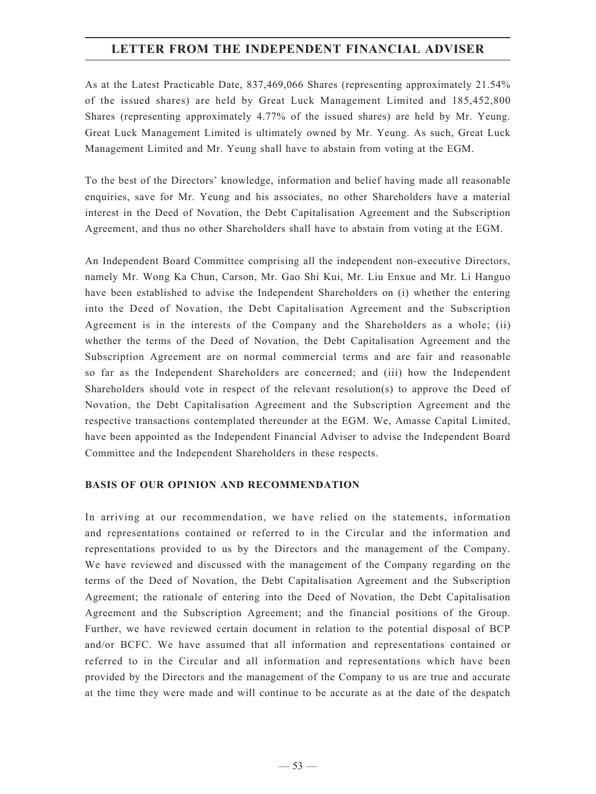As at the Latest Practicable Date, 837,469,066 Shares (representing approximately 21.54% of the issued shares) are held by Great Luck Management Limited and 185,452,800 Shares (representing approximately 4.77% of the issued shares) are held by Mr. Yeung. Great Luck Management Limited is ultimately owned by Mr. Yeung. As such, Great Luck Management Limited and Mr. Yeung shall have to abstain from voting at the EGM.

To the best of the Directors' knowledge, information and belief having made all reasonable enquiries, save for Mr. Yeung and his associates, no other Shareholders have a material interest in the Deed of Novation, the Debt Capitalisation Agreement and the Subscription Agreement, and thus no other Shareholders shall have to abstain from voting at the EGM.

An Independent Board Committee comprising all the independent non-executive Directors, namely Mr. Wong Ka Chun, Carson, Mr. Gao Shi Kui, Mr. Liu Enxue and Mr. Li Hanguo have been established to advise the Independent Shareholders on (i) whether the entering into the Deed of Novation, the Debt Capitalisation Agreement and the Subscription Agreement is in the interests of the Company and the Shareholders as a whole; (ii) whether the terms of the Deed of Novation, the Debt Capitalisation Agreement and the Subscription Agreement are on normal commercial terms and are fair and reasonable so far as the Independent Shareholders are concerned; and (iii) how the Independent Shareholders should vote in respect of the relevant resolution(s) to approve the Deed of Novation, the Debt Capitalisation Agreement and the Subscription Agreement and the respective transactions contemplated thereunder at the EGM. We, Amasse Capital Limited, have been appointed as the Independent Financial Adviser to advise the Independent Board Committee and the Independent Shareholders in these respects.

#### **Basis of oUr opiNioN aND reCommeNDatioN**

In arriving at our recommendation, we have relied on the statements, information and representations contained or referred to in the Circular and the information and representations provided to us by the Directors and the management of the Company. We have reviewed and discussed with the management of the Company regarding on the terms of the Deed of Novation, the Debt Capitalisation Agreement and the Subscription Agreement; the rationale of entering into the Deed of Novation, the Debt Capitalisation Agreement and the Subscription Agreement; and the financial positions of the Group. Further, we have reviewed certain document in relation to the potential disposal of BCP and/or BCFC. We have assumed that all information and representations contained or referred to in the Circular and all information and representations which have been provided by the Directors and the management of the Company to us are true and accurate at the time they were made and will continue to be accurate as at the date of the despatch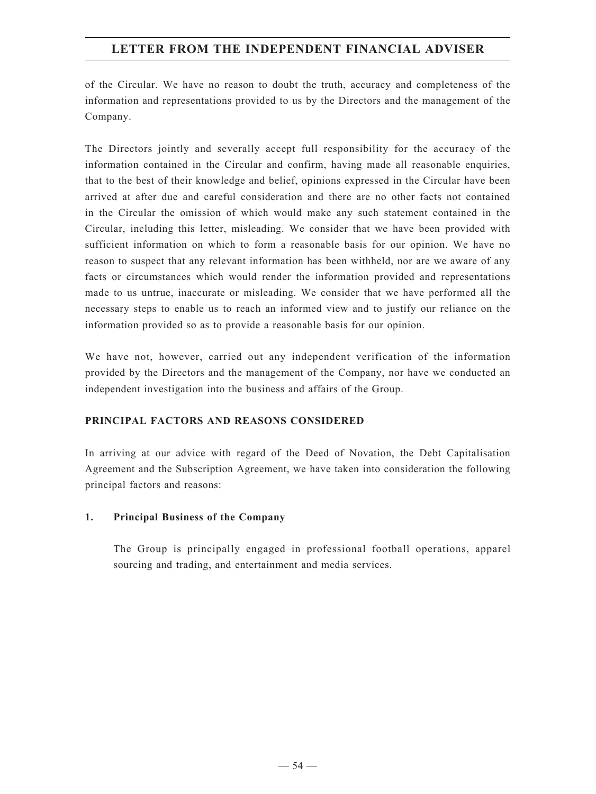of the Circular. We have no reason to doubt the truth, accuracy and completeness of the information and representations provided to us by the Directors and the management of the Company.

The Directors jointly and severally accept full responsibility for the accuracy of the information contained in the Circular and confirm, having made all reasonable enquiries, that to the best of their knowledge and belief, opinions expressed in the Circular have been arrived at after due and careful consideration and there are no other facts not contained in the Circular the omission of which would make any such statement contained in the Circular, including this letter, misleading. We consider that we have been provided with sufficient information on which to form a reasonable basis for our opinion. We have no reason to suspect that any relevant information has been withheld, nor are we aware of any facts or circumstances which would render the information provided and representations made to us untrue, inaccurate or misleading. We consider that we have performed all the necessary steps to enable us to reach an informed view and to justify our reliance on the information provided so as to provide a reasonable basis for our opinion.

We have not, however, carried out any independent verification of the information provided by the Directors and the management of the Company, nor have we conducted an independent investigation into the business and affairs of the Group.

## **PRINCIPAL FACTORS AND REASONS CONSIDERED**

In arriving at our advice with regard of the Deed of Novation, the Debt Capitalisation Agreement and the Subscription Agreement, we have taken into consideration the following principal factors and reasons:

## **1. Principal Business of the Company**

The Group is principally engaged in professional football operations, apparel sourcing and trading, and entertainment and media services.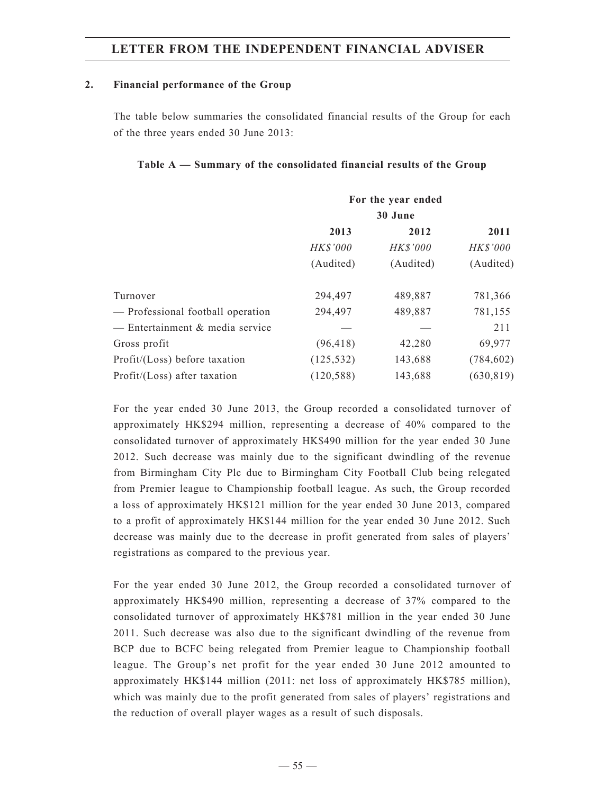#### **2. Financial performance of the Group**

The table below summaries the consolidated financial results of the Group for each of the three years ended 30 June 2013:

#### **Table A — Summary of the consolidated financial results of the Group**

| For the year ended |                 |            |  |  |  |
|--------------------|-----------------|------------|--|--|--|
| 30 June            |                 |            |  |  |  |
| 2013               | 2011            |            |  |  |  |
| HK\$'000           | <b>HK\$'000</b> | HK\$'000   |  |  |  |
| (Audited)          | (Audited)       | (Audited)  |  |  |  |
| 294,497            | 489,887         | 781,366    |  |  |  |
| 294,497            | 489,887         | 781,155    |  |  |  |
|                    |                 | 211        |  |  |  |
| (96, 418)          | 42,280          | 69,977     |  |  |  |
| (125, 532)         | 143,688         | (784, 602) |  |  |  |
| (120, 588)         | 143,688         | (630, 819) |  |  |  |
|                    |                 | 2012       |  |  |  |

For the year ended 30 June 2013, the Group recorded a consolidated turnover of approximately HK\$294 million, representing a decrease of 40% compared to the consolidated turnover of approximately HK\$490 million for the year ended 30 June 2012. Such decrease was mainly due to the significant dwindling of the revenue from Birmingham City Plc due to Birmingham City Football Club being relegated from Premier league to Championship football league. As such, the Group recorded a loss of approximately HK\$121 million for the year ended 30 June 2013, compared to a profit of approximately HK\$144 million for the year ended 30 June 2012. Such decrease was mainly due to the decrease in profit generated from sales of players' registrations as compared to the previous year.

For the year ended 30 June 2012, the Group recorded a consolidated turnover of approximately HK\$490 million, representing a decrease of 37% compared to the consolidated turnover of approximately HK\$781 million in the year ended 30 June 2011. Such decrease was also due to the significant dwindling of the revenue from BCP due to BCFC being relegated from Premier league to Championship football league. The Group's net profit for the year ended 30 June 2012 amounted to approximately HK\$144 million (2011: net loss of approximately HK\$785 million), which was mainly due to the profit generated from sales of players' registrations and the reduction of overall player wages as a result of such disposals.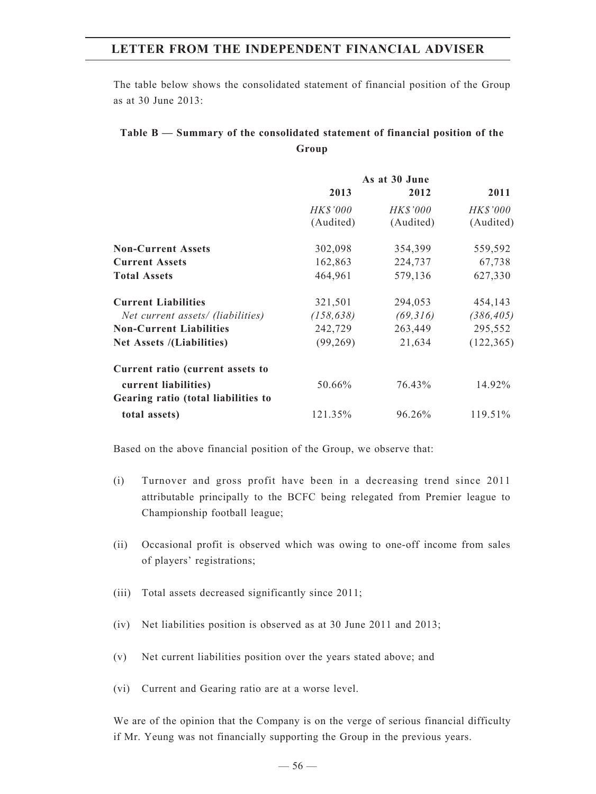The table below shows the consolidated statement of financial position of the Group as at 30 June 2013:

## **Table B — Summary of the consolidated statement of financial position of the Group**

|                                     | As at 30 June |                 |            |
|-------------------------------------|---------------|-----------------|------------|
|                                     | 2013          | 2012            | 2011       |
|                                     | HK\$'000      | <b>HK\$'000</b> | HK\$'000   |
|                                     | (Audited)     | (Audited)       | (Audited)  |
| <b>Non-Current Assets</b>           | 302,098       | 354,399         | 559,592    |
| <b>Current Assets</b>               | 162,863       | 224,737         | 67,738     |
| <b>Total Assets</b>                 | 464,961       | 579,136         | 627,330    |
| <b>Current Liabilities</b>          | 321,501       | 294,053         | 454,143    |
| Net current assets/ (liabilities)   | (158, 638)    | (69, 316)       | (386, 405) |
| <b>Non-Current Liabilities</b>      | 242,729       | 263,449         | 295,552    |
| Net Assets /(Liabilities)           | (99,269)      | 21,634          | (122, 365) |
| Current ratio (current assets to    |               |                 |            |
| current liabilities)                | 50.66%        | 76.43%          | 14.92%     |
| Gearing ratio (total liabilities to |               |                 |            |
| total assets)                       | 121.35%       | 96.26%          | 119.51%    |

Based on the above financial position of the Group, we observe that:

- (i) Turnover and gross profit have been in a decreasing trend since 2011 attributable principally to the BCFC being relegated from Premier league to Championship football league;
- (ii) Occasional profit is observed which was owing to one-off income from sales of players' registrations;
- (iii) Total assets decreased significantly since 2011;
- (iv) Net liabilities position is observed as at 30 June 2011 and 2013;
- (v) Net current liabilities position over the years stated above; and
- (vi) Current and Gearing ratio are at a worse level.

We are of the opinion that the Company is on the verge of serious financial difficulty if Mr. Yeung was not financially supporting the Group in the previous years.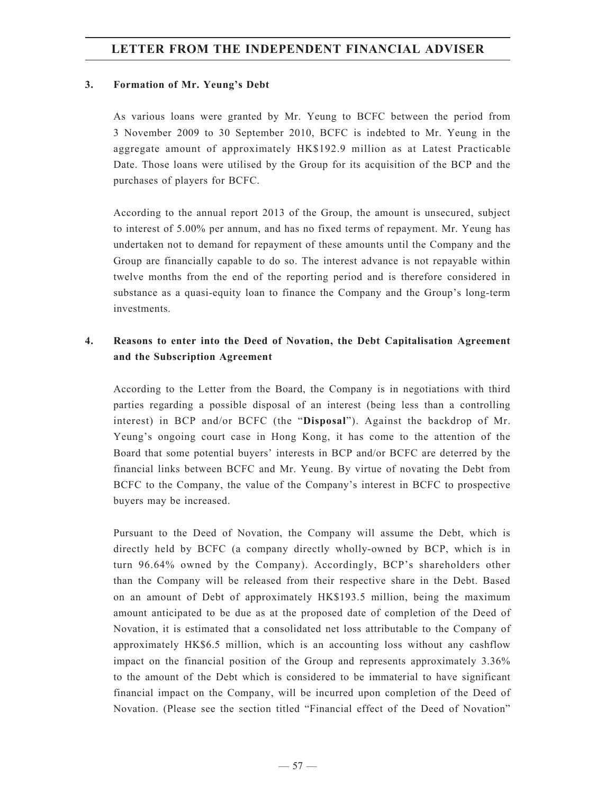#### **3. Formation of Mr. Yeung's Debt**

As various loans were granted by Mr. Yeung to BCFC between the period from 3 November 2009 to 30 September 2010, BCFC is indebted to Mr. Yeung in the aggregate amount of approximately HK\$192.9 million as at Latest Practicable Date. Those loans were utilised by the Group for its acquisition of the BCP and the purchases of players for BCFC.

According to the annual report 2013 of the Group, the amount is unsecured, subject to interest of 5.00% per annum, and has no fixed terms of repayment. Mr. Yeung has undertaken not to demand for repayment of these amounts until the Company and the Group are financially capable to do so. The interest advance is not repayable within twelve months from the end of the reporting period and is therefore considered in substance as a quasi-equity loan to finance the Company and the Group's long-term investments.

## **4. Reasons to enter into the Deed of Novation, the Debt Capitalisation Agreement and the Subscription Agreement**

According to the Letter from the Board, the Company is in negotiations with third parties regarding a possible disposal of an interest (being less than a controlling interest) in BCP and/or BCFC (the "**Disposal**"). Against the backdrop of Mr. Yeung's ongoing court case in Hong Kong, it has come to the attention of the Board that some potential buyers' interests in BCP and/or BCFC are deterred by the financial links between BCFC and Mr. Yeung. By virtue of novating the Debt from BCFC to the Company, the value of the Company's interest in BCFC to prospective buyers may be increased.

Pursuant to the Deed of Novation, the Company will assume the Debt, which is directly held by BCFC (a company directly wholly-owned by BCP, which is in turn 96.64% owned by the Company). Accordingly, BCP's shareholders other than the Company will be released from their respective share in the Debt. Based on an amount of Debt of approximately HK\$193.5 million, being the maximum amount anticipated to be due as at the proposed date of completion of the Deed of Novation, it is estimated that a consolidated net loss attributable to the Company of approximately HK\$6.5 million, which is an accounting loss without any cashflow impact on the financial position of the Group and represents approximately 3.36% to the amount of the Debt which is considered to be immaterial to have significant financial impact on the Company, will be incurred upon completion of the Deed of Novation. (Please see the section titled "Financial effect of the Deed of Novation"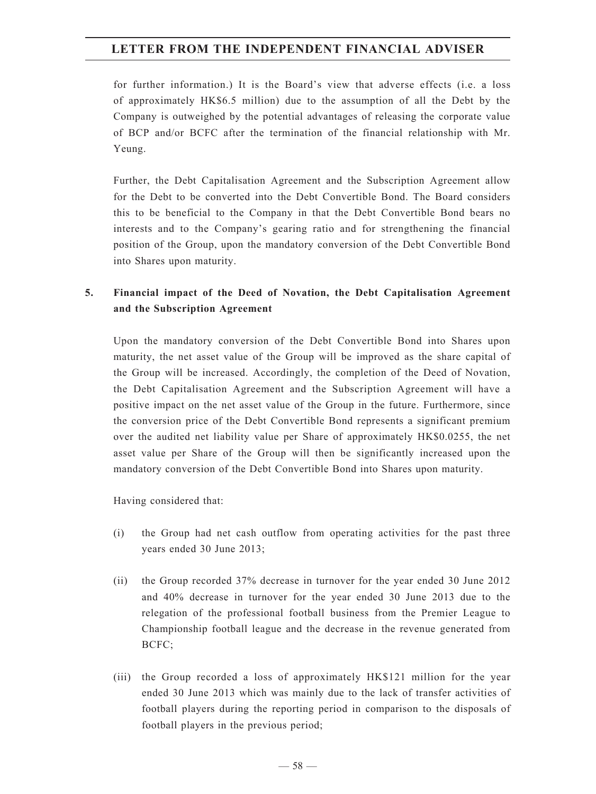for further information.) It is the Board's view that adverse effects (i.e. a loss of approximately HK\$6.5 million) due to the assumption of all the Debt by the Company is outweighed by the potential advantages of releasing the corporate value of BCP and/or BCFC after the termination of the financial relationship with Mr. Yeung.

Further, the Debt Capitalisation Agreement and the Subscription Agreement allow for the Debt to be converted into the Debt Convertible Bond. The Board considers this to be beneficial to the Company in that the Debt Convertible Bond bears no interests and to the Company's gearing ratio and for strengthening the financial position of the Group, upon the mandatory conversion of the Debt Convertible Bond into Shares upon maturity.

## **5. Financial impact of the Deed of Novation, the Debt Capitalisation Agreement and the Subscription Agreement**

Upon the mandatory conversion of the Debt Convertible Bond into Shares upon maturity, the net asset value of the Group will be improved as the share capital of the Group will be increased. Accordingly, the completion of the Deed of Novation, the Debt Capitalisation Agreement and the Subscription Agreement will have a positive impact on the net asset value of the Group in the future. Furthermore, since the conversion price of the Debt Convertible Bond represents a significant premium over the audited net liability value per Share of approximately HK\$0.0255, the net asset value per Share of the Group will then be significantly increased upon the mandatory conversion of the Debt Convertible Bond into Shares upon maturity.

Having considered that:

- (i) the Group had net cash outflow from operating activities for the past three years ended 30 June 2013;
- (ii) the Group recorded 37% decrease in turnover for the year ended 30 June 2012 and 40% decrease in turnover for the year ended 30 June 2013 due to the relegation of the professional football business from the Premier League to Championship football league and the decrease in the revenue generated from BCFC;
- (iii) the Group recorded a loss of approximately HK\$121 million for the year ended 30 June 2013 which was mainly due to the lack of transfer activities of football players during the reporting period in comparison to the disposals of football players in the previous period;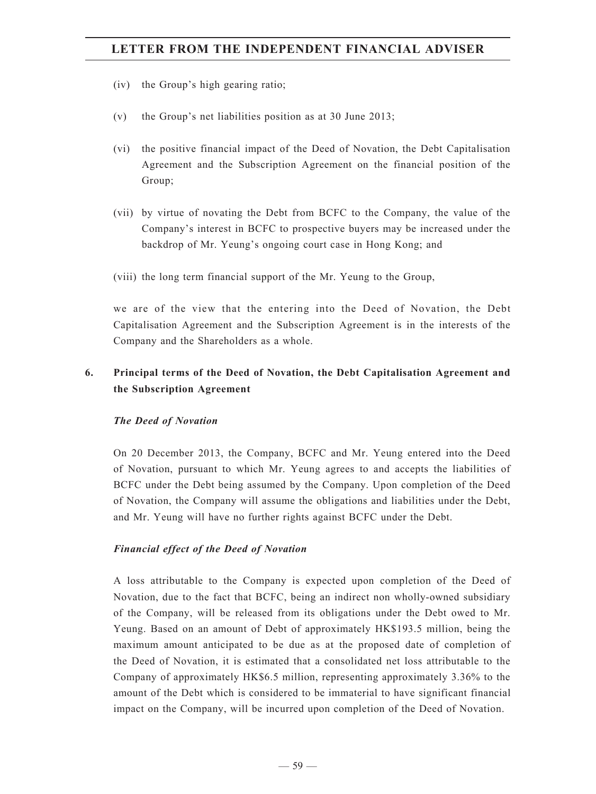- (iv) the Group's high gearing ratio;
- (v) the Group's net liabilities position as at 30 June 2013;
- (vi) the positive financial impact of the Deed of Novation, the Debt Capitalisation Agreement and the Subscription Agreement on the financial position of the Group;
- (vii) by virtue of novating the Debt from BCFC to the Company, the value of the Company's interest in BCFC to prospective buyers may be increased under the backdrop of Mr. Yeung's ongoing court case in Hong Kong; and
- (viii) the long term financial support of the Mr. Yeung to the Group,

we are of the view that the entering into the Deed of Novation, the Debt Capitalisation Agreement and the Subscription Agreement is in the interests of the Company and the Shareholders as a whole.

## **6. Principal terms of the Deed of Novation, the Debt Capitalisation Agreement and the Subscription Agreement**

#### *The Deed of Novation*

On 20 December 2013, the Company, BCFC and Mr. Yeung entered into the Deed of Novation, pursuant to which Mr. Yeung agrees to and accepts the liabilities of BCFC under the Debt being assumed by the Company. Upon completion of the Deed of Novation, the Company will assume the obligations and liabilities under the Debt, and Mr. Yeung will have no further rights against BCFC under the Debt.

#### *Financial effect of the Deed of Novation*

A loss attributable to the Company is expected upon completion of the Deed of Novation, due to the fact that BCFC, being an indirect non wholly-owned subsidiary of the Company, will be released from its obligations under the Debt owed to Mr. Yeung. Based on an amount of Debt of approximately HK\$193.5 million, being the maximum amount anticipated to be due as at the proposed date of completion of the Deed of Novation, it is estimated that a consolidated net loss attributable to the Company of approximately HK\$6.5 million, representing approximately 3.36% to the amount of the Debt which is considered to be immaterial to have significant financial impact on the Company, will be incurred upon completion of the Deed of Novation.

 $-59-$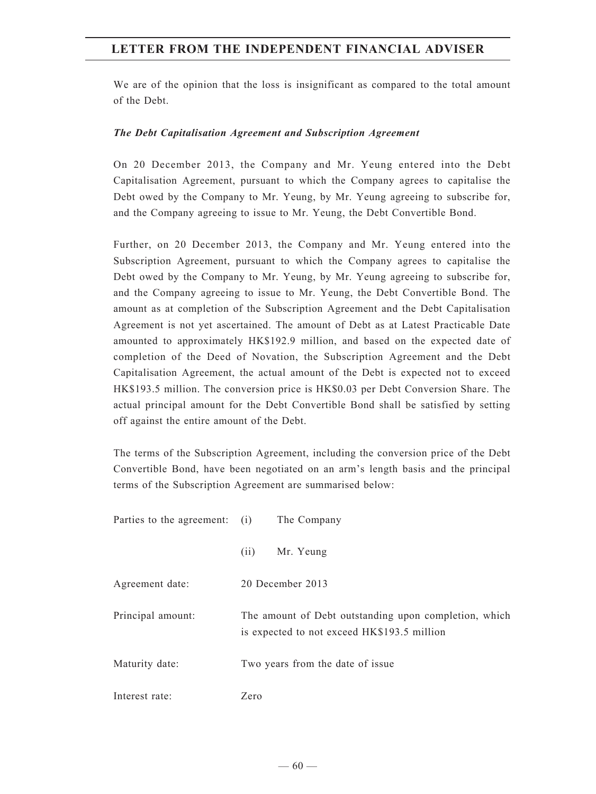We are of the opinion that the loss is insignificant as compared to the total amount of the Debt.

#### *The Debt Capitalisation Agreement and Subscription Agreement*

On 20 December 2013, the Company and Mr. Yeung entered into the Debt Capitalisation Agreement, pursuant to which the Company agrees to capitalise the Debt owed by the Company to Mr. Yeung, by Mr. Yeung agreeing to subscribe for, and the Company agreeing to issue to Mr. Yeung, the Debt Convertible Bond.

Further, on 20 December 2013, the Company and Mr. Yeung entered into the Subscription Agreement, pursuant to which the Company agrees to capitalise the Debt owed by the Company to Mr. Yeung, by Mr. Yeung agreeing to subscribe for, and the Company agreeing to issue to Mr. Yeung, the Debt Convertible Bond. The amount as at completion of the Subscription Agreement and the Debt Capitalisation Agreement is not yet ascertained. The amount of Debt as at Latest Practicable Date amounted to approximately HK\$192.9 million, and based on the expected date of completion of the Deed of Novation, the Subscription Agreement and the Debt Capitalisation Agreement, the actual amount of the Debt is expected not to exceed HK\$193.5 million. The conversion price is HK\$0.03 per Debt Conversion Share. The actual principal amount for the Debt Convertible Bond shall be satisfied by setting off against the entire amount of the Debt.

The terms of the Subscription Agreement, including the conversion price of the Debt Convertible Bond, have been negotiated on an arm's length basis and the principal terms of the Subscription Agreement are summarised below:

Parties to the agreement: (i) The Company (ii) Mr. Yeung Agreement date: 20 December 2013 Principal amount: The amount of Debt outstanding upon completion, which is expected to not exceed HK\$193.5 million Maturity date: Two years from the date of issue Interest rate: Zero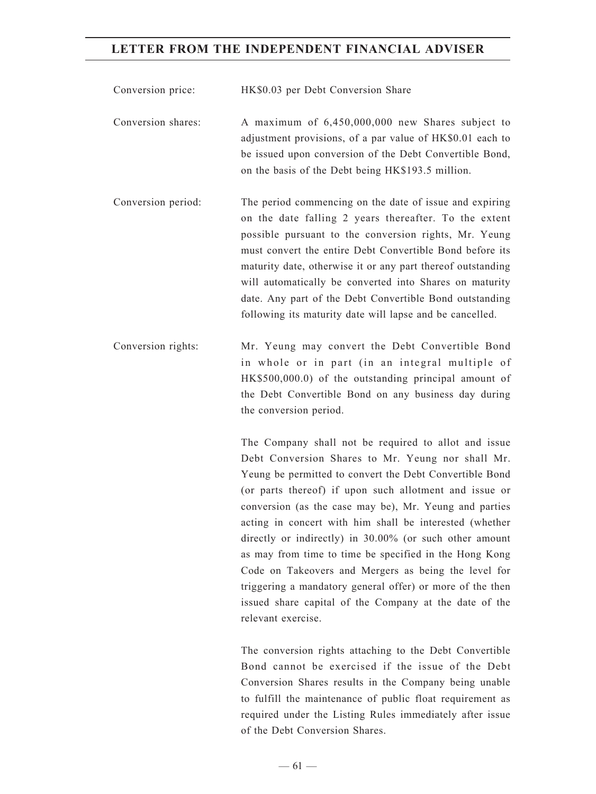Conversion price: HK\$0.03 per Debt Conversion Share

Conversion shares: A maximum of 6,450,000,000 new Shares subject to adjustment provisions, of a par value of HK\$0.01 each to be issued upon conversion of the Debt Convertible Bond, on the basis of the Debt being HK\$193.5 million.

Conversion period: The period commencing on the date of issue and expiring on the date falling 2 years thereafter. To the extent possible pursuant to the conversion rights, Mr. Yeung must convert the entire Debt Convertible Bond before its maturity date, otherwise it or any part thereof outstanding will automatically be converted into Shares on maturity date. Any part of the Debt Convertible Bond outstanding following its maturity date will lapse and be cancelled.

Conversion rights: Mr. Yeung may convert the Debt Convertible Bond in whole or in part (in an integral multiple of HK\$500,000.0) of the outstanding principal amount of the Debt Convertible Bond on any business day during the conversion period.

> The Company shall not be required to allot and issue Debt Conversion Shares to Mr. Yeung nor shall Mr. Yeung be permitted to convert the Debt Convertible Bond (or parts thereof) if upon such allotment and issue or conversion (as the case may be), Mr. Yeung and parties acting in concert with him shall be interested (whether directly or indirectly) in 30.00% (or such other amount as may from time to time be specified in the Hong Kong Code on Takeovers and Mergers as being the level for triggering a mandatory general offer) or more of the then issued share capital of the Company at the date of the relevant exercise.

> The conversion rights attaching to the Debt Convertible Bond cannot be exercised if the issue of the Debt Conversion Shares results in the Company being unable to fulfill the maintenance of public float requirement as required under the Listing Rules immediately after issue of the Debt Conversion Shares.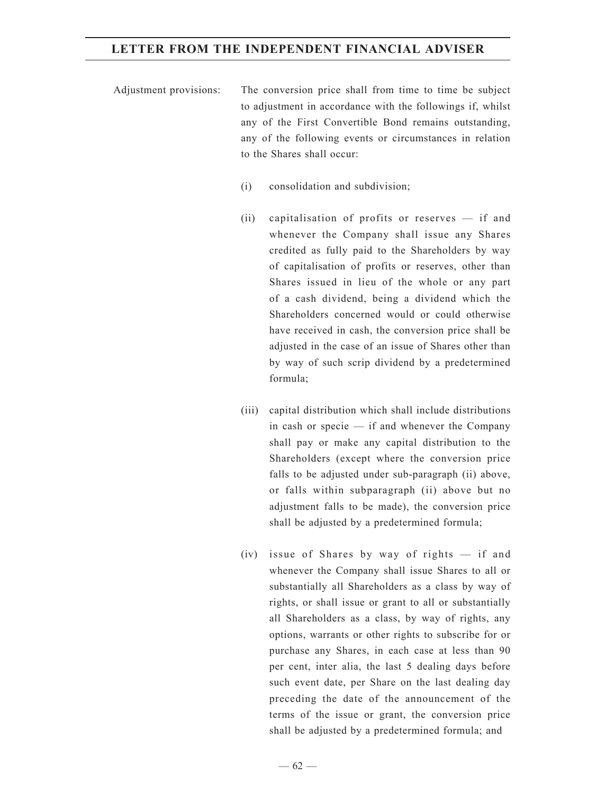- Adjustment provisions: The conversion price shall from time to time be subject to adjustment in accordance with the followings if, whilst any of the First Convertible Bond remains outstanding, any of the following events or circumstances in relation to the Shares shall occur:
	- (i) consolidation and subdivision;
	- (ii) capitalisation of profits or reserves if and whenever the Company shall issue any Shares credited as fully paid to the Shareholders by way of capitalisation of profits or reserves, other than Shares issued in lieu of the whole or any part of a cash dividend, being a dividend which the Shareholders concerned would or could otherwise have received in cash, the conversion price shall be adjusted in the case of an issue of Shares other than by way of such scrip dividend by a predetermined formula;
	- (iii) capital distribution which shall include distributions in cash or specie — if and whenever the Company shall pay or make any capital distribution to the Shareholders (except where the conversion price falls to be adjusted under sub-paragraph (ii) above, or falls within subparagraph (ii) above but no adjustment falls to be made), the conversion price shall be adjusted by a predetermined formula;
	- (iv) issue of Shares by way of rights if and whenever the Company shall issue Shares to all or substantially all Shareholders as a class by way of rights, or shall issue or grant to all or substantially all Shareholders as a class, by way of rights, any options, warrants or other rights to subscribe for or purchase any Shares, in each case at less than 90 per cent, inter alia, the last 5 dealing days before such event date, per Share on the last dealing day preceding the date of the announcement of the terms of the issue or grant, the conversion price shall be adjusted by a predetermined formula; and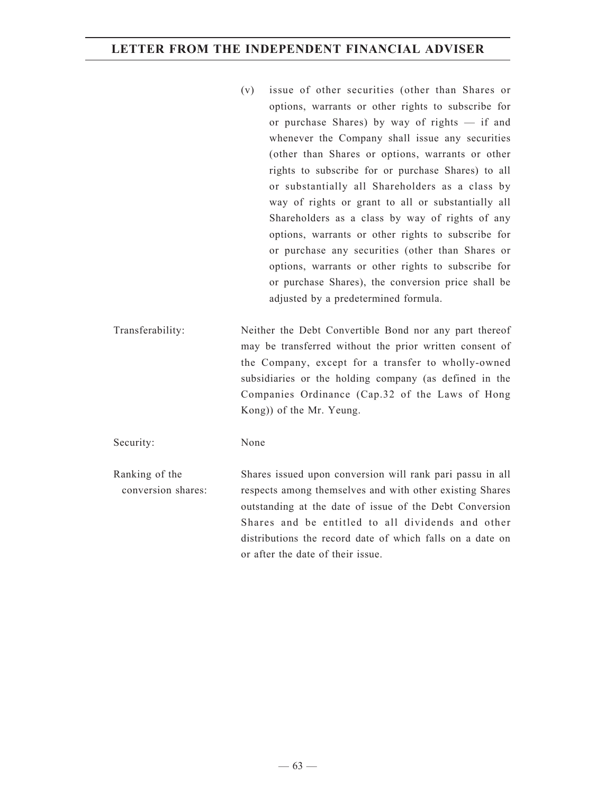- (v) issue of other securities (other than Shares or options, warrants or other rights to subscribe for or purchase Shares) by way of rights — if and whenever the Company shall issue any securities (other than Shares or options, warrants or other rights to subscribe for or purchase Shares) to all or substantially all Shareholders as a class by way of rights or grant to all or substantially all Shareholders as a class by way of rights of any options, warrants or other rights to subscribe for or purchase any securities (other than Shares or options, warrants or other rights to subscribe for or purchase Shares), the conversion price shall be adjusted by a predetermined formula.
- Transferability: Neither the Debt Convertible Bond nor any part thereof may be transferred without the prior written consent of the Company, except for a transfer to wholly-owned subsidiaries or the holding company (as defined in the Companies Ordinance (Cap.32 of the Laws of Hong Kong)) of the Mr. Yeung.

Security: None

Ranking of the conversion shares: Shares issued upon conversion will rank pari passu in all respects among themselves and with other existing Shares outstanding at the date of issue of the Debt Conversion Shares and be entitled to all dividends and other distributions the record date of which falls on a date on or after the date of their issue.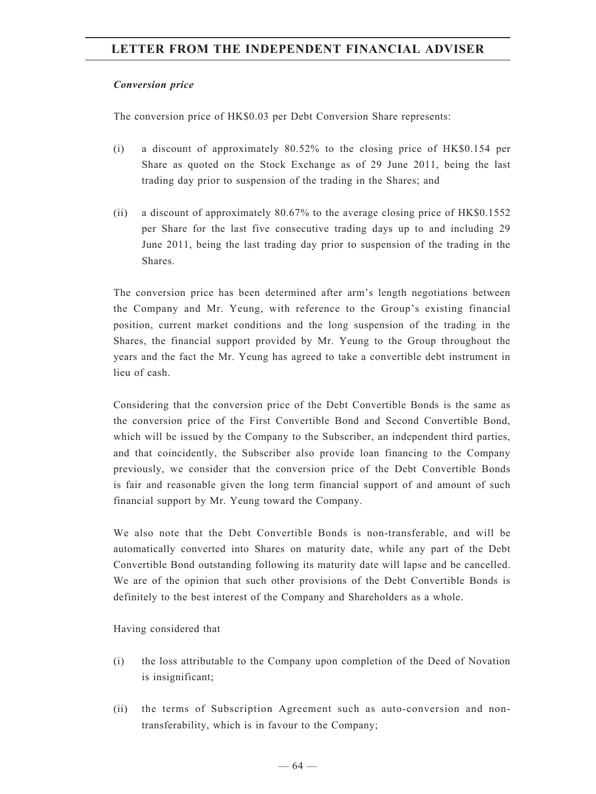#### *Conversion price*

The conversion price of HK\$0.03 per Debt Conversion Share represents:

- (i) a discount of approximately 80.52% to the closing price of HK\$0.154 per Share as quoted on the Stock Exchange as of 29 June 2011, being the last trading day prior to suspension of the trading in the Shares; and
- (ii) a discount of approximately 80.67% to the average closing price of HK\$0.1552 per Share for the last five consecutive trading days up to and including 29 June 2011, being the last trading day prior to suspension of the trading in the Shares.

The conversion price has been determined after arm's length negotiations between the Company and Mr. Yeung, with reference to the Group's existing financial position, current market conditions and the long suspension of the trading in the Shares, the financial support provided by Mr. Yeung to the Group throughout the years and the fact the Mr. Yeung has agreed to take a convertible debt instrument in lieu of cash.

Considering that the conversion price of the Debt Convertible Bonds is the same as the conversion price of the First Convertible Bond and Second Convertible Bond, which will be issued by the Company to the Subscriber, an independent third parties, and that coincidently, the Subscriber also provide loan financing to the Company previously, we consider that the conversion price of the Debt Convertible Bonds is fair and reasonable given the long term financial support of and amount of such financial support by Mr. Yeung toward the Company.

We also note that the Debt Convertible Bonds is non-transferable, and will be automatically converted into Shares on maturity date, while any part of the Debt Convertible Bond outstanding following its maturity date will lapse and be cancelled. We are of the opinion that such other provisions of the Debt Convertible Bonds is definitely to the best interest of the Company and Shareholders as a whole.

Having considered that

- (i) the loss attributable to the Company upon completion of the Deed of Novation is insignificant;
- (ii) the terms of Subscription Agreement such as auto-conversion and nontransferability, which is in favour to the Company;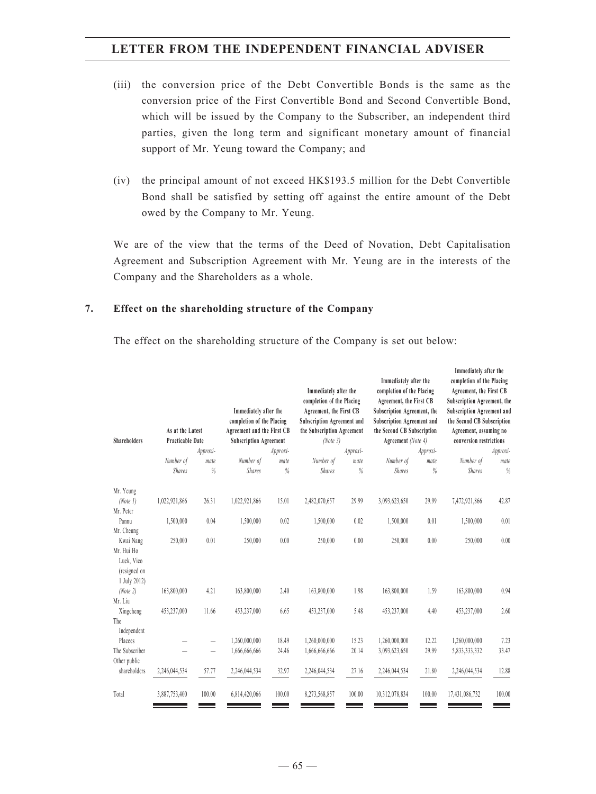- (iii) the conversion price of the Debt Convertible Bonds is the same as the conversion price of the First Convertible Bond and Second Convertible Bond, which will be issued by the Company to the Subscriber, an independent third parties, given the long term and significant monetary amount of financial support of Mr. Yeung toward the Company; and
- (iv) the principal amount of not exceed HK\$193.5 million for the Debt Convertible Bond shall be satisfied by setting off against the entire amount of the Debt owed by the Company to Mr. Yeung.

We are of the view that the terms of the Deed of Novation, Debt Capitalisation Agreement and Subscription Agreement with Mr. Yeung are in the interests of the Company and the Shareholders as a whole.

#### **7. Effect on the shareholding structure of the Company**

The effect on the shareholding structure of the Company is set out below:

| <b>Shareholders</b>                                                   | As at the Latest<br><b>Practicable Date</b> |           | Immediately after the<br>completion of the Placing<br>Agreement and the First CB<br><b>Subscription Agreement</b> |           | Immediately after the<br>completion of the Placing<br>Agreement, the First CB<br><b>Subscription Agreement and</b><br>the Subscription Agreement<br>(Note 3) |                  | Immediately after the<br>completion of the Placing<br>Agreement, the First CB<br>Subscription Agreement, the<br><b>Subscription Agreement and</b><br>the Second CB Subscription<br>Agreement (Note 4) |              | Immediately after the<br>completion of the Placing<br>Agreement, the First CB<br>Subscription Agreement, the<br><b>Subscription Agreement and</b><br>the Second CB Subscription<br>Agreement, assuming no<br>conversion restrictions |           |
|-----------------------------------------------------------------------|---------------------------------------------|-----------|-------------------------------------------------------------------------------------------------------------------|-----------|--------------------------------------------------------------------------------------------------------------------------------------------------------------|------------------|-------------------------------------------------------------------------------------------------------------------------------------------------------------------------------------------------------|--------------|--------------------------------------------------------------------------------------------------------------------------------------------------------------------------------------------------------------------------------------|-----------|
|                                                                       | Number of                                   | Approxi-  | Number of                                                                                                         | Approxi-  | Number of                                                                                                                                                    | Approxi-<br>mate | Number of                                                                                                                                                                                             | Approxi-     | Number of                                                                                                                                                                                                                            | Approxi-  |
|                                                                       | <b>Shares</b>                               | mate<br>% | <b>Shares</b>                                                                                                     | mate<br>% | <b>Shares</b>                                                                                                                                                | $\%$             | <b>Shares</b>                                                                                                                                                                                         | mate<br>$\%$ | <b>Shares</b>                                                                                                                                                                                                                        | mate<br>% |
| Mr. Yeung<br>(Note 1)<br>Mr. Peter                                    | 1,022,921,866                               | 26.31     | 1,022,921,866                                                                                                     | 15.01     | 2,482,070,657                                                                                                                                                | 29.99            | 3,093,623,650                                                                                                                                                                                         | 29.99        | 7,472,921,866                                                                                                                                                                                                                        | 42.87     |
| Pannu<br>Mr. Cheung                                                   | 1,500,000                                   | 0.04      | 1,500,000                                                                                                         | 0.02      | 1,500,000                                                                                                                                                    | 0.02             | 1,500,000                                                                                                                                                                                             | 0.01         | 1,500,000                                                                                                                                                                                                                            | 0.01      |
| Kwai Nang<br>Mr. Hui Ho<br>Luek, Vico<br>(resigned on<br>1 July 2012) | 250,000                                     | 0.01      | 250,000                                                                                                           | 0.00      | 250,000                                                                                                                                                      | 0.00             | 250,000                                                                                                                                                                                               | 0.00         | 250,000                                                                                                                                                                                                                              | 0.00      |
| (Note 2)<br>Mr. Liu                                                   | 163,800,000                                 | 4.21      | 163,800,000                                                                                                       | 2.40      | 163,800,000                                                                                                                                                  | 1.98             | 163,800,000                                                                                                                                                                                           | 1.59         | 163,800,000                                                                                                                                                                                                                          | 0.94      |
| Xingcheng<br>The<br>Independent                                       | 453,237,000                                 | 11.66     | 453,237,000                                                                                                       | 6.65      | 453,237,000                                                                                                                                                  | 5.48             | 453,237,000                                                                                                                                                                                           | 4.40         | 453,237,000                                                                                                                                                                                                                          | 2.60      |
| Placees                                                               |                                             |           | 1,260,000,000                                                                                                     | 18.49     | 1,260,000,000                                                                                                                                                | 15.23            | 1,260,000,000                                                                                                                                                                                         | 12.22        | 1,260,000,000                                                                                                                                                                                                                        | 7.23      |
| The Subscriber<br>Other public                                        |                                             |           | 1,666,666,666                                                                                                     | 24.46     | 1,666,666,666                                                                                                                                                | 20.14            | 3,093,623,650                                                                                                                                                                                         | 29.99        | 5,833,333,332                                                                                                                                                                                                                        | 33.47     |
| shareholders                                                          | 2,246,044,534                               | 57.77     | 2,246,044,534                                                                                                     | 32.97     | 2,246,044,534                                                                                                                                                | 27.16            | 2,246,044,534                                                                                                                                                                                         | 21.80        | 2,246,044,534                                                                                                                                                                                                                        | 12.88     |
| Total                                                                 | 3,887,753,400                               | 100.00    | 6,814,420,066                                                                                                     | 100.00    | 8,273,568,857                                                                                                                                                | 100.00           | 10,312,078,834                                                                                                                                                                                        | 100.00       | 17,431,086,732                                                                                                                                                                                                                       | 100.00    |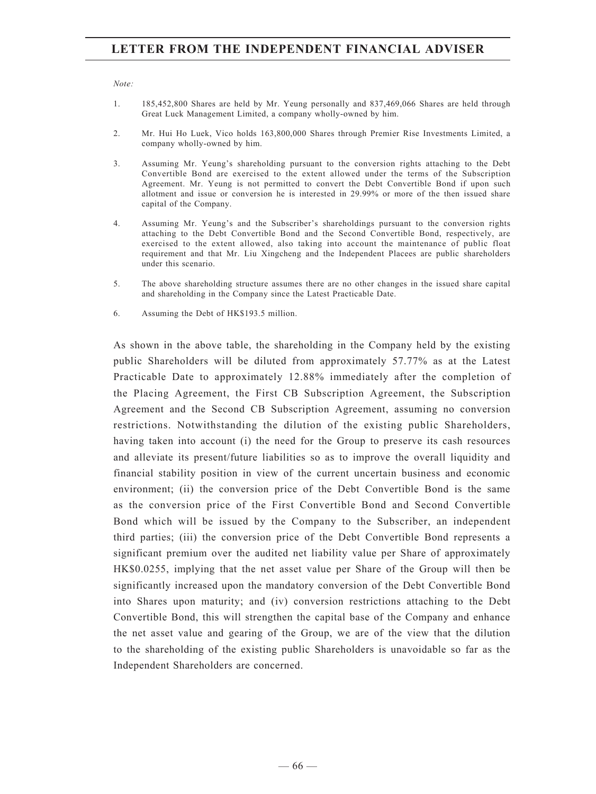#### *Note:*

- 1. 185,452,800 Shares are held by Mr. Yeung personally and 837,469,066 Shares are held through Great Luck Management Limited, a company wholly-owned by him.
- 2. Mr. Hui Ho Luek, Vico holds 163,800,000 Shares through Premier Rise Investments Limited, a company wholly-owned by him.
- 3. Assuming Mr. Yeung's shareholding pursuant to the conversion rights attaching to the Debt Convertible Bond are exercised to the extent allowed under the terms of the Subscription Agreement. Mr. Yeung is not permitted to convert the Debt Convertible Bond if upon such allotment and issue or conversion he is interested in 29.99% or more of the then issued share capital of the Company.
- 4. Assuming Mr. Yeung's and the Subscriber's shareholdings pursuant to the conversion rights attaching to the Debt Convertible Bond and the Second Convertible Bond, respectively, are exercised to the extent allowed, also taking into account the maintenance of public float requirement and that Mr. Liu Xingcheng and the Independent Placees are public shareholders under this scenario.
- 5. The above shareholding structure assumes there are no other changes in the issued share capital and shareholding in the Company since the Latest Practicable Date.
- 6. Assuming the Debt of HK\$193.5 million.

As shown in the above table, the shareholding in the Company held by the existing public Shareholders will be diluted from approximately 57.77% as at the Latest Practicable Date to approximately 12.88% immediately after the completion of the Placing Agreement, the First CB Subscription Agreement, the Subscription Agreement and the Second CB Subscription Agreement, assuming no conversion restrictions. Notwithstanding the dilution of the existing public Shareholders, having taken into account (i) the need for the Group to preserve its cash resources and alleviate its present/future liabilities so as to improve the overall liquidity and financial stability position in view of the current uncertain business and economic environment; (ii) the conversion price of the Debt Convertible Bond is the same as the conversion price of the First Convertible Bond and Second Convertible Bond which will be issued by the Company to the Subscriber, an independent third parties; (iii) the conversion price of the Debt Convertible Bond represents a significant premium over the audited net liability value per Share of approximately HK\$0.0255, implying that the net asset value per Share of the Group will then be significantly increased upon the mandatory conversion of the Debt Convertible Bond into Shares upon maturity; and (iv) conversion restrictions attaching to the Debt Convertible Bond, this will strengthen the capital base of the Company and enhance the net asset value and gearing of the Group, we are of the view that the dilution to the shareholding of the existing public Shareholders is unavoidable so far as the Independent Shareholders are concerned.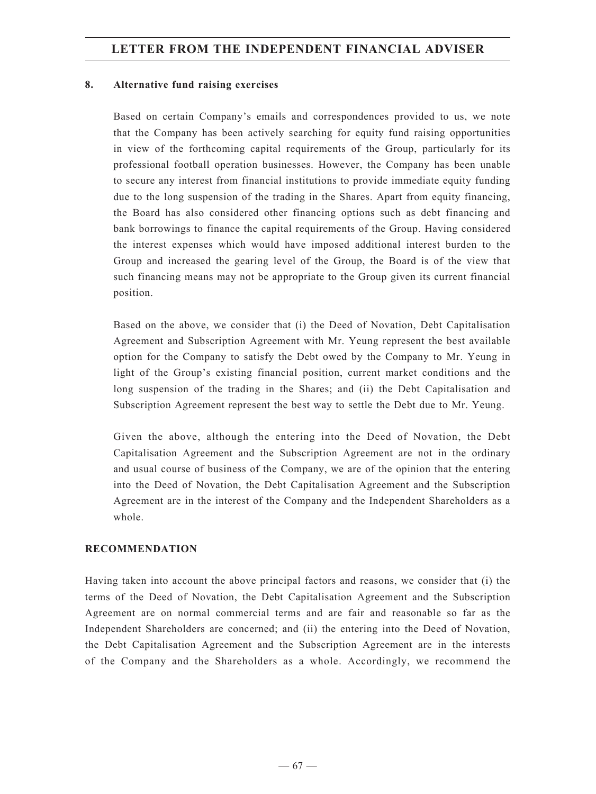#### **8. Alternative fund raising exercises**

Based on certain Company's emails and correspondences provided to us, we note that the Company has been actively searching for equity fund raising opportunities in view of the forthcoming capital requirements of the Group, particularly for its professional football operation businesses. However, the Company has been unable to secure any interest from financial institutions to provide immediate equity funding due to the long suspension of the trading in the Shares. Apart from equity financing, the Board has also considered other financing options such as debt financing and bank borrowings to finance the capital requirements of the Group. Having considered the interest expenses which would have imposed additional interest burden to the Group and increased the gearing level of the Group, the Board is of the view that such financing means may not be appropriate to the Group given its current financial position.

Based on the above, we consider that (i) the Deed of Novation, Debt Capitalisation Agreement and Subscription Agreement with Mr. Yeung represent the best available option for the Company to satisfy the Debt owed by the Company to Mr. Yeung in light of the Group's existing financial position, current market conditions and the long suspension of the trading in the Shares; and (ii) the Debt Capitalisation and Subscription Agreement represent the best way to settle the Debt due to Mr. Yeung.

Given the above, although the entering into the Deed of Novation, the Debt Capitalisation Agreement and the Subscription Agreement are not in the ordinary and usual course of business of the Company, we are of the opinion that the entering into the Deed of Novation, the Debt Capitalisation Agreement and the Subscription Agreement are in the interest of the Company and the Independent Shareholders as a whole.

#### **Recommendation**

Having taken into account the above principal factors and reasons, we consider that (i) the terms of the Deed of Novation, the Debt Capitalisation Agreement and the Subscription Agreement are on normal commercial terms and are fair and reasonable so far as the Independent Shareholders are concerned; and (ii) the entering into the Deed of Novation, the Debt Capitalisation Agreement and the Subscription Agreement are in the interests of the Company and the Shareholders as a whole. Accordingly, we recommend the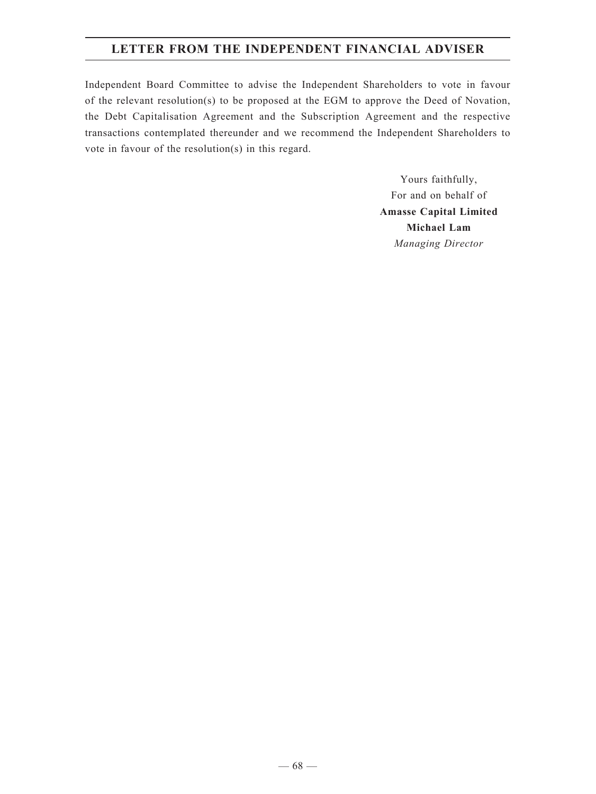Independent Board Committee to advise the Independent Shareholders to vote in favour of the relevant resolution(s) to be proposed at the EGM to approve the Deed of Novation, the Debt Capitalisation Agreement and the Subscription Agreement and the respective transactions contemplated thereunder and we recommend the Independent Shareholders to vote in favour of the resolution(s) in this regard.

> Yours faithfully, For and on behalf of **Amasse Capital Limited Michael Lam** *Managing Director*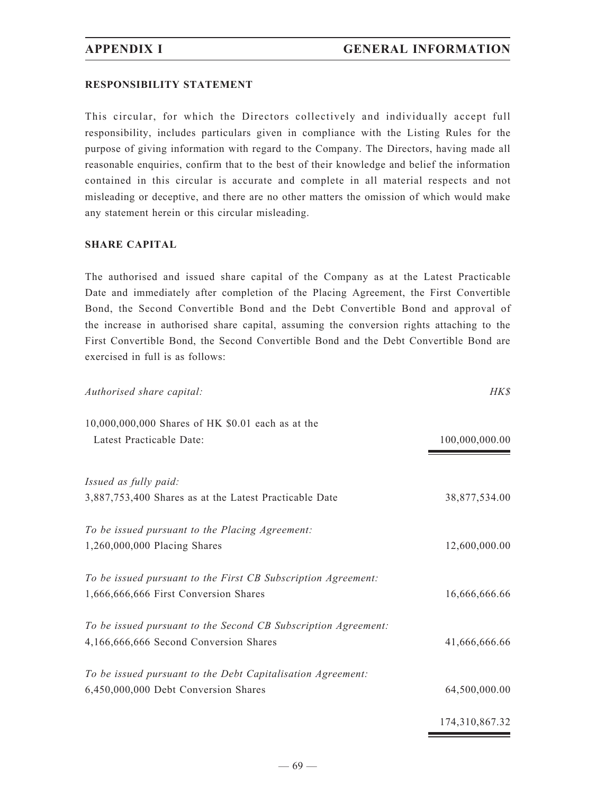#### **RESPONSIBILITY STATEMENT**

This circular, for which the Directors collectively and individually accept full responsibility, includes particulars given in compliance with the Listing Rules for the purpose of giving information with regard to the Company. The Directors, having made all reasonable enquiries, confirm that to the best of their knowledge and belief the information contained in this circular is accurate and complete in all material respects and not misleading or deceptive, and there are no other matters the omission of which would make any statement herein or this circular misleading.

#### **SHARE CAPITAL**

The authorised and issued share capital of the Company as at the Latest Practicable Date and immediately after completion of the Placing Agreement, the First Convertible Bond, the Second Convertible Bond and the Debt Convertible Bond and approval of the increase in authorised share capital, assuming the conversion rights attaching to the First Convertible Bond, the Second Convertible Bond and the Debt Convertible Bond are exercised in full is as follows:

| Authorised share capital:                                      | HK\$           |
|----------------------------------------------------------------|----------------|
| 10,000,000,000 Shares of HK \$0.01 each as at the              |                |
| Latest Practicable Date:                                       | 100,000,000.00 |
| Issued as fully paid:                                          |                |
| 3,887,753,400 Shares as at the Latest Practicable Date         | 38,877,534.00  |
| To be issued pursuant to the Placing Agreement:                |                |
| 1,260,000,000 Placing Shares                                   | 12,600,000.00  |
| To be issued pursuant to the First CB Subscription Agreement:  |                |
| 1,666,666,666 First Conversion Shares                          | 16,666,666.66  |
| To be issued pursuant to the Second CB Subscription Agreement: |                |
| 4,166,666,666 Second Conversion Shares                         | 41,666,666.66  |
| To be issued pursuant to the Debt Capitalisation Agreement:    |                |
| 6,450,000,000 Debt Conversion Shares                           | 64,500,000.00  |
|                                                                | 174,310,867.32 |

 $-69-$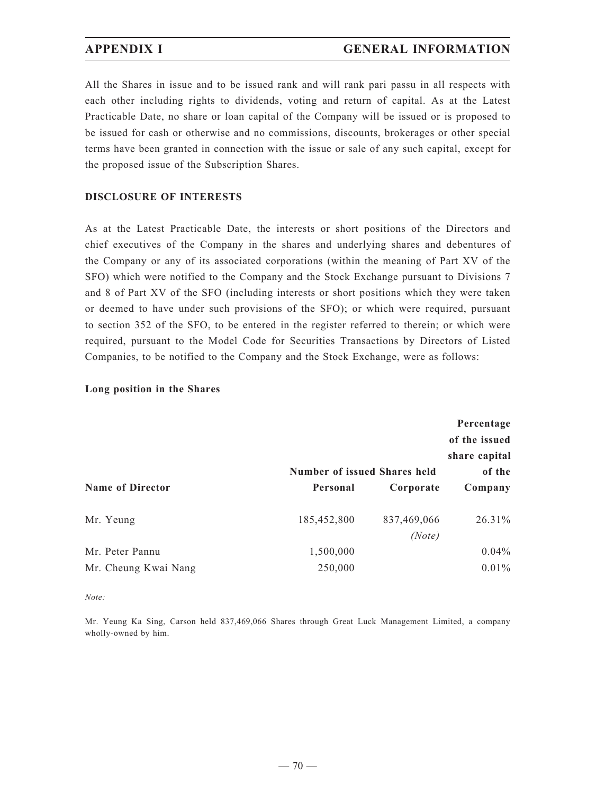## **APPENDIX I GENERAL INFORMATION**

All the Shares in issue and to be issued rank and will rank pari passu in all respects with each other including rights to dividends, voting and return of capital. As at the Latest Practicable Date, no share or loan capital of the Company will be issued or is proposed to be issued for cash or otherwise and no commissions, discounts, brokerages or other special terms have been granted in connection with the issue or sale of any such capital, except for the proposed issue of the Subscription Shares.

#### **DISCLOSURE OF INTERESTS**

As at the Latest Practicable Date, the interests or short positions of the Directors and chief executives of the Company in the shares and underlying shares and debentures of the Company or any of its associated corporations (within the meaning of Part XV of the SFO) which were notified to the Company and the Stock Exchange pursuant to Divisions 7 and 8 of Part XV of the SFO (including interests or short positions which they were taken or deemed to have under such provisions of the SFO); or which were required, pursuant to section 352 of the SFO, to be entered in the register referred to therein; or which were required, pursuant to the Model Code for Securities Transactions by Directors of Listed Companies, to be notified to the Company and the Stock Exchange, were as follows:

#### **Long position in the Shares**

|                         | Percentage<br>of the issued<br>share capital<br>of the<br><b>Number of issued Shares held</b> |                       |           |  |  |  |
|-------------------------|-----------------------------------------------------------------------------------------------|-----------------------|-----------|--|--|--|
| <b>Name of Director</b> | Personal                                                                                      | Corporate             | Company   |  |  |  |
| Mr. Yeung               | 185,452,800                                                                                   | 837,469,066<br>(Note) | $26.31\%$ |  |  |  |
| Mr. Peter Pannu         | 1,500,000                                                                                     |                       | $0.04\%$  |  |  |  |
| Mr. Cheung Kwai Nang    | 250,000                                                                                       |                       | $0.01\%$  |  |  |  |

*Note:*

Mr. Yeung Ka Sing, Carson held 837,469,066 Shares through Great Luck Management Limited, a company wholly-owned by him.

 $-70-$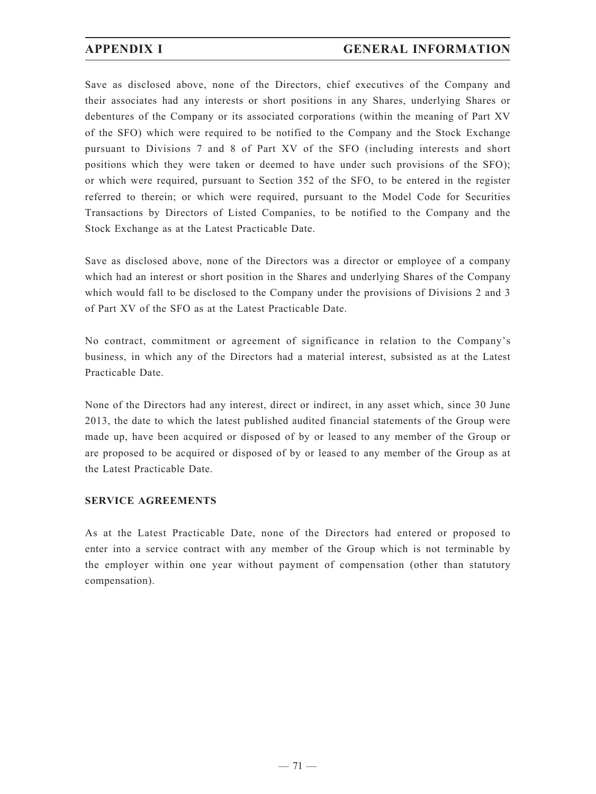# **APPENDIX I GENERAL INFORMATION**

Save as disclosed above, none of the Directors, chief executives of the Company and their associates had any interests or short positions in any Shares, underlying Shares or debentures of the Company or its associated corporations (within the meaning of Part XV of the SFO) which were required to be notified to the Company and the Stock Exchange pursuant to Divisions 7 and 8 of Part XV of the SFO (including interests and short positions which they were taken or deemed to have under such provisions of the SFO); or which were required, pursuant to Section 352 of the SFO, to be entered in the register referred to therein; or which were required, pursuant to the Model Code for Securities Transactions by Directors of Listed Companies, to be notified to the Company and the Stock Exchange as at the Latest Practicable Date.

Save as disclosed above, none of the Directors was a director or employee of a company which had an interest or short position in the Shares and underlying Shares of the Company which would fall to be disclosed to the Company under the provisions of Divisions 2 and 3 of Part XV of the SFO as at the Latest Practicable Date.

No contract, commitment or agreement of significance in relation to the Company's business, in which any of the Directors had a material interest, subsisted as at the Latest Practicable Date.

None of the Directors had any interest, direct or indirect, in any asset which, since 30 June 2013, the date to which the latest published audited financial statements of the Group were made up, have been acquired or disposed of by or leased to any member of the Group or are proposed to be acquired or disposed of by or leased to any member of the Group as at the Latest Practicable Date.

## **SERVICE AGREEMENTS**

As at the Latest Practicable Date, none of the Directors had entered or proposed to enter into a service contract with any member of the Group which is not terminable by the employer within one year without payment of compensation (other than statutory compensation).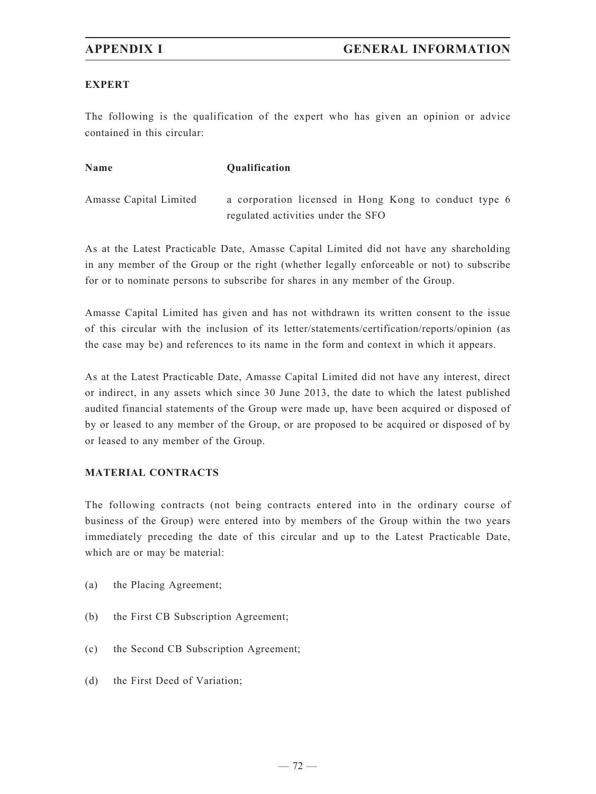## **EXPERT**

The following is the qualification of the expert who has given an opinion or advice contained in this circular:

| <b>Name</b>            | <b>Oualification</b>                                  |
|------------------------|-------------------------------------------------------|
| Amasse Capital Limited | a corporation licensed in Hong Kong to conduct type 6 |
|                        | regulated activities under the SFO                    |

As at the Latest Practicable Date, Amasse Capital Limited did not have any shareholding in any member of the Group or the right (whether legally enforceable or not) to subscribe for or to nominate persons to subscribe for shares in any member of the Group.

Amasse Capital Limited has given and has not withdrawn its written consent to the issue of this circular with the inclusion of its letter/statements/certification/reports/opinion (as the case may be) and references to its name in the form and context in which it appears.

As at the Latest Practicable Date, Amasse Capital Limited did not have any interest, direct or indirect, in any assets which since 30 June 2013, the date to which the latest published audited financial statements of the Group were made up, have been acquired or disposed of by or leased to any member of the Group, or are proposed to be acquired or disposed of by or leased to any member of the Group.

## **MATERIAL CONTRACTS**

The following contracts (not being contracts entered into in the ordinary course of business of the Group) were entered into by members of the Group within the two years immediately preceding the date of this circular and up to the Latest Practicable Date, which are or may be material:

- (a) the Placing Agreement;
- (b) the First CB Subscription Agreement;
- (c) the Second CB Subscription Agreement;
- (d) the First Deed of Variation;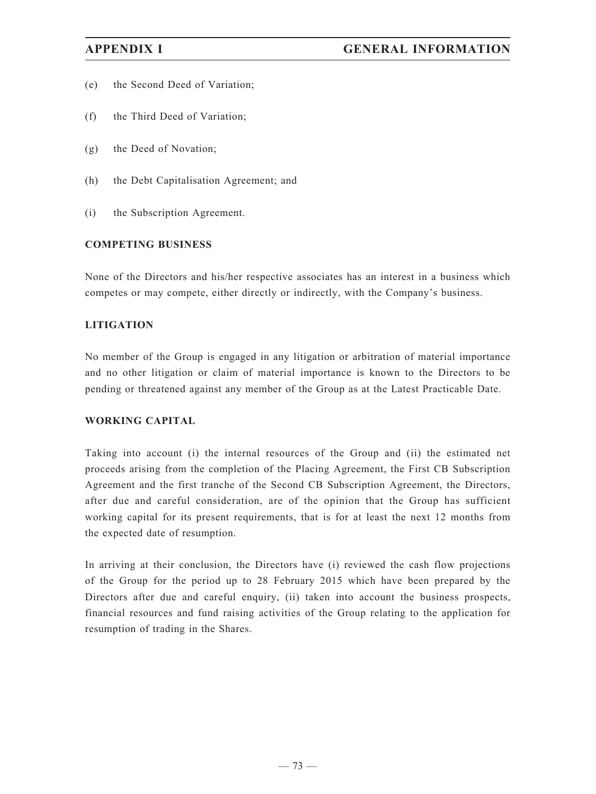- (e) the Second Deed of Variation;
- (f) the Third Deed of Variation;
- (g) the Deed of Novation;
- (h) the Debt Capitalisation Agreement; and
- (i) the Subscription Agreement.

## **COMPETING BUSINESS**

None of the Directors and his/her respective associates has an interest in a business which competes or may compete, either directly or indirectly, with the Company's business.

## **LITIGATION**

No member of the Group is engaged in any litigation or arbitration of material importance and no other litigation or claim of material importance is known to the Directors to be pending or threatened against any member of the Group as at the Latest Practicable Date.

## **WORKING CAPITAL**

Taking into account (i) the internal resources of the Group and (ii) the estimated net proceeds arising from the completion of the Placing Agreement, the First CB Subscription Agreement and the first tranche of the Second CB Subscription Agreement, the Directors, after due and careful consideration, are of the opinion that the Group has sufficient working capital for its present requirements, that is for at least the next 12 months from the expected date of resumption.

In arriving at their conclusion, the Directors have (i) reviewed the cash flow projections of the Group for the period up to 28 February 2015 which have been prepared by the Directors after due and careful enquiry, (ii) taken into account the business prospects, financial resources and fund raising activities of the Group relating to the application for resumption of trading in the Shares.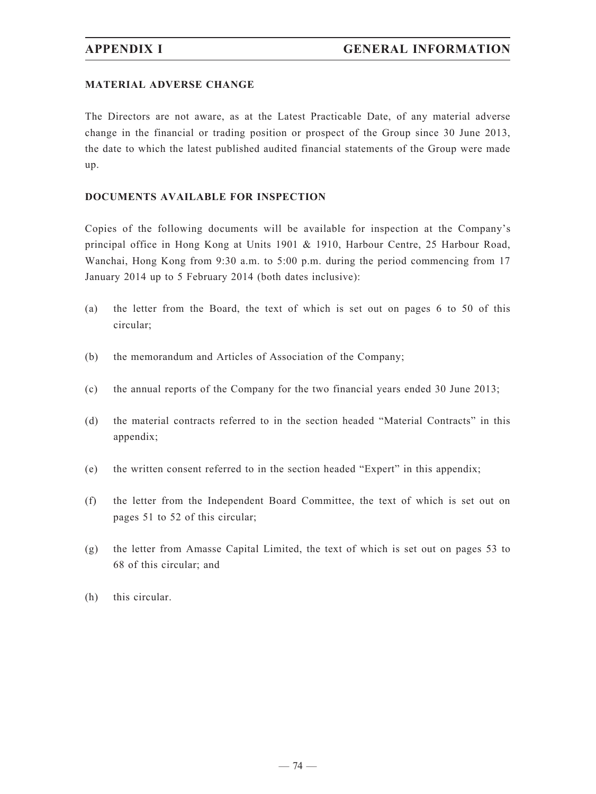## **MATERIAL ADVERSE CHANGE**

The Directors are not aware, as at the Latest Practicable Date, of any material adverse change in the financial or trading position or prospect of the Group since 30 June 2013, the date to which the latest published audited financial statements of the Group were made up.

## **DOCUMENTS AVAILABLE FOR INSPECTION**

Copies of the following documents will be available for inspection at the Company's principal office in Hong Kong at Units 1901 & 1910, Harbour Centre, 25 Harbour Road, Wanchai, Hong Kong from 9:30 a.m. to 5:00 p.m. during the period commencing from 17 January 2014 up to 5 February 2014 (both dates inclusive):

- (a) the letter from the Board, the text of which is set out on pages 6 to 50 of this circular;
- (b) the memorandum and Articles of Association of the Company;
- (c) the annual reports of the Company for the two financial years ended 30 June 2013;
- (d) the material contracts referred to in the section headed "Material Contracts" in this appendix;
- (e) the written consent referred to in the section headed "Expert" in this appendix;
- (f) the letter from the Independent Board Committee, the text of which is set out on pages 51 to 52 of this circular;
- (g) the letter from Amasse Capital Limited, the text of which is set out on pages 53 to 68 of this circular; and
- (h) this circular.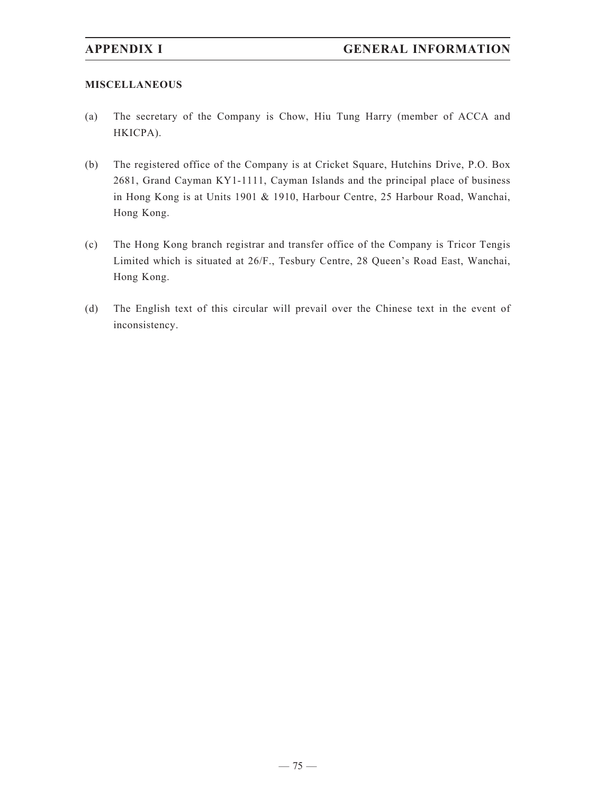## **MISCELLANEOUS**

- (a) The secretary of the Company is Chow, Hiu Tung Harry (member of ACCA and HKICPA).
- (b) The registered office of the Company is at Cricket Square, Hutchins Drive, P.O. Box 2681, Grand Cayman KY1-1111, Cayman Islands and the principal place of business in Hong Kong is at Units 1901 & 1910, Harbour Centre, 25 Harbour Road, Wanchai, Hong Kong.
- (c) The Hong Kong branch registrar and transfer office of the Company is Tricor Tengis Limited which is situated at 26/F., Tesbury Centre, 28 Queen's Road East, Wanchai, Hong Kong.
- (d) The English text of this circular will prevail over the Chinese text in the event of inconsistency.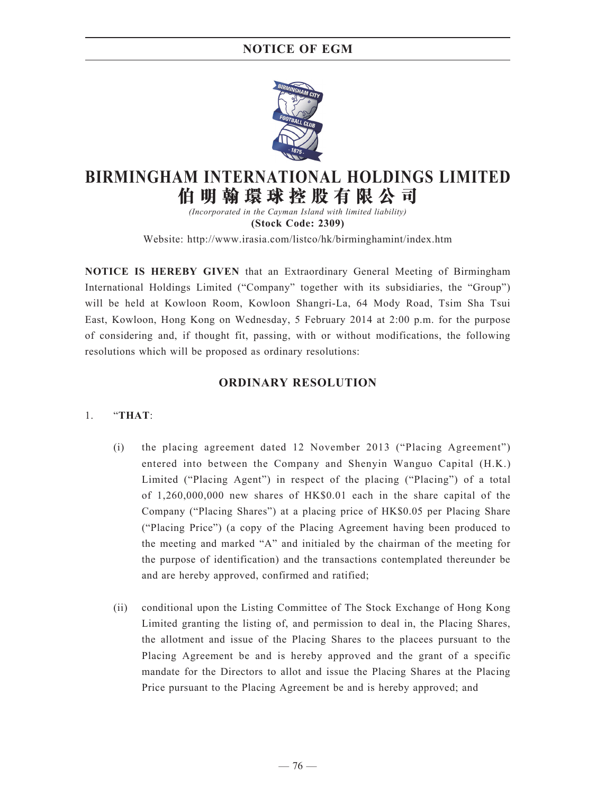

# **BIRMINGHAM INTERNATIONAL HOLDINGS LIMITED 伯 明 翰 環 球 控 股 有 限 公 司**

*(Incorporated in the Cayman Island with limited liability)* **(Stock Code: 2309)**

Website: http://www.irasia.com/listco/hk/birminghamint/index.htm

**NOTICE IS HEREBY GIVEN** that an Extraordinary General Meeting of Birmingham International Holdings Limited ("Company" together with its subsidiaries, the "Group") will be held at Kowloon Room, Kowloon Shangri-La, 64 Mody Road, Tsim Sha Tsui East, Kowloon, Hong Kong on Wednesday, 5 February 2014 at 2:00 p.m. for the purpose of considering and, if thought fit, passing, with or without modifications, the following resolutions which will be proposed as ordinary resolutions:

## **ORDINARY RESOLUTION**

## 1. "**THAT**:

- (i) the placing agreement dated 12 November 2013 ("Placing Agreement") entered into between the Company and Shenyin Wanguo Capital (H.K.) Limited ("Placing Agent") in respect of the placing ("Placing") of a total of 1,260,000,000 new shares of HK\$0.01 each in the share capital of the Company ("Placing Shares") at a placing price of HK\$0.05 per Placing Share ("Placing Price") (a copy of the Placing Agreement having been produced to the meeting and marked "A" and initialed by the chairman of the meeting for the purpose of identification) and the transactions contemplated thereunder be and are hereby approved, confirmed and ratified;
- (ii) conditional upon the Listing Committee of The Stock Exchange of Hong Kong Limited granting the listing of, and permission to deal in, the Placing Shares, the allotment and issue of the Placing Shares to the placees pursuant to the Placing Agreement be and is hereby approved and the grant of a specific mandate for the Directors to allot and issue the Placing Shares at the Placing Price pursuant to the Placing Agreement be and is hereby approved; and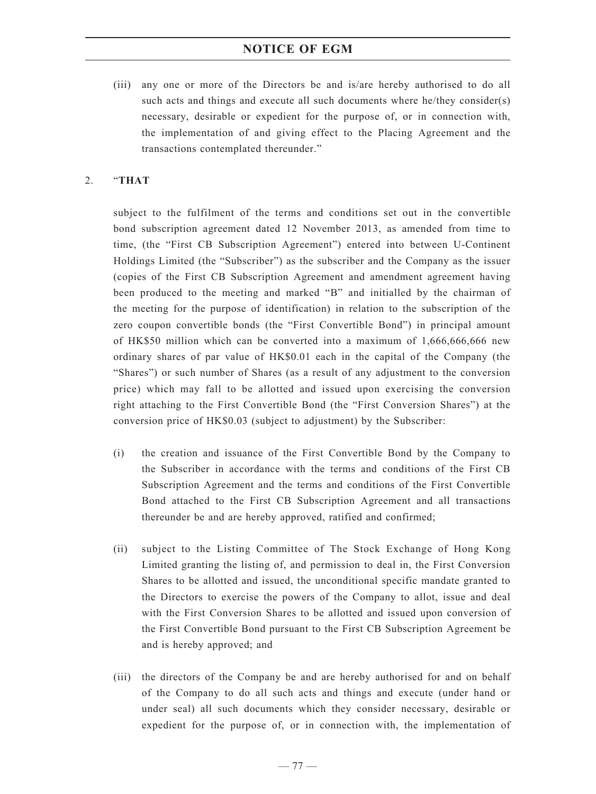(iii) any one or more of the Directors be and is/are hereby authorised to do all such acts and things and execute all such documents where he/they consider(s) necessary, desirable or expedient for the purpose of, or in connection with, the implementation of and giving effect to the Placing Agreement and the transactions contemplated thereunder."

## 2. "**THAT**

subject to the fulfilment of the terms and conditions set out in the convertible bond subscription agreement dated 12 November 2013, as amended from time to time, (the "First CB Subscription Agreement") entered into between U-Continent Holdings Limited (the "Subscriber") as the subscriber and the Company as the issuer (copies of the First CB Subscription Agreement and amendment agreement having been produced to the meeting and marked "B" and initialled by the chairman of the meeting for the purpose of identification) in relation to the subscription of the zero coupon convertible bonds (the "First Convertible Bond") in principal amount of HK\$50 million which can be converted into a maximum of 1,666,666,666 new ordinary shares of par value of HK\$0.01 each in the capital of the Company (the "Shares") or such number of Shares (as a result of any adjustment to the conversion price) which may fall to be allotted and issued upon exercising the conversion right attaching to the First Convertible Bond (the "First Conversion Shares") at the conversion price of HK\$0.03 (subject to adjustment) by the Subscriber:

- (i) the creation and issuance of the First Convertible Bond by the Company to the Subscriber in accordance with the terms and conditions of the First CB Subscription Agreement and the terms and conditions of the First Convertible Bond attached to the First CB Subscription Agreement and all transactions thereunder be and are hereby approved, ratified and confirmed;
- (ii) subject to the Listing Committee of The Stock Exchange of Hong Kong Limited granting the listing of, and permission to deal in, the First Conversion Shares to be allotted and issued, the unconditional specific mandate granted to the Directors to exercise the powers of the Company to allot, issue and deal with the First Conversion Shares to be allotted and issued upon conversion of the First Convertible Bond pursuant to the First CB Subscription Agreement be and is hereby approved; and
- (iii) the directors of the Company be and are hereby authorised for and on behalf of the Company to do all such acts and things and execute (under hand or under seal) all such documents which they consider necessary, desirable or expedient for the purpose of, or in connection with, the implementation of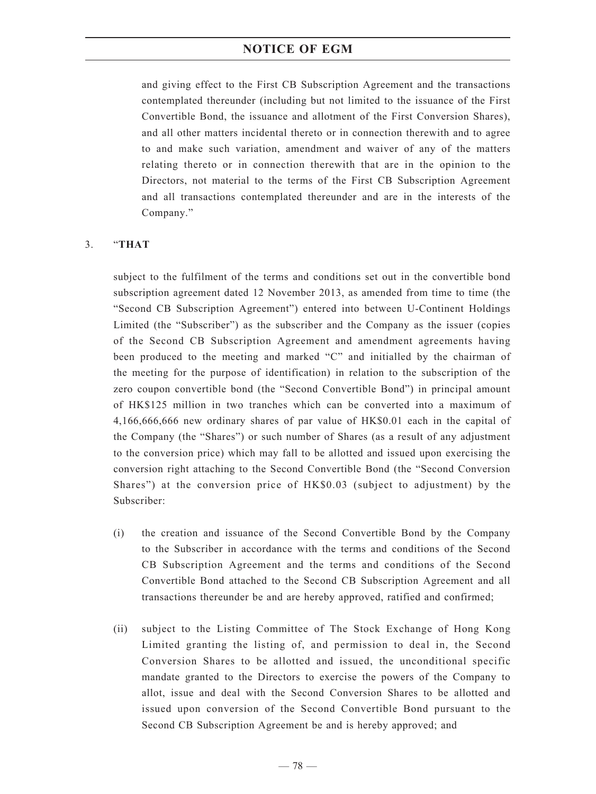and giving effect to the First CB Subscription Agreement and the transactions contemplated thereunder (including but not limited to the issuance of the First Convertible Bond, the issuance and allotment of the First Conversion Shares), and all other matters incidental thereto or in connection therewith and to agree to and make such variation, amendment and waiver of any of the matters relating thereto or in connection therewith that are in the opinion to the Directors, not material to the terms of the First CB Subscription Agreement and all transactions contemplated thereunder and are in the interests of the Company."

## 3. "**THAT**

subject to the fulfilment of the terms and conditions set out in the convertible bond subscription agreement dated 12 November 2013, as amended from time to time (the "Second CB Subscription Agreement") entered into between U-Continent Holdings Limited (the "Subscriber") as the subscriber and the Company as the issuer (copies of the Second CB Subscription Agreement and amendment agreements having been produced to the meeting and marked "C" and initialled by the chairman of the meeting for the purpose of identification) in relation to the subscription of the zero coupon convertible bond (the "Second Convertible Bond") in principal amount of HK\$125 million in two tranches which can be converted into a maximum of 4,166,666,666 new ordinary shares of par value of HK\$0.01 each in the capital of the Company (the "Shares") or such number of Shares (as a result of any adjustment to the conversion price) which may fall to be allotted and issued upon exercising the conversion right attaching to the Second Convertible Bond (the "Second Conversion Shares") at the conversion price of HK\$0.03 (subject to adjustment) by the Subscriber:

- (i) the creation and issuance of the Second Convertible Bond by the Company to the Subscriber in accordance with the terms and conditions of the Second CB Subscription Agreement and the terms and conditions of the Second Convertible Bond attached to the Second CB Subscription Agreement and all transactions thereunder be and are hereby approved, ratified and confirmed;
- (ii) subject to the Listing Committee of The Stock Exchange of Hong Kong Limited granting the listing of, and permission to deal in, the Second Conversion Shares to be allotted and issued, the unconditional specific mandate granted to the Directors to exercise the powers of the Company to allot, issue and deal with the Second Conversion Shares to be allotted and issued upon conversion of the Second Convertible Bond pursuant to the Second CB Subscription Agreement be and is hereby approved; and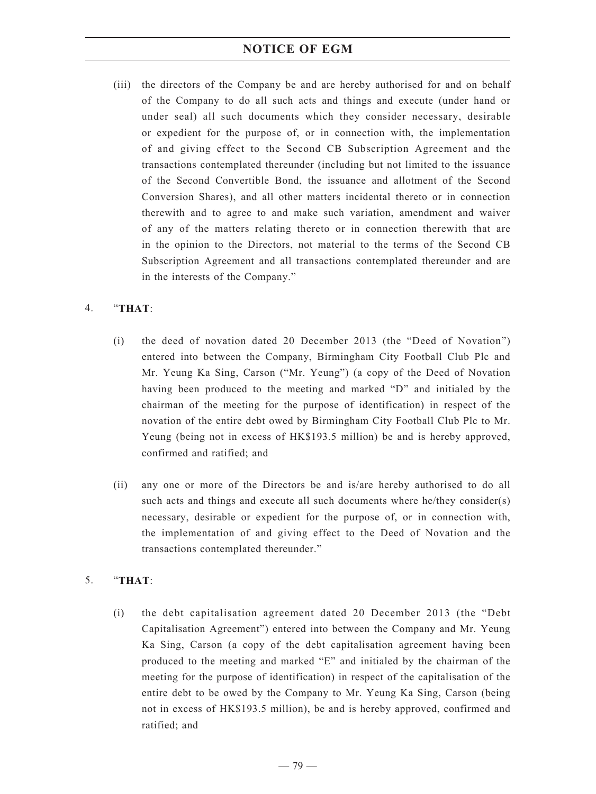(iii) the directors of the Company be and are hereby authorised for and on behalf of the Company to do all such acts and things and execute (under hand or under seal) all such documents which they consider necessary, desirable or expedient for the purpose of, or in connection with, the implementation of and giving effect to the Second CB Subscription Agreement and the transactions contemplated thereunder (including but not limited to the issuance of the Second Convertible Bond, the issuance and allotment of the Second Conversion Shares), and all other matters incidental thereto or in connection therewith and to agree to and make such variation, amendment and waiver of any of the matters relating thereto or in connection therewith that are in the opinion to the Directors, not material to the terms of the Second CB Subscription Agreement and all transactions contemplated thereunder and are in the interests of the Company."

## 4. "**THAT**:

- (i) the deed of novation dated 20 December 2013 (the "Deed of Novation") entered into between the Company, Birmingham City Football Club Plc and Mr. Yeung Ka Sing, Carson ("Mr. Yeung") (a copy of the Deed of Novation having been produced to the meeting and marked "D" and initialed by the chairman of the meeting for the purpose of identification) in respect of the novation of the entire debt owed by Birmingham City Football Club Plc to Mr. Yeung (being not in excess of HK\$193.5 million) be and is hereby approved, confirmed and ratified; and
- (ii) any one or more of the Directors be and is/are hereby authorised to do all such acts and things and execute all such documents where he/they consider(s) necessary, desirable or expedient for the purpose of, or in connection with, the implementation of and giving effect to the Deed of Novation and the transactions contemplated thereunder."

## 5. "**THAT**:

(i) the debt capitalisation agreement dated 20 December 2013 (the "Debt Capitalisation Agreement") entered into between the Company and Mr. Yeung Ka Sing, Carson (a copy of the debt capitalisation agreement having been produced to the meeting and marked "E" and initialed by the chairman of the meeting for the purpose of identification) in respect of the capitalisation of the entire debt to be owed by the Company to Mr. Yeung Ka Sing, Carson (being not in excess of HK\$193.5 million), be and is hereby approved, confirmed and ratified; and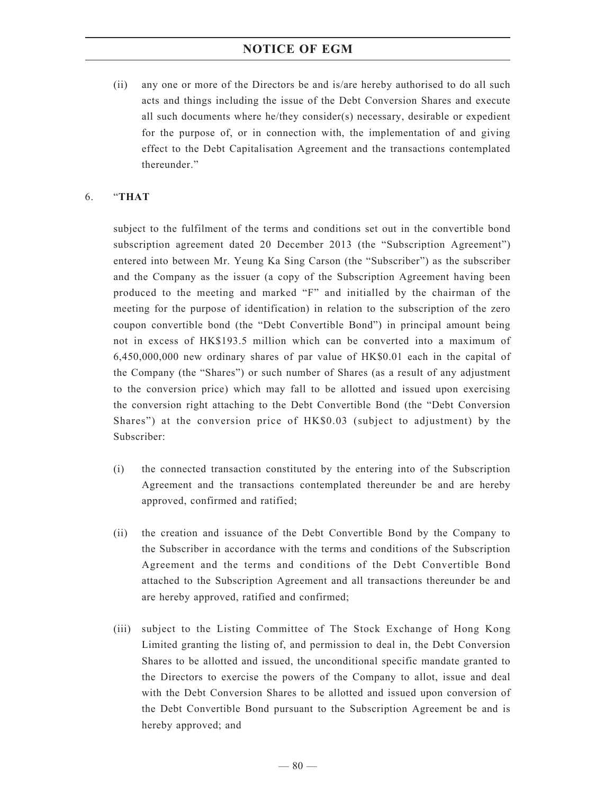(ii) any one or more of the Directors be and is/are hereby authorised to do all such acts and things including the issue of the Debt Conversion Shares and execute all such documents where he/they consider(s) necessary, desirable or expedient for the purpose of, or in connection with, the implementation of and giving effect to the Debt Capitalisation Agreement and the transactions contemplated thereunder."

## 6. "**THAT**

subject to the fulfilment of the terms and conditions set out in the convertible bond subscription agreement dated 20 December 2013 (the "Subscription Agreement") entered into between Mr. Yeung Ka Sing Carson (the "Subscriber") as the subscriber and the Company as the issuer (a copy of the Subscription Agreement having been produced to the meeting and marked "F" and initialled by the chairman of the meeting for the purpose of identification) in relation to the subscription of the zero coupon convertible bond (the "Debt Convertible Bond") in principal amount being not in excess of HK\$193.5 million which can be converted into a maximum of 6,450,000,000 new ordinary shares of par value of HK\$0.01 each in the capital of the Company (the "Shares") or such number of Shares (as a result of any adjustment to the conversion price) which may fall to be allotted and issued upon exercising the conversion right attaching to the Debt Convertible Bond (the "Debt Conversion Shares") at the conversion price of HK\$0.03 (subject to adjustment) by the Subscriber:

- (i) the connected transaction constituted by the entering into of the Subscription Agreement and the transactions contemplated thereunder be and are hereby approved, confirmed and ratified;
- (ii) the creation and issuance of the Debt Convertible Bond by the Company to the Subscriber in accordance with the terms and conditions of the Subscription Agreement and the terms and conditions of the Debt Convertible Bond attached to the Subscription Agreement and all transactions thereunder be and are hereby approved, ratified and confirmed;
- (iii) subject to the Listing Committee of The Stock Exchange of Hong Kong Limited granting the listing of, and permission to deal in, the Debt Conversion Shares to be allotted and issued, the unconditional specific mandate granted to the Directors to exercise the powers of the Company to allot, issue and deal with the Debt Conversion Shares to be allotted and issued upon conversion of the Debt Convertible Bond pursuant to the Subscription Agreement be and is hereby approved; and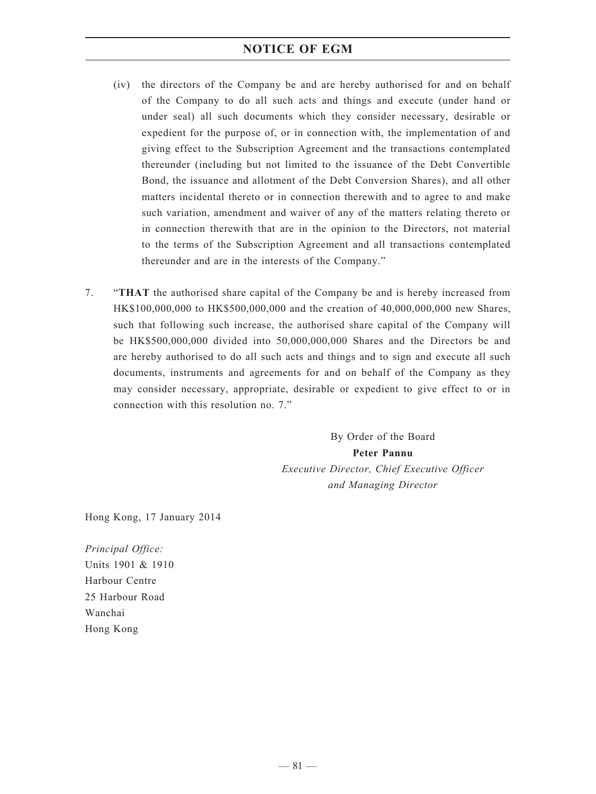- (iv) the directors of the Company be and are hereby authorised for and on behalf of the Company to do all such acts and things and execute (under hand or under seal) all such documents which they consider necessary, desirable or expedient for the purpose of, or in connection with, the implementation of and giving effect to the Subscription Agreement and the transactions contemplated thereunder (including but not limited to the issuance of the Debt Convertible Bond, the issuance and allotment of the Debt Conversion Shares), and all other matters incidental thereto or in connection therewith and to agree to and make such variation, amendment and waiver of any of the matters relating thereto or in connection therewith that are in the opinion to the Directors, not material to the terms of the Subscription Agreement and all transactions contemplated thereunder and are in the interests of the Company."
- 7. "**THAT** the authorised share capital of the Company be and is hereby increased from HK\$100,000,000 to HK\$500,000,000 and the creation of 40,000,000,000 new Shares, such that following such increase, the authorised share capital of the Company will be HK\$500,000,000 divided into 50,000,000,000 Shares and the Directors be and are hereby authorised to do all such acts and things and to sign and execute all such documents, instruments and agreements for and on behalf of the Company as they may consider necessary, appropriate, desirable or expedient to give effect to or in connection with this resolution no. 7."

By Order of the Board **Peter Pannu** *Executive Director, Chief Executive Officer and Managing Director*

Hong Kong, 17 January 2014

*Principal Office:* Units 1901 & 1910 Harbour Centre 25 Harbour Road Wanchai Hong Kong